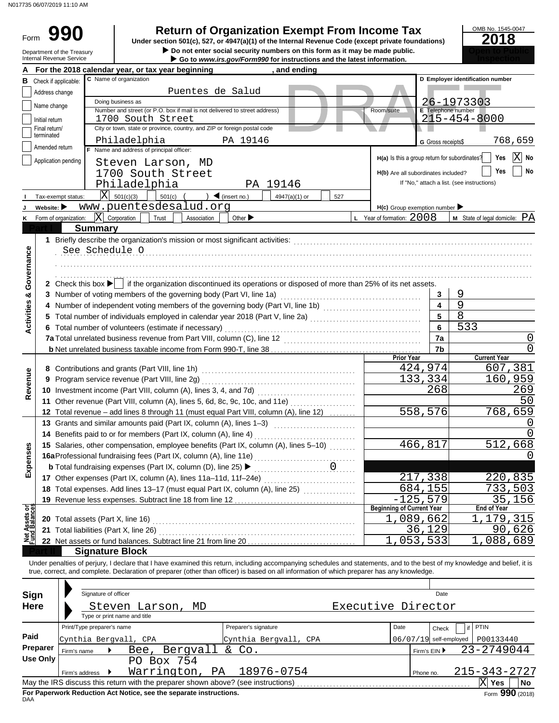Form

# **990** Return of Organization Exempt From Income Tax <br>
Under section 501(c), 527, or 4947(a)(1) of the Internal Revenue Code (except private foundations) **2018**

 $\triangleright$  Do not enter social security numbers on this form as it may be made public. **Under section 501(c), 527, or 4947(a)(1) of the Internal Revenue Code (except private foundations)**

|                                        | Department of the Treasury<br>Internal Revenue Service |                | Do not enter social security numbers on this form as it may be made public.                                                                                       |                                               |                    |                                            |
|----------------------------------------|--------------------------------------------------------|----------------|-------------------------------------------------------------------------------------------------------------------------------------------------------------------|-----------------------------------------------|--------------------|--------------------------------------------|
|                                        |                                                        |                | Go to www.irs.gov/Form990 for instructions and the latest information.<br>For the 2018 calendar year, or tax year beginning<br>, and ending                       |                                               |                    |                                            |
| в                                      | Check if applicable:                                   |                | C Name of organization                                                                                                                                            |                                               |                    | D Employer identification number           |
|                                        | Address change                                         |                | Puentes de Salud                                                                                                                                                  |                                               |                    |                                            |
|                                        | Name change                                            |                | Doing business as                                                                                                                                                 |                                               |                    | 26-1973303                                 |
|                                        | Initial return                                         |                | Number and street (or P.O. box if mail is not delivered to street address)<br>1700 South Street                                                                   | Room/suite                                    |                    | E Telephone number<br>215-454-8000         |
|                                        | Final return/                                          |                | City or town, state or province, country, and ZIP or foreign postal code                                                                                          |                                               |                    |                                            |
|                                        | terminated                                             |                | Philadelphia<br>PA 19146                                                                                                                                          |                                               |                    | 768,659                                    |
|                                        | Amended return                                         |                | Name and address of principal officer:                                                                                                                            |                                               | G Gross receipts\$ |                                            |
|                                        | Application pending                                    |                | Steven Larson, MD                                                                                                                                                 | H(a) Is this a group return for subordinates? |                    | $ X $ No<br>Yes                            |
|                                        |                                                        |                | 1700 South Street                                                                                                                                                 | H(b) Are all subordinates included?           |                    | No<br>Yes                                  |
|                                        |                                                        |                | Philadelphia<br>PA 19146                                                                                                                                          |                                               |                    | If "No," attach a list. (see instructions) |
|                                        | Tax-exempt status:                                     |                | $ \mathbf{X} $ 501(c)(3)<br>$501(c)$ (<br>$\sum$ (insert no.)<br>4947(a)(1) or<br>527                                                                             |                                               |                    |                                            |
|                                        | Website: $\blacktriangleright$                         |                | www.puentesdesalud.org                                                                                                                                            | $H(c)$ Group exemption number                 |                    |                                            |
| ĸ                                      | Form of organization: $ X $ Corporation                |                | Trust<br>Association<br>Other $\blacktriangleright$                                                                                                               | <b>L</b> Year of formation: $2008$            |                    | <b>M</b> State of legal domicile: $PA$     |
|                                        |                                                        | <b>Summary</b> |                                                                                                                                                                   |                                               |                    |                                            |
|                                        |                                                        |                |                                                                                                                                                                   |                                               |                    |                                            |
|                                        |                                                        |                | See Schedule O                                                                                                                                                    |                                               |                    |                                            |
|                                        |                                                        |                |                                                                                                                                                                   |                                               |                    |                                            |
| Governance                             |                                                        |                |                                                                                                                                                                   |                                               |                    |                                            |
|                                        |                                                        |                | 2 Check this box $\blacktriangleright$ if the organization discontinued its operations or disposed of more than 25% of its net assets.                            |                                               |                    |                                            |
|                                        |                                                        |                | 3 Number of voting members of the governing body (Part VI, line 1a)                                                                                               |                                               | 3                  | 9                                          |
|                                        |                                                        |                |                                                                                                                                                                   |                                               | 4                  | 9                                          |
|                                        |                                                        |                | 5 Total number of individuals employed in calendar year 2018 (Part V, line 2a) [[[[[[[[[[[[[[[[[[[[[[[[[[[[[[                                                     | 5                                             | 8                  |                                            |
| <b>Activities &amp;</b>                | 6 Total number of volunteers (estimate if necessary)   |                |                                                                                                                                                                   | 6                                             | 533                |                                            |
|                                        |                                                        |                |                                                                                                                                                                   |                                               | 7a                 | 0                                          |
|                                        |                                                        |                |                                                                                                                                                                   |                                               | 7b                 |                                            |
|                                        |                                                        |                |                                                                                                                                                                   | <b>Prior Year</b>                             |                    | <b>Current Year</b>                        |
|                                        |                                                        |                |                                                                                                                                                                   | 424,974                                       |                    | 607,381                                    |
| Revenue                                |                                                        |                | 9 Program service revenue (Part VIII, line 2g)                                                                                                                    | 133,334                                       |                    | 160,959                                    |
|                                        |                                                        |                |                                                                                                                                                                   |                                               | 268                | 269                                        |
|                                        |                                                        |                | 11 Other revenue (Part VIII, column (A), lines 5, 6d, 8c, 9c, 10c, and 11e)                                                                                       |                                               |                    | 50                                         |
|                                        |                                                        |                | 12 Total revenue - add lines 8 through 11 (must equal Part VIII, column (A), line 12)                                                                             | 558,576                                       |                    | 768,659                                    |
|                                        |                                                        |                | 13 Grants and similar amounts paid (Part IX, column (A), lines 1-3)                                                                                               |                                               |                    |                                            |
|                                        |                                                        |                | 14 Benefits paid to or for members (Part IX, column (A), line 4)                                                                                                  |                                               |                    |                                            |
| ses                                    |                                                        |                | 15 Salaries, other compensation, employee benefits (Part IX, column (A), lines 5-10)                                                                              | 466,817                                       |                    | 512,668                                    |
|                                        |                                                        |                |                                                                                                                                                                   |                                               |                    |                                            |
| Exper                                  |                                                        |                | <b>b</b> Total fundraising expenses (Part IX, column (D), line 25) ▶                                                                                              |                                               |                    |                                            |
|                                        |                                                        |                | 17 Other expenses (Part IX, column (A), lines 11a-11d, 11f-24e)                                                                                                   | 217,338                                       |                    | 220,835                                    |
|                                        |                                                        |                | 18 Total expenses. Add lines 13-17 (must equal Part IX, column (A), line 25) [1] [1] 1] 18 Total expenses. Add lines 17 (must equal Part IX, column (A), line 25) | 684,155                                       |                    | 733,503                                    |
|                                        |                                                        |                | 19 Revenue less expenses. Subtract line 18 from line 12                                                                                                           | $-125,579$                                    |                    | 35,156                                     |
| <b>Net Assets or<br/>Fund Balances</b> |                                                        |                |                                                                                                                                                                   | <b>Beginning of Current Year</b>              |                    | End of Year                                |
|                                        | 20 Total assets (Part X, line 16)                      |                |                                                                                                                                                                   | 1,089,662                                     |                    | 1,179,315                                  |
|                                        | 21 Total liabilities (Part X, line 26)                 |                |                                                                                                                                                                   |                                               | 36,129             | 90,626                                     |
|                                        |                                                        |                | 22 Net assets or fund balances. Subtract line 21 from line 20                                                                                                     | 1,053,533                                     |                    | 1,088,689                                  |
|                                        |                                                        |                | <b>Signature Block</b>                                                                                                                                            |                                               |                    |                                            |

Under penalties of perjury, I declare that I have examined this return, including accompanying schedules and statements, and to the best of my knowledge and belief, it is true, correct, and complete. Declaration of preparer (other than officer) is based on all information of which preparer has any knowledge.

| Sign                                                                                                       | Signature of officer       |                              |                           |                    | Date                                |  |  |  |  |  |
|------------------------------------------------------------------------------------------------------------|----------------------------|------------------------------|---------------------------|--------------------|-------------------------------------|--|--|--|--|--|
| <b>Here</b>                                                                                                |                            | Steven Larson,<br>MD         |                           | Executive Director |                                     |  |  |  |  |  |
|                                                                                                            |                            | Type or print name and title |                           |                    |                                     |  |  |  |  |  |
|                                                                                                            | Print/Type preparer's name |                              | Preparer's signature      | Date               | <b>PTIN</b><br>Check                |  |  |  |  |  |
| Paid                                                                                                       | Cynthia Bergvall, CPA      |                              | Cynthia Bergvall, CPA     |                    | P00133440<br>06/07/19 self-employed |  |  |  |  |  |
| Preparer                                                                                                   | Firm's name                | Bee,                         | , Berqvall & Co.          |                    | 23-2749044<br>Firm's $EIN$          |  |  |  |  |  |
| Use Only                                                                                                   |                            | PO Box 754                   |                           |                    |                                     |  |  |  |  |  |
|                                                                                                            | Firm's address             |                              | Warrington, PA 18976-0754 |                    | $215 - 343 - 2727$<br>Phone no.     |  |  |  |  |  |
| X<br>May the IRS discuss this return with the preparer shown above? (see instructions)<br>No<br><b>Yes</b> |                            |                              |                           |                    |                                     |  |  |  |  |  |
| Form 990 (2018)<br>For Paperwork Reduction Act Notice, see the separate instructions.<br><b>DAA</b>        |                            |                              |                           |                    |                                     |  |  |  |  |  |

 $\overline{\phantom{a}}$ 

٦

OMB No. 1545-0047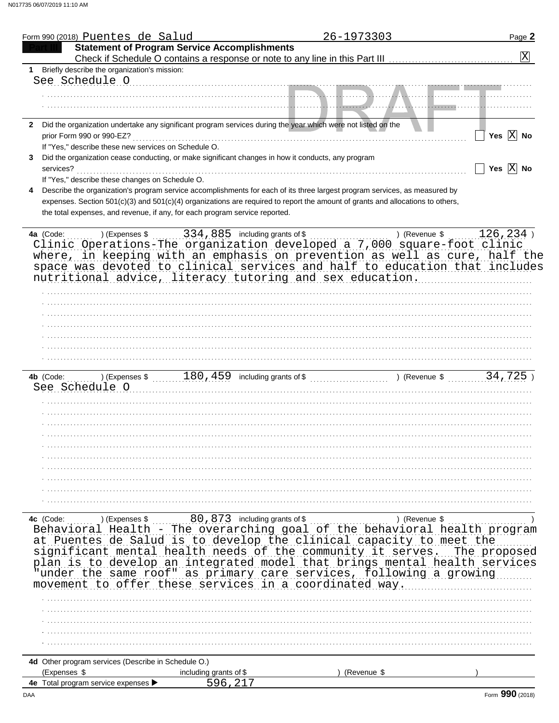|              | <u>Form 990(2018) Puentes de Salud</u>                                                                                         | 26-1973303  | Page 2                     |
|--------------|--------------------------------------------------------------------------------------------------------------------------------|-------------|----------------------------|
|              | <b>Statement of Program Service Accomplishments</b>                                                                            |             |                            |
|              |                                                                                                                                |             | X                          |
| 1.           | Briefly describe the organization's mission:                                                                                   |             |                            |
|              | See Schedule O                                                                                                                 |             |                            |
|              |                                                                                                                                |             |                            |
|              |                                                                                                                                |             |                            |
|              |                                                                                                                                |             |                            |
| $\mathbf{2}$ | Did the organization undertake any significant program services during the year which were not listed on the                   |             |                            |
|              | prior Form 990 or 990-EZ?                                                                                                      |             | Yes $\overline{X}$ No      |
|              | If "Yes," describe these new services on Schedule O.                                                                           |             |                            |
| 3            | Did the organization cease conducting, or make significant changes in how it conducts, any program                             |             |                            |
| services?    |                                                                                                                                |             | Yes $\overline{X}$ No      |
|              | If "Yes," describe these changes on Schedule O.                                                                                |             |                            |
| 4            | Describe the organization's program service accomplishments for each of its three largest program services, as measured by     |             |                            |
|              | expenses. Section 501(c)(3) and 501(c)(4) organizations are required to report the amount of grants and allocations to others, |             |                            |
|              | the total expenses, and revenue, if any, for each program service reported.                                                    |             |                            |
|              |                                                                                                                                |             |                            |
| 4a (Code:    | 334, 885 including grants of \$<br>) (Expenses \$                                                                              |             | 126, 234)<br>) (Revenue \$ |
|              | Clinic Operations-The organization developed a 7,000 square-foot clinic                                                        |             |                            |
|              | where, in keeping with an emphasis on prevention as well as cure, half the                                                     |             |                            |
|              | space was devoted to clinical services and half to education that includes                                                     |             |                            |
|              | nutritional advice, literacy tutoring and sex education.                                                                       |             |                            |
|              |                                                                                                                                |             |                            |
|              |                                                                                                                                |             |                            |
|              |                                                                                                                                |             |                            |
|              |                                                                                                                                |             |                            |
|              |                                                                                                                                |             |                            |
|              |                                                                                                                                |             |                            |
|              |                                                                                                                                |             |                            |
|              |                                                                                                                                |             |                            |
|              |                                                                                                                                |             |                            |
| 4b (Code:    | ) (Expenses $\frac{180,459}{180,459}$ including grants of $\frac{100,459}{100,459}$ (Revenue $\frac{200,459}{100,459}$         |             | 34,725)                    |
|              | See Schedule O                                                                                                                 |             |                            |
|              |                                                                                                                                |             |                            |
|              |                                                                                                                                |             |                            |
|              |                                                                                                                                |             |                            |
|              |                                                                                                                                |             |                            |
|              |                                                                                                                                |             |                            |
|              |                                                                                                                                |             |                            |
|              |                                                                                                                                |             |                            |
|              |                                                                                                                                |             |                            |
|              |                                                                                                                                |             |                            |
|              |                                                                                                                                |             |                            |
|              |                                                                                                                                |             |                            |
| 4c (Code:    | 80, 873 including grants of \$<br>) (Expenses \$                                                                               |             | ) (Revenue \$              |
|              | Behavioral Health - The overarching goal of the behavioral health program                                                      |             |                            |
|              | at Puentes de Salud is to develop the clinical capacity to meet the                                                            |             |                            |
|              | significant mental health needs of the community it serves. The proposed                                                       |             |                            |
|              |                                                                                                                                |             |                            |
|              | plan is to develop an integrated model that brings mental health services                                                      |             |                            |
|              | "under the same roof" as primary care services, following a growing                                                            |             |                            |
|              | movement to offer these services in a coordinated way.                                                                         |             |                            |
|              |                                                                                                                                |             |                            |
|              |                                                                                                                                |             |                            |
|              |                                                                                                                                |             |                            |
|              |                                                                                                                                |             |                            |
|              |                                                                                                                                |             |                            |
|              |                                                                                                                                |             |                            |
|              | 4d Other program services (Describe in Schedule O.)                                                                            |             |                            |
| (Expenses \$ | including grants of \$                                                                                                         | (Revenue \$ |                            |
|              | 596,217<br>4e Total program service expenses                                                                                   |             |                            |
|              |                                                                                                                                |             |                            |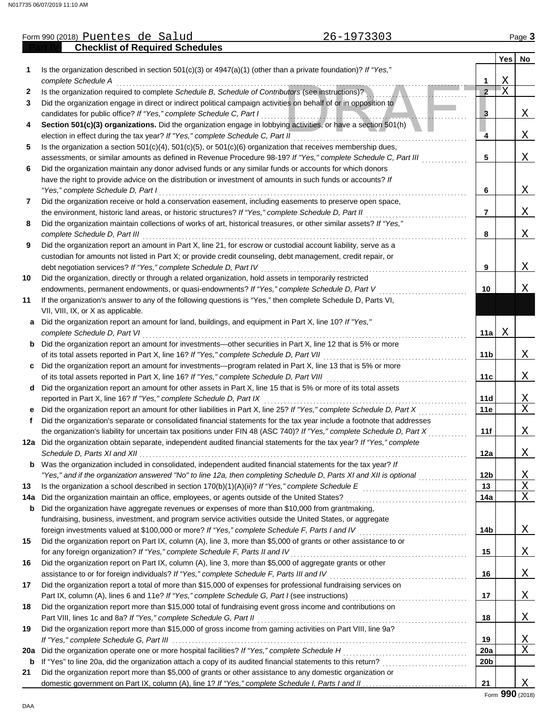|     | 26-1973303<br>Form 990 (2018) Puentes de Salud                                                                                                                                                                |                     |                                         | Page 3                       |
|-----|---------------------------------------------------------------------------------------------------------------------------------------------------------------------------------------------------------------|---------------------|-----------------------------------------|------------------------------|
|     | <b>Checklist of Required Schedules</b>                                                                                                                                                                        |                     |                                         |                              |
|     |                                                                                                                                                                                                               |                     | <b>Yes</b>                              | <b>No</b>                    |
| 1   | Is the organization described in section $501(c)(3)$ or $4947(a)(1)$ (other than a private foundation)? If "Yes,"                                                                                             |                     |                                         |                              |
| 2   | complete Schedule A<br>Is the organization required to complete Schedule B, Schedule of Contributors (see instructions)?                                                                                      | 1<br>$\overline{2}$ | $\mathbf{X}$<br>$\overline{\mathbf{X}}$ |                              |
| 3   | Did the organization engage in direct or indirect political campaign activities on behalf of or in opposition to                                                                                              |                     |                                         |                              |
|     | candidates for public office? If "Yes," complete Schedule C, Part I                                                                                                                                           | 3                   |                                         | Χ                            |
| 4   | Section 501(c)(3) organizations. Did the organization engage in lobbying activities, or have a section 501(h)                                                                                                 |                     |                                         |                              |
|     | election in effect during the tax year? If "Yes," complete Schedule C, Part II                                                                                                                                | 4                   |                                         | X                            |
| 5   | Is the organization a section $501(c)(4)$ , $501(c)(5)$ , or $501(c)(6)$ organization that receives membership dues,                                                                                          |                     |                                         |                              |
|     | assessments, or similar amounts as defined in Revenue Procedure 98-19? If "Yes," complete Schedule C, Part III                                                                                                | 5                   |                                         | X                            |
| 6   | Did the organization maintain any donor advised funds or any similar funds or accounts for which donors                                                                                                       |                     |                                         |                              |
|     | have the right to provide advice on the distribution or investment of amounts in such funds or accounts? If                                                                                                   |                     |                                         |                              |
|     | "Yes," complete Schedule D, Part I                                                                                                                                                                            | 6                   |                                         | X                            |
| 7   | Did the organization receive or hold a conservation easement, including easements to preserve open space,                                                                                                     |                     |                                         |                              |
|     | the environment, historic land areas, or historic structures? If "Yes," complete Schedule D, Part II                                                                                                          | 7                   |                                         | X                            |
| 8   | Did the organization maintain collections of works of art, historical treasures, or other similar assets? If "Yes,"                                                                                           |                     |                                         |                              |
|     | complete Schedule D, Part III                                                                                                                                                                                 | 8                   |                                         | X                            |
| 9   | Did the organization report an amount in Part X, line 21, for escrow or custodial account liability, serve as a                                                                                               |                     |                                         |                              |
|     | custodian for amounts not listed in Part X; or provide credit counseling, debt management, credit repair, or                                                                                                  |                     |                                         |                              |
|     | debt negotiation services? If "Yes," complete Schedule D, Part IV                                                                                                                                             | 9                   |                                         | Χ                            |
| 10  | Did the organization, directly or through a related organization, hold assets in temporarily restricted                                                                                                       | 10                  |                                         | Χ                            |
| 11  | endowments, permanent endowments, or quasi-endowments? If "Yes," complete Schedule D, Part V<br>If the organization's answer to any of the following questions is "Yes," then complete Schedule D, Parts VI,  |                     |                                         |                              |
|     | VII, VIII, IX, or X as applicable.                                                                                                                                                                            |                     |                                         |                              |
| a   | Did the organization report an amount for land, buildings, and equipment in Part X, line 10? If "Yes,"                                                                                                        |                     |                                         |                              |
|     | complete Schedule D, Part VI                                                                                                                                                                                  | 11a                 | Χ                                       |                              |
|     | <b>b</b> Did the organization report an amount for investments—other securities in Part X, line 12 that is 5% or more                                                                                         |                     |                                         |                              |
|     | of its total assets reported in Part X, line 16? If "Yes," complete Schedule D, Part VII                                                                                                                      | 11 <sub>b</sub>     |                                         | X                            |
|     | c Did the organization report an amount for investments—program related in Part X, line 13 that is 5% or more                                                                                                 |                     |                                         |                              |
|     | of its total assets reported in Part X, line 16? If "Yes," complete Schedule D, Part VIII                                                                                                                     | 11c                 |                                         | X                            |
|     | d Did the organization report an amount for other assets in Part X, line 15 that is 5% or more of its total assets                                                                                            |                     |                                         |                              |
|     | reported in Part X, line 16? If "Yes," complete Schedule D, Part IX                                                                                                                                           | 11d                 |                                         | <u>X</u>                     |
|     | e Did the organization report an amount for other liabilities in Part X, line 25? If "Yes," complete Schedule D, Part X                                                                                       | 11e                 |                                         | $\overline{X}$               |
| f   | Did the organization's separate or consolidated financial statements for the tax year include a footnote that addresses                                                                                       |                     |                                         |                              |
|     | the organization's liability for uncertain tax positions under FIN 48 (ASC 740)? If "Yes," complete Schedule D, Part X                                                                                        | 11f                 |                                         | Χ                            |
|     | 12a Did the organization obtain separate, independent audited financial statements for the tax year? If "Yes," complete                                                                                       |                     |                                         |                              |
|     | Schedule D, Parts XI and XII                                                                                                                                                                                  | 12a                 |                                         | Χ                            |
|     | <b>b</b> Was the organization included in consolidated, independent audited financial statements for the tax year? If                                                                                         |                     |                                         |                              |
|     | "Yes," and if the organization answered "No" to line 12a, then completing Schedule D, Parts XI and XII is optional                                                                                            | 12 <sub>b</sub>     |                                         | <u>X</u>                     |
| 13  |                                                                                                                                                                                                               | 13<br>14a           |                                         | $\overline{\mathbf{X}}$<br>X |
| 14a | Did the organization maintain an office, employees, or agents outside of the United States?                                                                                                                   |                     |                                         |                              |
| b   | Did the organization have aggregate revenues or expenses of more than \$10,000 from grantmaking,<br>fundraising, business, investment, and program service activities outside the United States, or aggregate |                     |                                         |                              |
|     | foreign investments valued at \$100,000 or more? If "Yes," complete Schedule F, Parts I and IV                                                                                                                | 14b                 |                                         | Χ                            |
| 15  | Did the organization report on Part IX, column (A), line 3, more than \$5,000 of grants or other assistance to or                                                                                             |                     |                                         |                              |
|     | for any foreign organization? If "Yes," complete Schedule F, Parts II and IV                                                                                                                                  | 15                  |                                         | Χ                            |
| 16  | Did the organization report on Part IX, column (A), line 3, more than \$5,000 of aggregate grants or other                                                                                                    |                     |                                         |                              |
|     | assistance to or for foreign individuals? If "Yes," complete Schedule F, Parts III and IV                                                                                                                     | 16                  |                                         | Χ                            |
| 17  | Did the organization report a total of more than \$15,000 of expenses for professional fundraising services on                                                                                                |                     |                                         |                              |
|     | Part IX, column (A), lines 6 and 11e? If "Yes," complete Schedule G, Part I (see instructions)                                                                                                                | 17                  |                                         | Χ                            |
| 18  | Did the organization report more than \$15,000 total of fundraising event gross income and contributions on                                                                                                   |                     |                                         |                              |
|     | Part VIII, lines 1c and 8a? If "Yes," complete Schedule G, Part II                                                                                                                                            | 18                  |                                         | Χ                            |
| 19  | Did the organization report more than \$15,000 of gross income from gaming activities on Part VIII, line 9a?                                                                                                  |                     |                                         |                              |
|     |                                                                                                                                                                                                               | 19                  |                                         | <u>X</u>                     |
| 20a | Did the organization operate one or more hospital facilities? If "Yes," complete Schedule H                                                                                                                   | 20a                 |                                         | X                            |
| b   | If "Yes" to line 20a, did the organization attach a copy of its audited financial statements to this return?                                                                                                  | 20 <sub>b</sub>     |                                         |                              |
| 21  | Did the organization report more than \$5,000 of grants or other assistance to any domestic organization or                                                                                                   |                     |                                         |                              |
|     |                                                                                                                                                                                                               | 21                  |                                         | X                            |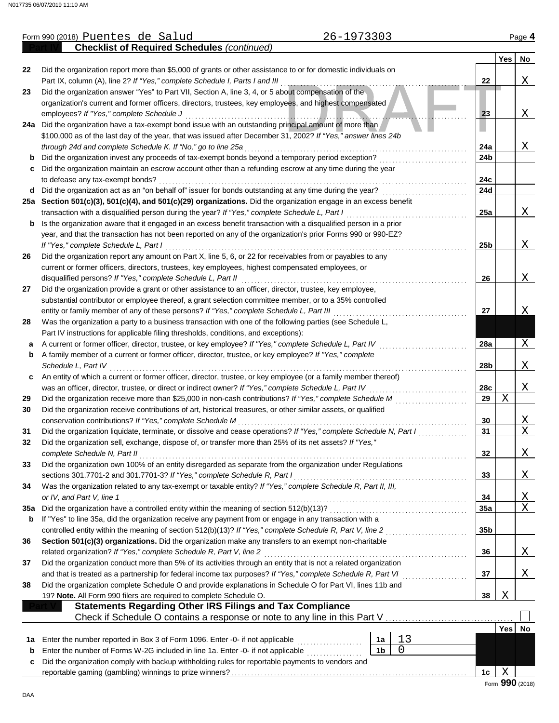|        | 26-1973303<br>Form 990 (2018) Puentes de Salud                                                                                                                                                                             |                 |     | Page 4    |
|--------|----------------------------------------------------------------------------------------------------------------------------------------------------------------------------------------------------------------------------|-----------------|-----|-----------|
|        | <b>Checklist of Required Schedules (continued)</b>                                                                                                                                                                         |                 |     |           |
|        |                                                                                                                                                                                                                            |                 | Yes | No        |
| 22     | Did the organization report more than \$5,000 of grants or other assistance to or for domestic individuals on                                                                                                              |                 |     |           |
|        | Part IX, column (A), line 2? If "Yes," complete Schedule I, Parts I and III<br>Did the organization answer "Yes" to Part VII, Section A, line 3, 4, or 5 about compensation of the                                         | 22              |     | Χ         |
| 23     | organization's current and former officers, directors, trustees, key employees, and highest compensated                                                                                                                    |                 |     |           |
|        | employees? If "Yes," complete Schedule J                                                                                                                                                                                   | 23              |     | Χ         |
|        | 24a Did the organization have a tax-exempt bond issue with an outstanding principal amount of more than                                                                                                                    |                 |     |           |
|        | \$100,000 as of the last day of the year, that was issued after December 31, 2002? If "Yes," answer lines 24b                                                                                                              |                 |     |           |
|        | through 24d and complete Schedule K. If "No," go to line 25a                                                                                                                                                               | 24a             |     | Χ         |
| b      | Did the organization invest any proceeds of tax-exempt bonds beyond a temporary period exception?                                                                                                                          | 24b             |     |           |
| c      | Did the organization maintain an escrow account other than a refunding escrow at any time during the year                                                                                                                  |                 |     |           |
|        | to defease any tax-exempt bonds?                                                                                                                                                                                           | 24c             |     |           |
|        | d Did the organization act as an "on behalf of" issuer for bonds outstanding at any time during the year?                                                                                                                  | 24d             |     |           |
|        | 25a Section 501(c)(3), 501(c)(4), and 501(c)(29) organizations. Did the organization engage in an excess benefit                                                                                                           |                 |     |           |
|        | transaction with a disqualified person during the year? If "Yes," complete Schedule L, Part I                                                                                                                              | 25a             |     | Χ         |
| b      | Is the organization aware that it engaged in an excess benefit transaction with a disqualified person in a prior                                                                                                           |                 |     |           |
|        | year, and that the transaction has not been reported on any of the organization's prior Forms 990 or 990-EZ?                                                                                                               |                 |     |           |
|        | If "Yes," complete Schedule L, Part I                                                                                                                                                                                      | 25 <sub>b</sub> |     | Χ         |
| 26     | Did the organization report any amount on Part X, line 5, 6, or 22 for receivables from or payables to any                                                                                                                 |                 |     |           |
|        | current or former officers, directors, trustees, key employees, highest compensated employees, or                                                                                                                          |                 |     |           |
|        | disqualified persons? If "Yes," complete Schedule L, Part II                                                                                                                                                               | 26              |     | Χ         |
| 27     | Did the organization provide a grant or other assistance to an officer, director, trustee, key employee,                                                                                                                   |                 |     |           |
|        | substantial contributor or employee thereof, a grant selection committee member, or to a 35% controlled                                                                                                                    |                 |     |           |
|        | entity or family member of any of these persons? If "Yes," complete Schedule L, Part III                                                                                                                                   | 27              |     | Χ         |
| 28     | Was the organization a party to a business transaction with one of the following parties (see Schedule L,                                                                                                                  |                 |     |           |
|        | Part IV instructions for applicable filing thresholds, conditions, and exceptions):                                                                                                                                        |                 |     | X         |
| а<br>b | A current or former officer, director, trustee, or key employee? If "Yes," complete Schedule L, Part IV<br>A family member of a current or former officer, director, trustee, or key employee? If "Yes," complete          | 28a             |     |           |
|        | Schedule L, Part IV                                                                                                                                                                                                        | 28b             |     | Χ         |
| c      | An entity of which a current or former officer, director, trustee, or key employee (or a family member thereof)                                                                                                            |                 |     |           |
|        | was an officer, director, trustee, or direct or indirect owner? If "Yes," complete Schedule L, Part IV                                                                                                                     | 28c             |     | Χ         |
| 29     | Did the organization receive more than \$25,000 in non-cash contributions? If "Yes," complete Schedule M                                                                                                                   | 29              | X   |           |
| 30     | Did the organization receive contributions of art, historical treasures, or other similar assets, or qualified                                                                                                             |                 |     |           |
|        | conservation contributions? If "Yes," complete Schedule M                                                                                                                                                                  | 30              |     | Χ         |
| 31     | Did the organization liquidate, terminate, or dissolve and cease operations? If "Yes," complete Schedule N, Part I                                                                                                         | 31              |     | X         |
|        | Did the organization sell, exchange, dispose of, or transfer more than 25% of its net assets? If "Yes,"                                                                                                                    |                 |     |           |
|        | complete Schedule N, Part II                                                                                                                                                                                               | 32              |     | Χ         |
| 33     | Did the organization own 100% of an entity disregarded as separate from the organization under Regulations                                                                                                                 |                 |     |           |
|        | sections 301.7701-2 and 301.7701-3? If "Yes," complete Schedule R, Part I                                                                                                                                                  | 33              |     | Χ         |
| 34     | Was the organization related to any tax-exempt or taxable entity? If "Yes," complete Schedule R, Part II, III,                                                                                                             |                 |     |           |
|        | or IV, and Part V, line 1                                                                                                                                                                                                  | 34              |     | <u>х</u>  |
| 35а    | Did the organization have a controlled entity within the meaning of section 512(b)(13)?                                                                                                                                    | 35a             |     | X         |
| b      | If "Yes" to line 35a, did the organization receive any payment from or engage in any transaction with a                                                                                                                    |                 |     |           |
|        | controlled entity within the meaning of section 512(b)(13)? If "Yes," complete Schedule R, Part V, line 2                                                                                                                  | 35 <sub>b</sub> |     |           |
| 36     | Section 501(c)(3) organizations. Did the organization make any transfers to an exempt non-charitable                                                                                                                       |                 |     |           |
|        | related organization? If "Yes," complete Schedule R, Part V, line 2                                                                                                                                                        | 36              |     | Χ         |
| 37     | Did the organization conduct more than 5% of its activities through an entity that is not a related organization                                                                                                           |                 |     |           |
| 38     | and that is treated as a partnership for federal income tax purposes? If "Yes," complete Schedule R, Part VI<br>Did the organization complete Schedule O and provide explanations in Schedule O for Part VI, lines 11b and | 37              |     | Χ         |
|        | 19? Note. All Form 990 filers are required to complete Schedule O.                                                                                                                                                         | 38              | Χ   |           |
|        | <b>Statements Regarding Other IRS Filings and Tax Compliance</b>                                                                                                                                                           |                 |     |           |
|        | Check if Schedule O contains a response or note to any line in this Part V                                                                                                                                                 |                 |     |           |
|        |                                                                                                                                                                                                                            |                 | Yes | <b>No</b> |
| 1a     | 13<br>Enter the number reported in Box 3 of Form 1096. Enter -0- if not applicable<br>1a                                                                                                                                   |                 |     |           |
| b      | 0<br>1 <sub>b</sub><br>Enter the number of Forms W-2G included in line 1a. Enter -0- if not applicable                                                                                                                     |                 |     |           |
| c      | Did the organization comply with backup withholding rules for reportable payments to vendors and                                                                                                                           |                 |     |           |
|        |                                                                                                                                                                                                                            | 1c              | Χ   |           |
|        |                                                                                                                                                                                                                            |                 |     |           |

DAA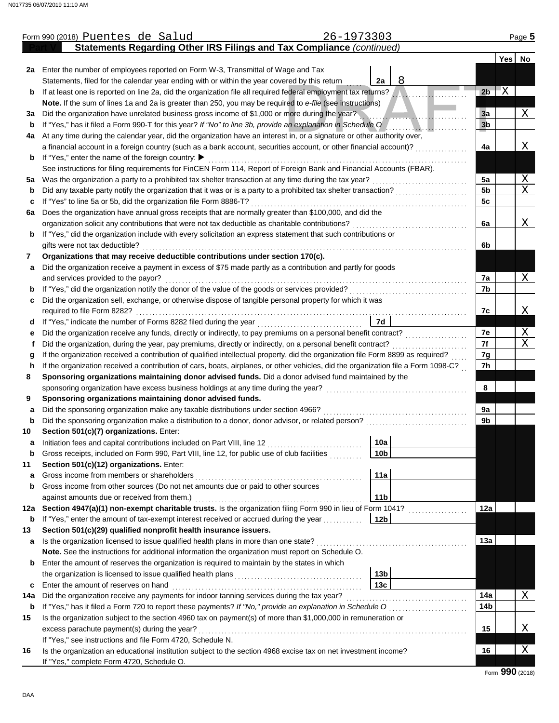|         | 26-1973303<br>Form 990 (2018) Puentes de Salud                                                                                                                                                                            |                 |              | Page 5                                    |
|---------|---------------------------------------------------------------------------------------------------------------------------------------------------------------------------------------------------------------------------|-----------------|--------------|-------------------------------------------|
|         | Statements Regarding Other IRS Filings and Tax Compliance (continued)                                                                                                                                                     |                 |              |                                           |
|         |                                                                                                                                                                                                                           |                 | Yes          | No                                        |
| 2a      | Enter the number of employees reported on Form W-3, Transmittal of Wage and Tax                                                                                                                                           |                 |              |                                           |
|         | 8<br>Statements, filed for the calendar year ending with or within the year covered by this return<br>2a                                                                                                                  |                 |              |                                           |
| b       | If at least one is reported on line 2a, did the organization file all required federal employment tax returns?                                                                                                            | 2 <sub>b</sub>  | $\mathbf{x}$ |                                           |
|         | Note. If the sum of lines 1a and 2a is greater than 250, you may be required to e-file (see instructions)                                                                                                                 |                 |              |                                           |
| За      | Did the organization have unrelated business gross income of \$1,000 or more during the year?                                                                                                                             | 3a              |              | X                                         |
| b       | If "Yes," has it filed a Form 990-T for this year? If "No" to line 3b, provide an explanation in Schedule O                                                                                                               | 3 <sub>b</sub>  |              |                                           |
| 4a      | At any time during the calendar year, did the organization have an interest in, or a signature or other authority over,                                                                                                   |                 |              |                                           |
|         | a financial account in a foreign country (such as a bank account, securities account, or other financial account)?                                                                                                        | 4a              |              | Χ                                         |
| b       | If "Yes," enter the name of the foreign country: ▶                                                                                                                                                                        |                 |              |                                           |
|         | See instructions for filing requirements for FinCEN Form 114, Report of Foreign Bank and Financial Accounts (FBAR).                                                                                                       | 5a              |              |                                           |
| 5а<br>b | Was the organization a party to a prohibited tax shelter transaction at any time during the tax year?<br>Did any taxable party notify the organization that it was or is a party to a prohibited tax shelter transaction? | 5 <sub>b</sub>  |              | $\overline{\mathrm{X}}$<br>$\overline{X}$ |
| c       | If "Yes" to line 5a or 5b, did the organization file Form 8886-T?                                                                                                                                                         | 5c              |              |                                           |
| 6a      | Does the organization have annual gross receipts that are normally greater than \$100,000, and did the                                                                                                                    |                 |              |                                           |
|         | organization solicit any contributions that were not tax deductible as charitable contributions?                                                                                                                          | 6a              |              | X                                         |
| b       | If "Yes," did the organization include with every solicitation an express statement that such contributions or                                                                                                            |                 |              |                                           |
|         | gifts were not tax deductible?                                                                                                                                                                                            | 6b              |              |                                           |
| 7       | Organizations that may receive deductible contributions under section 170(c).                                                                                                                                             |                 |              |                                           |
| a       | Did the organization receive a payment in excess of \$75 made partly as a contribution and partly for goods                                                                                                               |                 |              |                                           |
|         | and services provided to the payor?                                                                                                                                                                                       | 7a              |              | X                                         |
| b       | If "Yes," did the organization notify the donor of the value of the goods or services provided?                                                                                                                           | 7b              |              |                                           |
| с       | Did the organization sell, exchange, or otherwise dispose of tangible personal property for which it was                                                                                                                  |                 |              |                                           |
|         | required to file Form 8282?                                                                                                                                                                                               | 7c              |              | Χ                                         |
| d       | 7d<br>If "Yes," indicate the number of Forms 8282 filed during the year                                                                                                                                                   |                 |              |                                           |
| е       | Did the organization receive any funds, directly or indirectly, to pay premiums on a personal benefit contract?                                                                                                           | 7e              |              | $\overline{\mathrm{X}}$                   |
| f       | Did the organization, during the year, pay premiums, directly or indirectly, on a personal benefit contract?                                                                                                              | 7f              |              | $\mathbf X$                               |
| g       | If the organization received a contribution of qualified intellectual property, did the organization file Form 8899 as required?                                                                                          | 7g              |              |                                           |
| h       | If the organization received a contribution of cars, boats, airplanes, or other vehicles, did the organization file a Form 1098-C?                                                                                        | 7h              |              |                                           |
| 8       | Sponsoring organizations maintaining donor advised funds. Did a donor advised fund maintained by the                                                                                                                      |                 |              |                                           |
|         | sponsoring organization have excess business holdings at any time during the year?                                                                                                                                        | 8               |              |                                           |
| 9       | Sponsoring organizations maintaining donor advised funds.                                                                                                                                                                 |                 |              |                                           |
| a       | Did the sponsoring organization make any taxable distributions under section 4966?                                                                                                                                        | 9а              |              |                                           |
| b       | Did the sponsoring organization make a distribution to a donor, donor advisor, or related person?                                                                                                                         | 9 <sub>b</sub>  |              |                                           |
| 10      | Section 501(c)(7) organizations. Enter:                                                                                                                                                                                   |                 |              |                                           |
| а       | Initiation fees and capital contributions included on Part VIII, line 12<br>10a<br>10 <sub>b</sub><br>Gross receipts, included on Form 990, Part VIII, line 12, for public use of club facilities                         |                 |              |                                           |
| b<br>11 | Section 501(c)(12) organizations. Enter:                                                                                                                                                                                  |                 |              |                                           |
| a       | Gross income from members or shareholders<br>11a                                                                                                                                                                          |                 |              |                                           |
| b       | Gross income from other sources (Do not net amounts due or paid to other sources                                                                                                                                          |                 |              |                                           |
|         | against amounts due or received from them.)<br>11 <sub>b</sub>                                                                                                                                                            |                 |              |                                           |
| 12a     | Section 4947(a)(1) non-exempt charitable trusts. Is the organization filing Form 990 in lieu of Form 1041?                                                                                                                | 12a             |              |                                           |
| b       | If "Yes," enter the amount of tax-exempt interest received or accrued during the year<br>12 <sub>b</sub>                                                                                                                  |                 |              |                                           |
| 13      | Section 501(c)(29) qualified nonprofit health insurance issuers.                                                                                                                                                          |                 |              |                                           |
| а       | Is the organization licensed to issue qualified health plans in more than one state?                                                                                                                                      | 13a             |              |                                           |
|         | Note. See the instructions for additional information the organization must report on Schedule O.                                                                                                                         |                 |              |                                           |
| b       | Enter the amount of reserves the organization is required to maintain by the states in which                                                                                                                              |                 |              |                                           |
|         | 13 <sub>b</sub>                                                                                                                                                                                                           |                 |              |                                           |
| c       | 13 <sub>c</sub><br>Enter the amount of reserves on hand                                                                                                                                                                   |                 |              |                                           |
| 14a     | Did the organization receive any payments for indoor tanning services during the tax year?                                                                                                                                | 14a             |              | Χ                                         |
| b       |                                                                                                                                                                                                                           | 14 <sub>b</sub> |              |                                           |
| 15      | Is the organization subject to the section 4960 tax on payment(s) of more than \$1,000,000 in remuneration or                                                                                                             |                 |              |                                           |
|         | excess parachute payment(s) during the year?                                                                                                                                                                              | 15              |              | Χ                                         |
|         | If "Yes," see instructions and file Form 4720, Schedule N.                                                                                                                                                                |                 |              |                                           |
| 16      | Is the organization an educational institution subject to the section 4968 excise tax on net investment income?                                                                                                           | 16              |              | Χ                                         |
|         | If "Yes," complete Form 4720, Schedule O.                                                                                                                                                                                 |                 |              |                                           |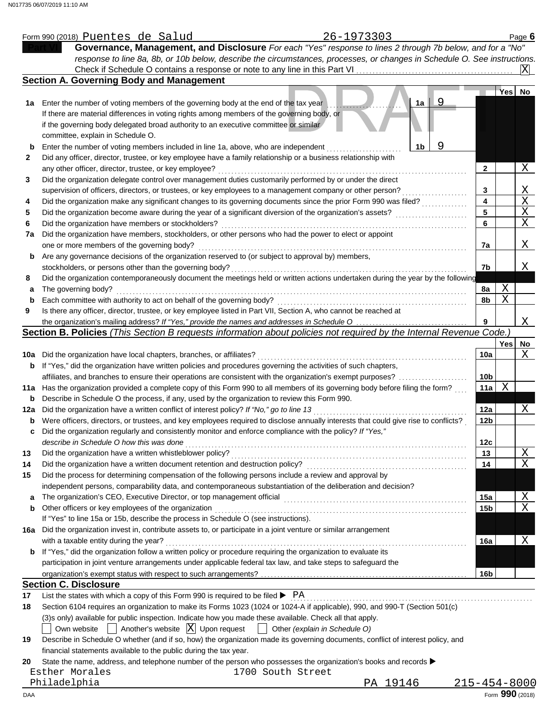|                   | 26-1973303<br>Form 990 (2018) Puentes de Salud                                                                                                                                                       |                 |                 | Page 6                  |
|-------------------|------------------------------------------------------------------------------------------------------------------------------------------------------------------------------------------------------|-----------------|-----------------|-------------------------|
|                   | Governance, Management, and Disclosure For each "Yes" response to lines 2 through 7b below, and for a "No"                                                                                           |                 |                 |                         |
|                   | response to line 8a, 8b, or 10b below, describe the circumstances, processes, or changes in Schedule O. See instructions.                                                                            |                 |                 |                         |
|                   |                                                                                                                                                                                                      |                 |                 | ΙXΙ                     |
|                   | <b>Section A. Governing Body and Management</b>                                                                                                                                                      |                 |                 |                         |
|                   |                                                                                                                                                                                                      |                 | Yes No          |                         |
| 1a                | 9<br>Enter the number of voting members of the governing body at the end of the tax year<br>1a                                                                                                       |                 |                 |                         |
|                   | If there are material differences in voting rights among members of the governing body, or                                                                                                           |                 |                 |                         |
|                   | if the governing body delegated broad authority to an executive committee or similar                                                                                                                 |                 |                 |                         |
|                   | committee, explain in Schedule O.<br>9<br>1b                                                                                                                                                         |                 |                 |                         |
| b<br>$\mathbf{2}$ | Enter the number of voting members included in line 1a, above, who are independent<br>Did any officer, director, trustee, or key employee have a family relationship or a business relationship with |                 |                 |                         |
|                   | any other officer, director, trustee, or key employee?                                                                                                                                               | $\mathbf{2}$    |                 | Χ                       |
| 3                 | Did the organization delegate control over management duties customarily performed by or under the direct                                                                                            |                 |                 |                         |
|                   | supervision of officers, directors, or trustees, or key employees to a management company or other person?                                                                                           | 3               |                 | <u>X</u>                |
| 4                 | Did the organization make any significant changes to its governing documents since the prior Form 990 was filed?                                                                                     | 4               |                 | $\overline{\mathrm{X}}$ |
| 5                 | Did the organization become aware during the year of a significant diversion of the organization's assets?                                                                                           | 5               |                 | $\overline{\text{X}}$   |
| 6                 | Did the organization have members or stockholders?                                                                                                                                                   | 6               |                 | $\mathbf X$             |
| 7a                | Did the organization have members, stockholders, or other persons who had the power to elect or appoint                                                                                              |                 |                 |                         |
|                   | one or more members of the governing body?                                                                                                                                                           | 7a              |                 | Χ                       |
| b                 | Are any governance decisions of the organization reserved to (or subject to approval by) members,                                                                                                    |                 |                 |                         |
|                   | stockholders, or persons other than the governing body?                                                                                                                                              | 7b              |                 | Χ                       |
| 8                 | Did the organization contemporaneously document the meetings held or written actions undertaken during the year by the following                                                                     |                 |                 |                         |
| a                 | The governing body?                                                                                                                                                                                  | 8a              | Χ               |                         |
| b                 | Each committee with authority to act on behalf of the governing body?                                                                                                                                | 8b              | $\overline{X}$  |                         |
| 9                 | Is there any officer, director, trustee, or key employee listed in Part VII, Section A, who cannot be reached at                                                                                     |                 |                 |                         |
|                   |                                                                                                                                                                                                      | 9               |                 | X                       |
|                   | Section B. Policies (This Section B requests information about policies not required by the Internal Revenue Code.)                                                                                  |                 |                 |                         |
|                   |                                                                                                                                                                                                      |                 | Yes l           | No<br>X                 |
| 10a               | Did the organization have local chapters, branches, or affiliates?<br><b>b</b> If "Yes," did the organization have written policies and procedures governing the activities of such chapters,        | 10a             |                 |                         |
|                   |                                                                                                                                                                                                      | 10 <sub>b</sub> |                 |                         |
|                   | 11a Has the organization provided a complete copy of this Form 990 to all members of its governing body before filing the form?                                                                      | 11a             | X               |                         |
| b                 | Describe in Schedule O the process, if any, used by the organization to review this Form 990.                                                                                                        |                 |                 |                         |
| 12a               | Did the organization have a written conflict of interest policy? If "No," go to line 13                                                                                                              | 12a             |                 | Χ                       |
| b                 | Were officers, directors, or trustees, and key employees required to disclose annually interests that could give rise to conflicts?                                                                  | 12 <sub>b</sub> |                 |                         |
| c                 | Did the organization regularly and consistently monitor and enforce compliance with the policy? If "Yes,"                                                                                            |                 |                 |                         |
|                   | describe in Schedule O how this was done                                                                                                                                                             | 12c             |                 |                         |
| 13                | Did the organization have a written whistleblower policy?                                                                                                                                            | 13              |                 | Χ                       |
| 14                | Did the organization have a written document retention and destruction policy?                                                                                                                       | 14              |                 | $\overline{X}$          |
| 15                | Did the process for determining compensation of the following persons include a review and approval by                                                                                               |                 |                 |                         |
|                   | independent persons, comparability data, and contemporaneous substantiation of the deliberation and decision?                                                                                        |                 |                 |                         |
| a                 | The organization's CEO, Executive Director, or top management official                                                                                                                               | 15a             |                 | X                       |
| b                 | Other officers or key employees of the organization                                                                                                                                                  | 15 <sub>b</sub> |                 | $\overline{X}$          |
|                   | If "Yes" to line 15a or 15b, describe the process in Schedule O (see instructions).                                                                                                                  |                 |                 |                         |
| 16a               | Did the organization invest in, contribute assets to, or participate in a joint venture or similar arrangement                                                                                       |                 |                 |                         |
|                   | with a taxable entity during the year?<br>If "Yes," did the organization follow a written policy or procedure requiring the organization to evaluate its                                             | 16a             |                 | X                       |
|                   | participation in joint venture arrangements under applicable federal tax law, and take steps to safeguard the                                                                                        |                 |                 |                         |
|                   |                                                                                                                                                                                                      | 16 <sub>b</sub> |                 |                         |
|                   | <b>Section C. Disclosure</b>                                                                                                                                                                         |                 |                 |                         |
| 17                | List the states with which a copy of this Form 990 is required to be filed $\blacktriangleright$ PA                                                                                                  |                 |                 |                         |
| 18                | Section 6104 requires an organization to make its Forms 1023 (1024 or 1024-A if applicable), 990, and 990-T (Section 501(c)                                                                          |                 |                 |                         |
|                   | (3)s only) available for public inspection. Indicate how you made these available. Check all that apply.                                                                                             |                 |                 |                         |
|                   | Another's website $ X $ Upon request<br>Other (explain in Schedule O)<br>Own website                                                                                                                 |                 |                 |                         |
| 19                | Describe in Schedule O whether (and if so, how) the organization made its governing documents, conflict of interest policy, and                                                                      |                 |                 |                         |
|                   | financial statements available to the public during the tax year.                                                                                                                                    |                 |                 |                         |
| 20                | State the name, address, and telephone number of the person who possesses the organization's books and records $\blacktriangleright$                                                                 |                 |                 |                         |
|                   | Esther Morales<br>1700 South Street                                                                                                                                                                  |                 |                 |                         |
|                   | Philadelphia<br>PA 19146<br>$215 - 454 - 8000$                                                                                                                                                       |                 |                 |                         |
| DAA               |                                                                                                                                                                                                      |                 | Form 990 (2018) |                         |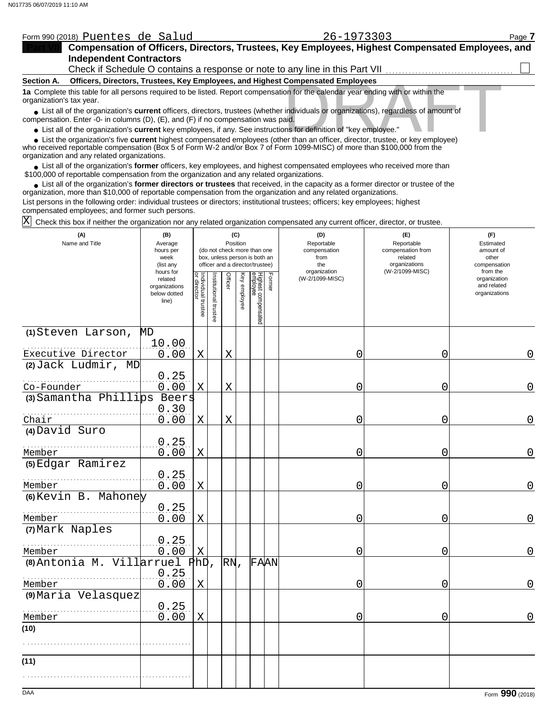| Form 990 (2018) Puentes de Salud                                                                                                                                                                                                                                                                           | 26-1973303 | Page 7 |
|------------------------------------------------------------------------------------------------------------------------------------------------------------------------------------------------------------------------------------------------------------------------------------------------------------|------------|--------|
| Compensation of Officers, Directors, Trustees, Key Employees, Highest Compensated Employees, and                                                                                                                                                                                                           |            |        |
| <b>Independent Contractors</b>                                                                                                                                                                                                                                                                             |            |        |
| Check if Schedule O contains a response or note to any line in this Part VII                                                                                                                                                                                                                               |            |        |
| Officers, Directors, Trustees, Key Employees, and Highest Compensated Employees<br>Section A.                                                                                                                                                                                                              |            |        |
| 1a Complete this table for all persons required to be listed. Report compensation for the calendar year ending with or within the<br>organization's tax year.                                                                                                                                              |            |        |
| • List all of the organization's current officers, directors, trustees (whether individuals or organizations), regardless of amount of<br>compensation. Enter -0- in columns $(D)$ , $(E)$ , and $(F)$ if no compensation was paid.                                                                        |            |        |
| • List all of the organization's current key employees, if any. See instructions for definition of "key employee."                                                                                                                                                                                         |            |        |
| • List the organization's five current highest compensated employees (other than an officer, director, trustee, or key employee)<br>who received reportable compensation (Box 5 of Form W-2 and/or Box 7 of Form 1099-MISC) of more than \$100,000 from the<br>organization and any related organizations. |            |        |
| J ict all of the ergenization's <b>former</b> efficers, less employees, and bighest compensated employees who resoured mere than                                                                                                                                                                           |            |        |

List all of the organization's **former** officers, key employees, and highest compensated employees who received more than ● List all of the organization's **former** officers, key employees, and highest compensate \$100,000 of reportable compensation from the organization and any related organizations.

List all of the organization's **former directors or trustees** that received, in the capacity as a former director or trustee of the • List all of the organization's **former directors or trustees** that received, in the capacity as a former director organization, more than \$10,000 of reportable compensation from the organization and any related organizat List persons in the following order: individual trustees or directors; institutional trustees; officers; key employees; highest compensated employees; and former such persons.

 $\overline{X}$  Check this box if neither the organization nor any related organization compensated any current officer, director, or trustee.

| (A)<br>Name and Title | (B)<br>Average<br>hours per<br>week<br>(list any<br>hours for | (C)<br>Position<br>(do not check more than one<br>box, unless person is both an<br>officer and a director/trustee) |                       |             |              |                                 |        | (D)<br>Reportable<br>compensation<br>from<br>the<br>organization | (F)<br>Reportable<br>compensation from<br>related<br>organizations<br>(W-2/1099-MISC) | (F)<br>Estimated<br>amount of<br>other<br>compensation<br>from the |  |
|-----------------------|---------------------------------------------------------------|--------------------------------------------------------------------------------------------------------------------|-----------------------|-------------|--------------|---------------------------------|--------|------------------------------------------------------------------|---------------------------------------------------------------------------------------|--------------------------------------------------------------------|--|
|                       | related<br>organizations<br>below dotted<br>line)             | Individual trustee<br>or director                                                                                  | Institutional trustee | Officer     | Key employee | Highest compensated<br>employee | Former | (W-2/1099-MISC)                                                  |                                                                                       | organization<br>and related<br>organizations                       |  |
| (1) Steven Larson,    | MD<br>10.00                                                   |                                                                                                                    |                       |             |              |                                 |        |                                                                  |                                                                                       |                                                                    |  |
| Executive Director    | 0.00                                                          | X                                                                                                                  |                       | X           |              |                                 |        | 0                                                                | 0                                                                                     | 0                                                                  |  |
| (2) Jack Ludmir, MD   |                                                               |                                                                                                                    |                       |             |              |                                 |        |                                                                  |                                                                                       |                                                                    |  |
| Co-Founder            | 0.25<br>0.00                                                  | X                                                                                                                  |                       | $\mathbf X$ |              |                                 |        | 0                                                                | 0                                                                                     | 0                                                                  |  |
| (3) Samantha Phillips | Beers                                                         |                                                                                                                    |                       |             |              |                                 |        |                                                                  |                                                                                       |                                                                    |  |
| Chair                 | 0.30<br>0.00                                                  | X                                                                                                                  |                       | X           |              |                                 |        | 0                                                                | 0                                                                                     | 0                                                                  |  |
| (4) David Suro        |                                                               |                                                                                                                    |                       |             |              |                                 |        |                                                                  |                                                                                       |                                                                    |  |
| Member                | 0.25<br>0.00                                                  | X                                                                                                                  |                       |             |              |                                 |        | 0                                                                | 0                                                                                     | 0                                                                  |  |
| (5) Edgar Ramirez     |                                                               |                                                                                                                    |                       |             |              |                                 |        |                                                                  |                                                                                       |                                                                    |  |
| Member                | 0.25<br>0.00                                                  | X                                                                                                                  |                       |             |              |                                 |        | 0                                                                | 0                                                                                     | 0                                                                  |  |
| (6) Kevin B. Mahoney  |                                                               |                                                                                                                    |                       |             |              |                                 |        |                                                                  |                                                                                       |                                                                    |  |
| Member                | 0.25<br>0.00                                                  | Χ                                                                                                                  |                       |             |              |                                 |        | 0                                                                | 0                                                                                     | 0                                                                  |  |
| (7) Mark Naples       |                                                               |                                                                                                                    |                       |             |              |                                 |        |                                                                  |                                                                                       |                                                                    |  |
| Member                | 0.25<br>0.00                                                  | Χ                                                                                                                  |                       |             |              |                                 |        | 0                                                                | 0                                                                                     | 0                                                                  |  |
| (8) Antonia M.        | Villarruel                                                    | $\overline{\texttt{PhD}}$ ,                                                                                        |                       | $RN$ ,      |              | FAAN                            |        |                                                                  |                                                                                       |                                                                    |  |
| Member                | 0.25<br>0.00                                                  | X                                                                                                                  |                       |             |              |                                 |        | 0                                                                | 0                                                                                     | 0                                                                  |  |
| (9) Maria Velasquez   |                                                               |                                                                                                                    |                       |             |              |                                 |        |                                                                  |                                                                                       |                                                                    |  |
| Member                | 0.25<br>0.00                                                  | X                                                                                                                  |                       |             |              |                                 |        | $\mathbf 0$                                                      | 0                                                                                     | $\mathbf 0$                                                        |  |
| (10)                  |                                                               |                                                                                                                    |                       |             |              |                                 |        |                                                                  |                                                                                       |                                                                    |  |
|                       |                                                               |                                                                                                                    |                       |             |              |                                 |        |                                                                  |                                                                                       |                                                                    |  |
| (11)                  |                                                               |                                                                                                                    |                       |             |              |                                 |        |                                                                  |                                                                                       |                                                                    |  |
|                       |                                                               |                                                                                                                    |                       |             |              |                                 |        |                                                                  |                                                                                       |                                                                    |  |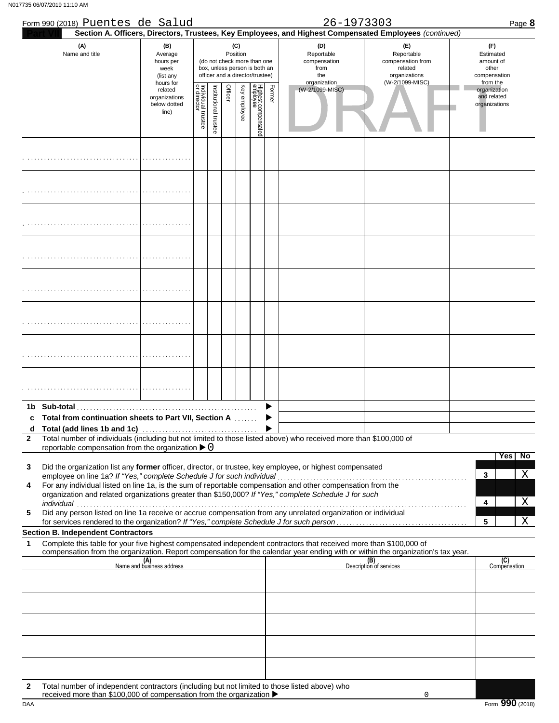| Form 990 (2018) Puentes de Salud                                                                                                                                                                                                                                                                                                                                                                                     |                                                                                                                                                                                     |                                   |                      |         |              |                                 |                                                                  | 26-1973303                                                                            |                                                                                                        |                                              | Page 8              |
|----------------------------------------------------------------------------------------------------------------------------------------------------------------------------------------------------------------------------------------------------------------------------------------------------------------------------------------------------------------------------------------------------------------------|-------------------------------------------------------------------------------------------------------------------------------------------------------------------------------------|-----------------------------------|----------------------|---------|--------------|---------------------------------|------------------------------------------------------------------|---------------------------------------------------------------------------------------|--------------------------------------------------------------------------------------------------------|----------------------------------------------|---------------------|
|                                                                                                                                                                                                                                                                                                                                                                                                                      |                                                                                                                                                                                     |                                   |                      |         |              |                                 |                                                                  |                                                                                       | Section A. Officers, Directors, Trustees, Key Employees, and Highest Compensated Employees (continued) |                                              |                     |
| (A)<br>Name and title                                                                                                                                                                                                                                                                                                                                                                                                | (B)<br>(C)<br>Position<br>Average<br>(do not check more than one<br>hours per<br>box, unless person is both an<br>week<br>officer and a director/trustee)<br>(list any<br>hours for |                                   |                      |         |              |                                 | (D)<br>Reportable<br>compensation<br>from<br>the<br>organization | (F)<br>Reportable<br>compensation from<br>related<br>organizations<br>(W-2/1099-MISC) | (F)<br>Estimated<br>amount of<br>other<br>compensation<br>from the                                     |                                              |                     |
|                                                                                                                                                                                                                                                                                                                                                                                                                      | related<br>organizations<br>below dotted<br>line)                                                                                                                                   | Individual trustee<br>or director | nstitutional trustee | Officer | Key employee | Highest compensated<br>employee | Former                                                           | (W-2/1099-MISC)                                                                       |                                                                                                        | organization<br>and related<br>organizations |                     |
|                                                                                                                                                                                                                                                                                                                                                                                                                      |                                                                                                                                                                                     |                                   |                      |         |              |                                 |                                                                  |                                                                                       |                                                                                                        |                                              |                     |
|                                                                                                                                                                                                                                                                                                                                                                                                                      |                                                                                                                                                                                     |                                   |                      |         |              |                                 |                                                                  |                                                                                       |                                                                                                        |                                              |                     |
|                                                                                                                                                                                                                                                                                                                                                                                                                      |                                                                                                                                                                                     |                                   |                      |         |              |                                 |                                                                  |                                                                                       |                                                                                                        |                                              |                     |
|                                                                                                                                                                                                                                                                                                                                                                                                                      |                                                                                                                                                                                     |                                   |                      |         |              |                                 |                                                                  |                                                                                       |                                                                                                        |                                              |                     |
|                                                                                                                                                                                                                                                                                                                                                                                                                      |                                                                                                                                                                                     |                                   |                      |         |              |                                 |                                                                  |                                                                                       |                                                                                                        |                                              |                     |
|                                                                                                                                                                                                                                                                                                                                                                                                                      |                                                                                                                                                                                     |                                   |                      |         |              |                                 |                                                                  |                                                                                       |                                                                                                        |                                              |                     |
|                                                                                                                                                                                                                                                                                                                                                                                                                      |                                                                                                                                                                                     |                                   |                      |         |              |                                 |                                                                  |                                                                                       |                                                                                                        |                                              |                     |
|                                                                                                                                                                                                                                                                                                                                                                                                                      |                                                                                                                                                                                     |                                   |                      |         |              |                                 |                                                                  |                                                                                       |                                                                                                        |                                              |                     |
| 1b.<br>Total from continuation sheets to Part VII, Section A<br>d                                                                                                                                                                                                                                                                                                                                                    |                                                                                                                                                                                     |                                   |                      |         |              |                                 |                                                                  |                                                                                       |                                                                                                        |                                              |                     |
| Total number of individuals (including but not limited to those listed above) who received more than \$100,000 of<br>$\mathbf{2}$<br>reportable compensation from the organization $\triangleright$ 0                                                                                                                                                                                                                |                                                                                                                                                                                     |                                   |                      |         |              |                                 |                                                                  |                                                                                       |                                                                                                        |                                              |                     |
| Did the organization list any former officer, director, or trustee, key employee, or highest compensated<br>3<br>employee on line 1a? If "Yes," complete Schedule J for such individual<br>For any individual listed on line 1a, is the sum of reportable compensation and other compensation from the<br>4<br>organization and related organizations greater than \$150,000? If "Yes," complete Schedule J for such |                                                                                                                                                                                     |                                   |                      |         |              |                                 |                                                                  |                                                                                       |                                                                                                        | 3<br>4                                       | Yes No<br>Χ<br>Χ    |
| Did any person listed on line 1a receive or accrue compensation from any unrelated organization or individual<br>5<br>for services rendered to the organization? If "Yes," complete Schedule J for such person                                                                                                                                                                                                       |                                                                                                                                                                                     |                                   |                      |         |              |                                 |                                                                  |                                                                                       |                                                                                                        | 5                                            | X                   |
| <b>Section B. Independent Contractors</b>                                                                                                                                                                                                                                                                                                                                                                            |                                                                                                                                                                                     |                                   |                      |         |              |                                 |                                                                  |                                                                                       |                                                                                                        |                                              |                     |
| Complete this table for your five highest compensated independent contractors that received more than \$100,000 of<br>1<br>compensation from the organization. Report compensation for the calendar year ending with or within the organization's tax year.                                                                                                                                                          |                                                                                                                                                                                     |                                   |                      |         |              |                                 |                                                                  |                                                                                       |                                                                                                        |                                              |                     |
|                                                                                                                                                                                                                                                                                                                                                                                                                      | (A)<br>Name and business address                                                                                                                                                    |                                   |                      |         |              |                                 |                                                                  |                                                                                       | (B)<br>Description of services                                                                         |                                              | (C)<br>Compensation |
|                                                                                                                                                                                                                                                                                                                                                                                                                      |                                                                                                                                                                                     |                                   |                      |         |              |                                 |                                                                  |                                                                                       |                                                                                                        |                                              |                     |
|                                                                                                                                                                                                                                                                                                                                                                                                                      |                                                                                                                                                                                     |                                   |                      |         |              |                                 |                                                                  |                                                                                       |                                                                                                        |                                              |                     |
|                                                                                                                                                                                                                                                                                                                                                                                                                      |                                                                                                                                                                                     |                                   |                      |         |              |                                 |                                                                  |                                                                                       |                                                                                                        |                                              |                     |
|                                                                                                                                                                                                                                                                                                                                                                                                                      |                                                                                                                                                                                     |                                   |                      |         |              |                                 |                                                                  |                                                                                       |                                                                                                        |                                              |                     |
|                                                                                                                                                                                                                                                                                                                                                                                                                      |                                                                                                                                                                                     |                                   |                      |         |              |                                 |                                                                  |                                                                                       |                                                                                                        |                                              |                     |
|                                                                                                                                                                                                                                                                                                                                                                                                                      |                                                                                                                                                                                     |                                   |                      |         |              |                                 |                                                                  |                                                                                       |                                                                                                        |                                              |                     |
| Total number of independent contractors (including but not limited to those listed above) who<br>2<br>received more than \$100,000 of compensation from the organization ▶                                                                                                                                                                                                                                           |                                                                                                                                                                                     |                                   |                      |         |              |                                 |                                                                  |                                                                                       | $\Omega$                                                                                               |                                              |                     |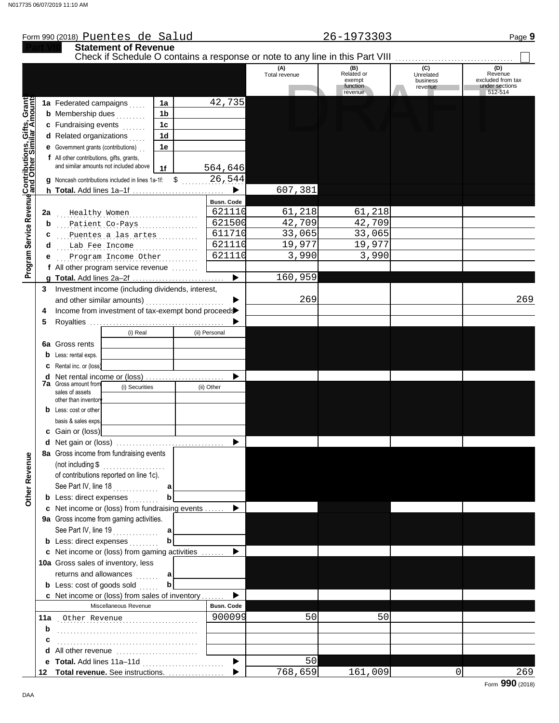|                                                                                                         | <b>Statement of Revenue</b><br>Check if Schedule O contains a response or note to any line in this Part VIII |                                                         |                |    |                       |               |                             |                       |                              |  |  |  |
|---------------------------------------------------------------------------------------------------------|--------------------------------------------------------------------------------------------------------------|---------------------------------------------------------|----------------|----|-----------------------|---------------|-----------------------------|-----------------------|------------------------------|--|--|--|
|                                                                                                         |                                                                                                              |                                                         |                |    |                       | (A)           |                             | (C)                   | (D)                          |  |  |  |
|                                                                                                         |                                                                                                              |                                                         |                |    |                       | Total revenue | (B)<br>Related or<br>exempt | Unrelated<br>business | Revenue<br>excluded from tax |  |  |  |
|                                                                                                         |                                                                                                              |                                                         |                |    |                       |               | function<br>revenue         | revenue               | under sections<br>512-514    |  |  |  |
|                                                                                                         |                                                                                                              | 1a Federated campaigns                                  | 1a             |    | 42,735                |               |                             |                       |                              |  |  |  |
| Program Service Revenue Contributions, Gifts, Grant<br>Program Service Revenue and Other Similar Amount |                                                                                                              | <b>b</b> Membership dues                                | 1b             |    |                       |               |                             |                       |                              |  |  |  |
|                                                                                                         |                                                                                                              | c Fundraising events                                    | 1 <sup>c</sup> |    |                       |               |                             |                       |                              |  |  |  |
|                                                                                                         |                                                                                                              | d Related organizations                                 | 1d             |    |                       |               |                             |                       |                              |  |  |  |
|                                                                                                         |                                                                                                              | <b>e</b> Government grants (contributions)              | 1e             |    |                       |               |                             |                       |                              |  |  |  |
|                                                                                                         |                                                                                                              | f All other contributions, gifts, grants,               |                |    |                       |               |                             |                       |                              |  |  |  |
|                                                                                                         |                                                                                                              | and similar amounts not included above                  | 1f             |    | 564,646               |               |                             |                       |                              |  |  |  |
|                                                                                                         |                                                                                                              | <b>q</b> Noncash contributions included in lines 1a-1f: |                | \$ | 26,544                |               |                             |                       |                              |  |  |  |
|                                                                                                         |                                                                                                              |                                                         |                |    | $\blacktriangleright$ | 607,381       |                             |                       |                              |  |  |  |
|                                                                                                         |                                                                                                              |                                                         |                |    | Busn. Code            |               |                             |                       |                              |  |  |  |
|                                                                                                         | 2a                                                                                                           | Healthy Women                                           |                | .  | 621110                | 61,218        | 61,218                      |                       |                              |  |  |  |
|                                                                                                         | b                                                                                                            | Patient Co-Pays                                         |                |    | 621500                | 42,709        | 42,709                      |                       |                              |  |  |  |
|                                                                                                         | c                                                                                                            | puentes a las artes                                     |                |    | 611710                | 33,065        | 33,065                      |                       |                              |  |  |  |
|                                                                                                         | d                                                                                                            | Lab Fee Income                                          |                |    | 621110                | 19,977        | 19,977                      |                       |                              |  |  |  |
|                                                                                                         | е                                                                                                            | Program Income Other                                    |                |    | 621110                | 3,990         | 3,990                       |                       |                              |  |  |  |
|                                                                                                         |                                                                                                              | f All other program service revenue                     |                |    |                       |               |                             |                       |                              |  |  |  |
|                                                                                                         |                                                                                                              | g Total. Add lines 2a-2f                                |                |    |                       | 160,959       |                             |                       |                              |  |  |  |
|                                                                                                         | 3                                                                                                            | Investment income (including dividends, interest,       |                |    |                       |               |                             |                       |                              |  |  |  |
|                                                                                                         |                                                                                                              | and other similar amounts)                              |                |    |                       | 269           |                             |                       | 269                          |  |  |  |
|                                                                                                         | Income from investment of tax-exempt bond proceed<br>4                                                       |                                                         |                |    |                       |               |                             |                       |                              |  |  |  |
|                                                                                                         | 5                                                                                                            |                                                         |                |    |                       |               |                             |                       |                              |  |  |  |
|                                                                                                         |                                                                                                              | (i) Real                                                |                |    | (ii) Personal         |               |                             |                       |                              |  |  |  |
|                                                                                                         |                                                                                                              | <b>6a</b> Gross rents                                   |                |    |                       |               |                             |                       |                              |  |  |  |
|                                                                                                         | b                                                                                                            | Less: rental exps.                                      |                |    |                       |               |                             |                       |                              |  |  |  |
|                                                                                                         | c<br>d                                                                                                       | Rental inc. or (loss)                                   |                |    |                       |               |                             |                       |                              |  |  |  |
|                                                                                                         | <b>7a</b> Gross amount from<br>(i) Securities<br>(ii) Other<br>sales of assets<br>other than inventory       |                                                         |                |    |                       |               |                             |                       |                              |  |  |  |
|                                                                                                         |                                                                                                              |                                                         |                |    |                       |               |                             |                       |                              |  |  |  |
|                                                                                                         |                                                                                                              | <b>b</b> Less: cost or other                            |                |    |                       |               |                             |                       |                              |  |  |  |
|                                                                                                         |                                                                                                              | basis & sales exps.                                     |                |    |                       |               |                             |                       |                              |  |  |  |
|                                                                                                         |                                                                                                              | c Gain or (loss)                                        |                |    |                       |               |                             |                       |                              |  |  |  |
|                                                                                                         |                                                                                                              |                                                         |                |    |                       |               |                             |                       |                              |  |  |  |
|                                                                                                         |                                                                                                              | 8a Gross income from fundraising events                 |                |    |                       |               |                             |                       |                              |  |  |  |
|                                                                                                         |                                                                                                              | (not including \$                                       |                |    |                       |               |                             |                       |                              |  |  |  |
|                                                                                                         |                                                                                                              | of contributions reported on line 1c).                  |                |    |                       |               |                             |                       |                              |  |  |  |
|                                                                                                         |                                                                                                              | See Part IV, line 18                                    | a              |    |                       |               |                             |                       |                              |  |  |  |
| Other Revenue                                                                                           |                                                                                                              | <b>b</b> Less: direct expenses                          | b              |    |                       |               |                             |                       |                              |  |  |  |
|                                                                                                         |                                                                                                              | c Net income or (loss) from fundraising events          |                |    |                       |               |                             |                       |                              |  |  |  |
|                                                                                                         |                                                                                                              | 9a Gross income from gaming activities.                 |                |    |                       |               |                             |                       |                              |  |  |  |
|                                                                                                         |                                                                                                              | See Part IV, line 19                                    | a              |    |                       |               |                             |                       |                              |  |  |  |
|                                                                                                         |                                                                                                              | <b>b</b> Less: direct expenses                          | b              |    |                       |               |                             |                       |                              |  |  |  |
|                                                                                                         |                                                                                                              | <b>c</b> Net income or (loss) from gaming activities    |                |    |                       |               |                             |                       |                              |  |  |  |
|                                                                                                         |                                                                                                              | 10a Gross sales of inventory, less                      |                |    |                       |               |                             |                       |                              |  |  |  |
|                                                                                                         |                                                                                                              | returns and allowances                                  | a              |    |                       |               |                             |                       |                              |  |  |  |
|                                                                                                         |                                                                                                              | <b>b</b> Less: cost of goods sold                       | $\mathbf b$    |    |                       |               |                             |                       |                              |  |  |  |
|                                                                                                         |                                                                                                              | <b>c</b> Net income or (loss) from sales of inventory   |                |    | ▶                     |               |                             |                       |                              |  |  |  |
|                                                                                                         |                                                                                                              | Miscellaneous Revenue                                   |                |    | <b>Busn. Code</b>     |               |                             |                       |                              |  |  |  |
|                                                                                                         |                                                                                                              | 11a Other Revenue                                       |                |    | 900099                | 50            | 50                          |                       |                              |  |  |  |
|                                                                                                         | b                                                                                                            |                                                         |                |    |                       |               |                             |                       |                              |  |  |  |
|                                                                                                         |                                                                                                              |                                                         |                |    |                       |               |                             |                       |                              |  |  |  |
|                                                                                                         |                                                                                                              |                                                         |                |    |                       |               |                             |                       |                              |  |  |  |
|                                                                                                         |                                                                                                              |                                                         |                |    | $\blacktriangleright$ | 50            |                             |                       |                              |  |  |  |
|                                                                                                         |                                                                                                              | 12 Total revenue. See instructions.                     |                |    | $\blacktriangleright$ | 768, 659      | 161,009                     | $\overline{0}$        | 269                          |  |  |  |

Form 990 (2018) Page **9** Puentes de Salud 26-1973303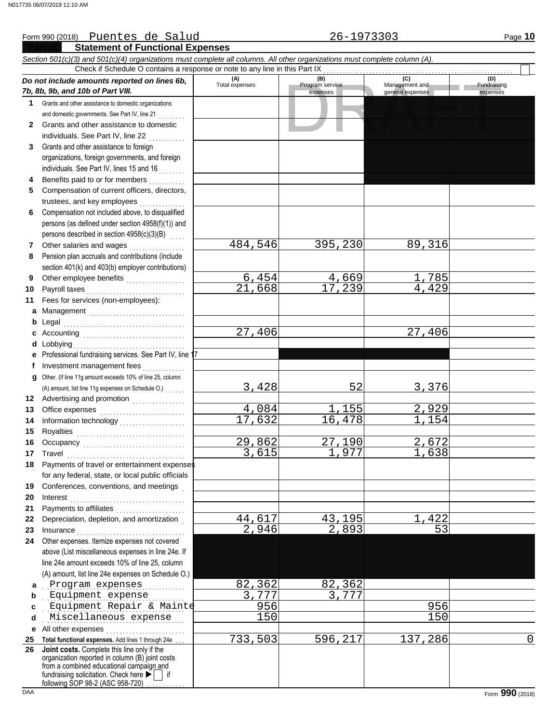#### **Statement of Functional Expenses** Form 990 (2018) Page **10** Puentes de Salud 26-1973303 DAA Form **990** (2018) *Section 501(c)(3) and 501(c)(4) organizations must complete all columns. All other organizations must complete column (A). Do not include amounts reported on lines 6b, 7b, 8b, 9b, and 10b of Part VIII.* **1 2 3 4 5 6 7 8 9 10 11 a** Management . . . . . . . . . . . . . . . . . . . . . . . . . . . . . **b** Legal **c** Accounting . . . . . . . . . . . . . . . . . . . . . . . . . . . . . . . **d** Lobbying . . . . . . . . . . . . . . . . . . . . . . . . . . . . . . . . . . **e f g** Other. (If line 11g amount exceeds 10% of line 25, column **12** Advertising and promotion . . . . . . . . . . . . . | **13 14 15 16 17 18 19 20 21 22 23 24 a b c d e** All other expenses . . . . . . . . . . . . . . . . . . . . . . . . **25** Total functional expenses. Add lines 1 through 24e . . . | **26** Grants and other assistance to domestic organizations and domestic governments. See Part IV, line 21 . . . . . . . . | Grants and other assistance to domestic individuals. See Part IV, line 22 Grants and other assistance to foreign organizations, foreign governments, and foreign individuals. See Part IV, lines 15 and 16 . . . . . . . Benefits paid to or for members . . . . . . . . . . Compensation of current officers, directors, trustees, and key employees . . . . . . . Compensation not included above, to disqualified persons (as defined under section 4958(f)(1)) and persons described in section 4958(c)(3)(B)  $\begin{bmatrix} \dots \end{bmatrix}$ Other salaries and wages . . . . . . . . . . . . . . . . . Pension plan accruals and contributions (include section 401(k) and 403(b) employer contributions) Other employee benefits . . . . . . . . . . . . . . . . . . Payroll taxes . . . . . . . . . . . . . . . . . . . . . . . . . . . . . . Fees for services (non-employees): . . . . . . . . . . . . . . . . . . . . . . . . . . . . . . . . . . . . . Professional fundraising services. See Part IV, line 17 Investment management fees .............. Office expenses . . . . . . . . . . . . . . . . . . . . . . . . . . Information technology . . . . . . . . . . . . . . . . . . . . Royalties . . . . . . . . . . . . . . . . . . . . . . . . . . . . . . . . . Occupancy . . . . . . . . . . . . . . . . . . . . . . . . . . . . . . . Travel . . . . . . . . . . . . . . . . . . . . . . . . . . . . . . . . . . . . Payments of travel or entertainment expenses for any federal, state, or local public officials Conferences, conventions, and meetings . Interest . . . . . . . . . . . . . . . . . . . . . . . . . . . . . . . . . . . Payments to affiliates ...................... Depreciation, depletion, and amortization . Insurance . . . . . . . . . . . . . . . . . . . . . . . . . . . . . . . . . Other expenses. Itemize expenses not covered above (List miscellaneous expenses in line 24e. If line 24e amount exceeds 10% of line 25, column (A) amount, list line 24e expenses on Schedule O.) fundraising solicitation. Check here  $\blacktriangleright$  | if organization reported in column (B) joint costs from a combined educational campaign and following SOP 98-2 (ASC 958-720) **(A) (B) (C) (D)** Total expenses Program service Management and expenses expenses (D)<br>Fundraising expenses . . . . . . . . . . . . . . . . . . . . . . . . . . . . . . . . . . . . . . . . . . . Program expenses 82,362 82,362 . . . . . . . . . . . . . . . . . . . . . . . . . . . . . . . . . . . . . . . . . . . Equipment expense 3,777 3,777 . Equipment Repair & Mainte . . . . . . . 956 . . . . . . . . . . . . . 956 . . . . . . . . . . . . . . . . . . . . . . . . . . . . . . . . . . . . . . . . . . . Miscellaneous expense 150 150 Check if Schedule O contains a response or note to any line in this Part IX **Joint costs.** Complete this line only if the (A) amount, list line 11g expenses on Schedule O.) . . . . . . 484,546 395,230 89,316  $\begin{array}{c|c} 6,454 & 4,669 & 1,785 \\ 1,668 & 17,239 & 4,429 \end{array}$ 21,668 27,406 27,406 3,428 52 3,376  $\begin{array}{c|cc} 4,084 & 1,155 & 2,929 \\ \hline 7,632 & 16,478 & 1,154 \end{array}$ 17,632 29,862 27,190 2,672 3,615 1,977 1,638 <u>44,617 43,195 1,422</u><br>2,946 2,893 53 2,946 2,893 53 733,503 596,217 137,286 0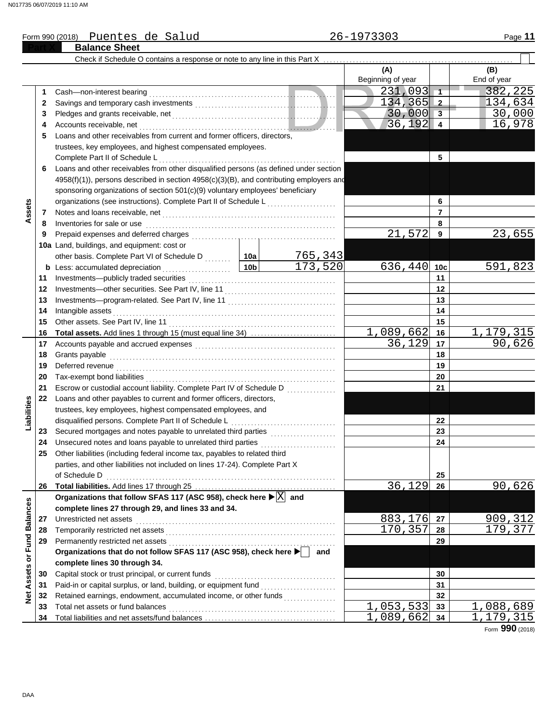|                             |          | <b>Balance Sheet</b>                                                                                |                 |                    |                    |                 |                    |
|-----------------------------|----------|-----------------------------------------------------------------------------------------------------|-----------------|--------------------|--------------------|-----------------|--------------------|
|                             |          | Check if Schedule O contains a response or note to any line in this Part X                          |                 |                    |                    |                 |                    |
|                             |          |                                                                                                     |                 |                    | (A)                |                 | (B)                |
|                             |          |                                                                                                     |                 |                    | Beginning of year  |                 | End of year        |
|                             | 1        | Cash-non-interest bearing                                                                           |                 |                    | 231,093            | $\Box$ 1        | 382,225            |
|                             | 2        |                                                                                                     |                 |                    | $134, 365$ 2       |                 | 134,634            |
|                             | 3        |                                                                                                     | $30,000$ 3      |                    | 30,000             |                 |                    |
|                             | 4        | Accounts receivable, net                                                                            |                 |                    | $36,192$   4       |                 | 16,978             |
|                             | 5        | Loans and other receivables from current and former officers, directors,                            |                 |                    |                    |                 |                    |
|                             |          | trustees, key employees, and highest compensated employees.                                         |                 |                    |                    |                 |                    |
|                             |          | Complete Part II of Schedule L                                                                      |                 | 5                  |                    |                 |                    |
|                             | 6        | Loans and other receivables from other disqualified persons (as defined under section               |                 |                    |                    |                 |                    |
|                             |          | $4958(f)(1)$ , persons described in section $4958(c)(3)(B)$ , and contributing employers and        |                 |                    |                    |                 |                    |
|                             |          | sponsoring organizations of section 501(c)(9) voluntary employees' beneficiary                      |                 |                    |                    |                 |                    |
|                             |          |                                                                                                     |                 |                    |                    | 6               |                    |
|                             |          |                                                                                                     |                 |                    |                    | $\overline{7}$  |                    |
| Assets                      | 7        |                                                                                                     |                 |                    |                    |                 |                    |
|                             | 8        | Inventories for sale or use                                                                         |                 |                    |                    | 8<br>9          |                    |
|                             | 9        |                                                                                                     |                 |                    | 21,572             |                 | 23,655             |
|                             |          | 10a Land, buildings, and equipment: cost or                                                         |                 |                    |                    |                 |                    |
|                             |          | other basis. Complete Part VI of Schedule D                                                         | 10a             | 765,343<br>173,520 |                    |                 |                    |
|                             |          | <b>b</b> Less: accumulated depreciation<br>.                                                        | 10 <sub>b</sub> |                    | 636,440            | 10 <sub>c</sub> | 591,823            |
|                             | 11       |                                                                                                     |                 |                    | 11                 |                 |                    |
|                             | 12       |                                                                                                     |                 | 12                 |                    |                 |                    |
|                             | 13       |                                                                                                     |                 | 13                 |                    |                 |                    |
|                             | 14       | Intangible assets                                                                                   |                 |                    |                    | 14              |                    |
|                             | 15       |                                                                                                     |                 |                    |                    | 15              |                    |
|                             | 16       |                                                                                                     |                 |                    | 1,089,662          | 16              | 179,315            |
|                             | 17       |                                                                                                     |                 |                    | 36,129             | 17              | 90,626             |
|                             | 18       | Grants payable                                                                                      |                 |                    |                    | 18              |                    |
|                             | 19       | Deferred revenue                                                                                    |                 |                    |                    | 19              |                    |
|                             | 20       |                                                                                                     |                 |                    | 20                 |                 |                    |
|                             | 21       | Escrow or custodial account liability. Complete Part IV of Schedule D                               |                 | .                  |                    | 21              |                    |
| Liabilities                 | 22       | Loans and other payables to current and former officers, directors,                                 |                 |                    |                    |                 |                    |
|                             |          | trustees, key employees, highest compensated employees, and                                         |                 |                    |                    |                 |                    |
|                             |          | disqualified persons. Complete Part II of Schedule L                                                |                 | .                  |                    | 22              |                    |
|                             | 23       | Secured mortgages and notes payable to unrelated third parties<br>[[[[[[[[[[[[[[[[[[[[]]]]]]        |                 |                    |                    | 23              |                    |
|                             | 24       | Unsecured notes and loans payable to unrelated third parties                                        |                 |                    |                    | 24              |                    |
|                             | 25       | Other liabilities (including federal income tax, payables to related third                          |                 |                    |                    |                 |                    |
|                             |          | parties, and other liabilities not included on lines 17-24). Complete Part X                        |                 |                    |                    |                 |                    |
|                             |          | of Schedule D                                                                                       |                 |                    |                    | 25              |                    |
|                             |          |                                                                                                     |                 |                    | 36,129             | 26              | 90,626             |
|                             |          | Organizations that follow SFAS 117 (ASC 958), check here $\blacktriangleright \boxed{\text{X}}$ and |                 |                    |                    |                 |                    |
|                             |          | complete lines 27 through 29, and lines 33 and 34.                                                  |                 |                    |                    |                 |                    |
|                             | 27       | Unrestricted net assets                                                                             |                 |                    | 883,176<br>170,357 | 27<br>28        | 909,312<br>179,377 |
|                             | 28       | Permanently restricted net assets                                                                   |                 | 29                 |                    |                 |                    |
|                             | 29       | Organizations that do not follow SFAS 117 (ASC 958), check here ▶ and                               |                 |                    |                    |                 |                    |
|                             |          |                                                                                                     |                 |                    |                    |                 |                    |
| Net Assets or Fund Balances |          | complete lines 30 through 34.                                                                       |                 |                    |                    |                 |                    |
|                             | 30       | Capital stock or trust principal, or current funds                                                  |                 |                    |                    | 30<br>31        |                    |
|                             | 31       | Retained earnings, endowment, accumulated income, or other funds                                    |                 |                    |                    | 32              |                    |
|                             | 32       | Total net assets or fund balances                                                                   |                 |                    | , 053, 533         | 33              | 088,689            |
|                             | 33<br>34 |                                                                                                     |                 |                    | 1,089,662          | 34              | 1,179,315          |
|                             |          |                                                                                                     |                 |                    |                    |                 |                    |

Puentes de Salud 26-1973303

Form **990** (2018)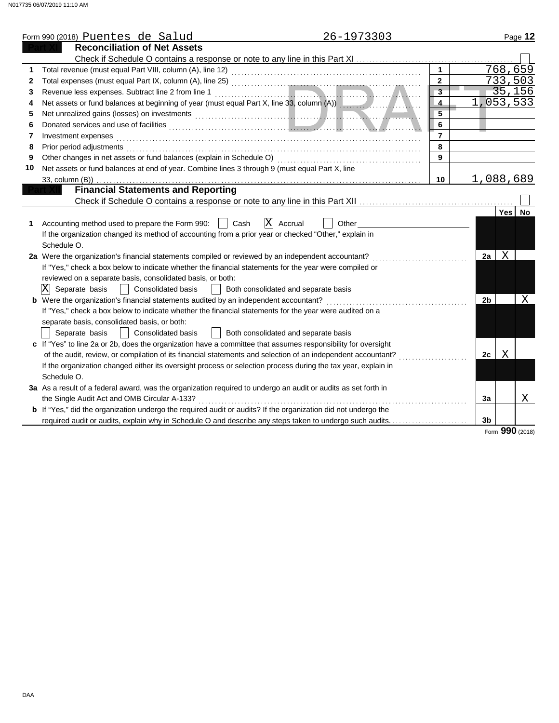|              | 26-1973303<br>Form 990 (2018) Puentes de Salud                                                                                                                                                                                 |                         |                | Page 12   |  |
|--------------|--------------------------------------------------------------------------------------------------------------------------------------------------------------------------------------------------------------------------------|-------------------------|----------------|-----------|--|
|              | <b>Reconciliation of Net Assets</b>                                                                                                                                                                                            |                         |                |           |  |
|              |                                                                                                                                                                                                                                |                         |                |           |  |
|              |                                                                                                                                                                                                                                | $\overline{1}$          |                | 768,659   |  |
| $\mathbf{2}$ |                                                                                                                                                                                                                                | $\overline{2}$          |                | 733,503   |  |
| 3            |                                                                                                                                                                                                                                | $\overline{\mathbf{3}}$ |                | 35,156    |  |
| 4            | Net assets or fund balances at beginning of year (must equal Part X, line 33, column (A))                                                                                                                                      | $\overline{4}$          |                | 1,053,533 |  |
| 5            | Net unrealized gains (losses) on investments entertainments and the control of the control of the control of the control of the control of the control of the control of the control of the control of the control of the cont | 5                       |                |           |  |
| 6            | Donated services and use of facilities <b>construction</b> and the service of the service of the services and use of facilities                                                                                                | 6                       |                |           |  |
| 7            | Investment expenses                                                                                                                                                                                                            | $\overline{7}$          |                |           |  |
| 8            | Prior period adjustments                                                                                                                                                                                                       | 8                       |                |           |  |
| 9            | Other changes in net assets or fund balances (explain in Schedule O)                                                                                                                                                           | 9                       |                |           |  |
| 10           | Net assets or fund balances at end of year. Combine lines 3 through 9 (must equal Part X, line                                                                                                                                 |                         |                |           |  |
|              | 33, column (B))                                                                                                                                                                                                                | 10                      |                | 1,088,689 |  |
|              | <b>Financial Statements and Reporting</b>                                                                                                                                                                                      |                         |                |           |  |
|              |                                                                                                                                                                                                                                |                         |                |           |  |
|              |                                                                                                                                                                                                                                |                         |                | Yes No    |  |
| 1            | X Accrual<br>Accounting method used to prepare the Form 990:<br>Cash<br>Other                                                                                                                                                  |                         |                |           |  |
|              | If the organization changed its method of accounting from a prior year or checked "Other," explain in                                                                                                                          |                         |                |           |  |
|              | Schedule O.                                                                                                                                                                                                                    |                         |                |           |  |
|              | 2a Were the organization's financial statements compiled or reviewed by an independent accountant?                                                                                                                             |                         | 2a             | X         |  |
|              | If "Yes," check a box below to indicate whether the financial statements for the year were compiled or                                                                                                                         |                         |                |           |  |
|              | reviewed on a separate basis, consolidated basis, or both:                                                                                                                                                                     |                         |                |           |  |
|              | $ \mathrm{X} $<br>Separate basis<br><b>Consolidated basis</b><br>Both consolidated and separate basis<br>$\mathbf{1}$                                                                                                          |                         |                |           |  |
|              | <b>b</b> Were the organization's financial statements audited by an independent accountant?                                                                                                                                    |                         | 2 <sub>b</sub> | X         |  |
|              | If "Yes," check a box below to indicate whether the financial statements for the year were audited on a                                                                                                                        |                         |                |           |  |
|              | separate basis, consolidated basis, or both:                                                                                                                                                                                   |                         |                |           |  |
|              | Separate basis<br><b>Consolidated basis</b><br>  Both consolidated and separate basis                                                                                                                                          |                         |                |           |  |
|              | c If "Yes" to line 2a or 2b, does the organization have a committee that assumes responsibility for oversight                                                                                                                  |                         |                |           |  |
|              | of the audit, review, or compilation of its financial statements and selection of an independent accountant?                                                                                                                   |                         | 2c             | X         |  |
|              | If the organization changed either its oversight process or selection process during the tax year, explain in                                                                                                                  |                         |                |           |  |
|              | Schedule O.                                                                                                                                                                                                                    |                         |                |           |  |
|              | 3a As a result of a federal award, was the organization required to undergo an audit or audits as set forth in                                                                                                                 |                         |                |           |  |
|              | the Single Audit Act and OMB Circular A-133?                                                                                                                                                                                   |                         | 3a             | Χ         |  |
|              | <b>b</b> If "Yes," did the organization undergo the required audit or audits? If the organization did not undergo the                                                                                                          |                         |                |           |  |
|              | required audit or audits, explain why in Schedule O and describe any steps taken to undergo such audits                                                                                                                        |                         | 3 <sub>b</sub> |           |  |

Form **990** (2018)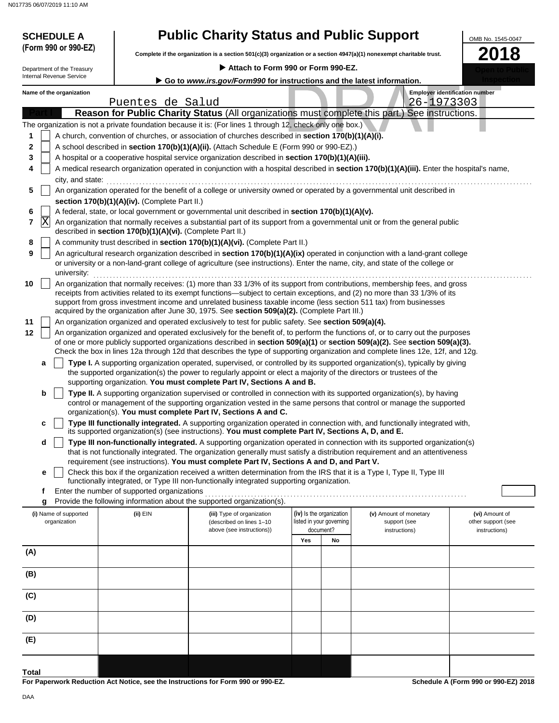|         | <b>SCHEDULE A</b>               | <b>Public Charity Status and Public Support</b>                                                                                                                                                                                                                                                                                                                                                                                                                                  | OMB No. 1545-0047 |
|---------|---------------------------------|----------------------------------------------------------------------------------------------------------------------------------------------------------------------------------------------------------------------------------------------------------------------------------------------------------------------------------------------------------------------------------------------------------------------------------------------------------------------------------|-------------------|
|         | (Form 990 or 990-EZ)            | Complete if the organization is a section 501(c)(3) organization or a section 4947(a)(1) nonexempt charitable trust.                                                                                                                                                                                                                                                                                                                                                             | <b>2018</b>       |
|         | Department of the Treasury      | Attach to Form 990 or Form 990-EZ.                                                                                                                                                                                                                                                                                                                                                                                                                                               |                   |
|         | <b>Internal Revenue Service</b> | Go to www.irs.gov/Form990 for instructions and the latest information.                                                                                                                                                                                                                                                                                                                                                                                                           |                   |
|         | Name of the organization        | <b>Employer identification number</b>                                                                                                                                                                                                                                                                                                                                                                                                                                            |                   |
|         |                                 | Puentes de Salud<br>26-1973303                                                                                                                                                                                                                                                                                                                                                                                                                                                   |                   |
|         |                                 | Reason for Public Charity Status (All organizations must complete this part.) See instructions.                                                                                                                                                                                                                                                                                                                                                                                  |                   |
|         |                                 | The organization is not a private foundation because it is: (For lines 1 through 12, check only one box.)                                                                                                                                                                                                                                                                                                                                                                        |                   |
| 1       |                                 | A church, convention of churches, or association of churches described in section 170(b)(1)(A)(i).                                                                                                                                                                                                                                                                                                                                                                               |                   |
| 2       |                                 | A school described in section 170(b)(1)(A)(ii). (Attach Schedule E (Form 990 or 990-EZ).)                                                                                                                                                                                                                                                                                                                                                                                        |                   |
| 3       |                                 | A hospital or a cooperative hospital service organization described in section 170(b)(1)(A)(iii).                                                                                                                                                                                                                                                                                                                                                                                |                   |
| 4       |                                 | A medical research organization operated in conjunction with a hospital described in section 170(b)(1)(A)(iii). Enter the hospital's name,                                                                                                                                                                                                                                                                                                                                       |                   |
|         | city, and state:                |                                                                                                                                                                                                                                                                                                                                                                                                                                                                                  |                   |
| 5       |                                 | An organization operated for the benefit of a college or university owned or operated by a governmental unit described in                                                                                                                                                                                                                                                                                                                                                        |                   |
|         |                                 | section 170(b)(1)(A)(iv). (Complete Part II.)                                                                                                                                                                                                                                                                                                                                                                                                                                    |                   |
| 6       |                                 | A federal, state, or local government or governmental unit described in section 170(b)(1)(A)(v).                                                                                                                                                                                                                                                                                                                                                                                 |                   |
| ΙX<br>7 |                                 | An organization that normally receives a substantial part of its support from a governmental unit or from the general public<br>described in section 170(b)(1)(A)(vi). (Complete Part II.)                                                                                                                                                                                                                                                                                       |                   |
| 8       |                                 | A community trust described in section 170(b)(1)(A)(vi). (Complete Part II.)                                                                                                                                                                                                                                                                                                                                                                                                     |                   |
| 9       | university:                     | An agricultural research organization described in section 170(b)(1)(A)(ix) operated in conjunction with a land-grant college<br>or university or a non-land-grant college of agriculture (see instructions). Enter the name, city, and state of the college or                                                                                                                                                                                                                  |                   |
| 10      |                                 | An organization that normally receives: (1) more than 33 1/3% of its support from contributions, membership fees, and gross<br>receipts from activities related to its exempt functions—subject to certain exceptions, and (2) no more than 33 1/3% of its<br>support from gross investment income and unrelated business taxable income (less section 511 tax) from businesses<br>acquired by the organization after June 30, 1975. See section 509(a)(2). (Complete Part III.) |                   |
| 11      |                                 | An organization organized and operated exclusively to test for public safety. See section 509(a)(4).                                                                                                                                                                                                                                                                                                                                                                             |                   |
| 12      |                                 | An organization organized and operated exclusively for the benefit of, to perform the functions of, or to carry out the purposes<br>of one or more publicly supported organizations described in section 509(a)(1) or section 509(a)(2). See section 509(a)(3).<br>Check the box in lines 12a through 12d that describes the type of supporting organization and complete lines 12e, 12f, and 12g.                                                                               |                   |
| a       |                                 | Type I. A supporting organization operated, supervised, or controlled by its supported organization(s), typically by giving<br>the supported organization(s) the power to regularly appoint or elect a majority of the directors or trustees of the<br>supporting organization. You must complete Part IV, Sections A and B.                                                                                                                                                     |                   |
| b       |                                 | Type II. A supporting organization supervised or controlled in connection with its supported organization(s), by having<br>control or management of the supporting organization vested in the same persons that control or manage the supported<br>organization(s). You must complete Part IV, Sections A and C.                                                                                                                                                                 |                   |
| c       |                                 | Type III functionally integrated. A supporting organization operated in connection with, and functionally integrated with,<br>its supported organization(s) (see instructions). You must complete Part IV, Sections A, D, and E.                                                                                                                                                                                                                                                 |                   |
| d       |                                 | Type III non-functionally integrated. A supporting organization operated in connection with its supported organization(s)<br>that is not functionally integrated. The organization generally must satisfy a distribution requirement and an attentiveness<br>requirement (see instructions). You must complete Part IV, Sections A and D, and Part V.                                                                                                                            |                   |
| е       |                                 | Check this box if the organization received a written determination from the IRS that it is a Type I, Type II, Type III<br>functionally integrated, or Type III non-functionally integrated supporting organization.                                                                                                                                                                                                                                                             |                   |
| f       |                                 |                                                                                                                                                                                                                                                                                                                                                                                                                                                                                  |                   |

**g** Provide the following information about the supported organization(s).

| (i) Name of supported<br>organization | (ii) EIN | (iii) Type of organization<br>(described on lines 1-10<br>above (see instructions)) | (iv) Is the organization<br>listed in your governing<br>document? |    |  |  |  |  |  |  |  |  | (v) Amount of monetary<br>support (see<br>instructions) | (vi) Amount of<br>other support (see<br>instructions) |
|---------------------------------------|----------|-------------------------------------------------------------------------------------|-------------------------------------------------------------------|----|--|--|--|--|--|--|--|--|---------------------------------------------------------|-------------------------------------------------------|
|                                       |          |                                                                                     | Yes                                                               | No |  |  |  |  |  |  |  |  |                                                         |                                                       |
| (A)                                   |          |                                                                                     |                                                                   |    |  |  |  |  |  |  |  |  |                                                         |                                                       |
| (B)                                   |          |                                                                                     |                                                                   |    |  |  |  |  |  |  |  |  |                                                         |                                                       |
| (C)                                   |          |                                                                                     |                                                                   |    |  |  |  |  |  |  |  |  |                                                         |                                                       |
| (D)                                   |          |                                                                                     |                                                                   |    |  |  |  |  |  |  |  |  |                                                         |                                                       |
| (E)                                   |          |                                                                                     |                                                                   |    |  |  |  |  |  |  |  |  |                                                         |                                                       |
| Total                                 |          |                                                                                     |                                                                   |    |  |  |  |  |  |  |  |  |                                                         |                                                       |

**For Paperwork Reduction Act Notice, see the Instructions for Form 990 or 990-EZ.**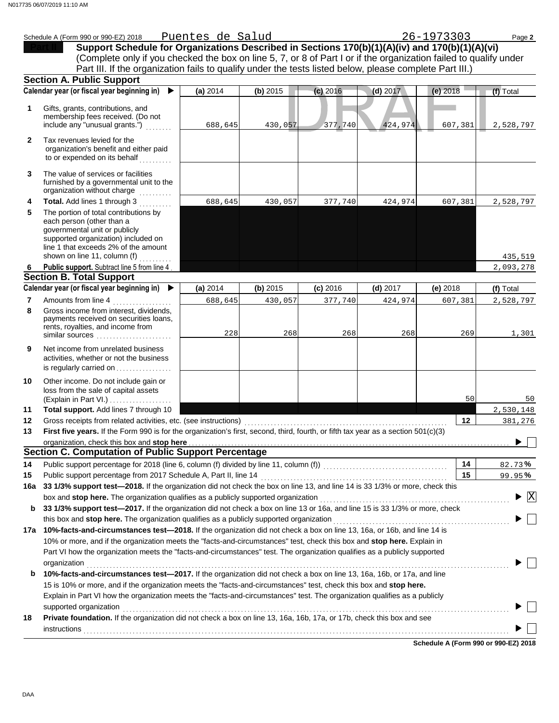|              | Schedule A (Form 990 or 990-EZ) 2018                                                                                                                                                                                         | Puentes de Salud |          |            |            | 26-1973303 | Page 2                             |  |
|--------------|------------------------------------------------------------------------------------------------------------------------------------------------------------------------------------------------------------------------------|------------------|----------|------------|------------|------------|------------------------------------|--|
|              | Support Schedule for Organizations Described in Sections 170(b)(1)(A)(iv) and 170(b)(1)(A)(vi)                                                                                                                               |                  |          |            |            |            |                                    |  |
|              | (Complete only if you checked the box on line 5, 7, or 8 of Part I or if the organization failed to qualify under<br>Part III. If the organization fails to qualify under the tests listed below, please complete Part III.) |                  |          |            |            |            |                                    |  |
|              |                                                                                                                                                                                                                              |                  |          |            |            |            |                                    |  |
|              | <b>Section A. Public Support</b>                                                                                                                                                                                             |                  |          |            |            |            |                                    |  |
|              | Calendar year (or fiscal year beginning in)<br>$\blacktriangleright$                                                                                                                                                         | (a) 2014         | (b) 2015 | $(c)$ 2016 | $(d)$ 2017 | $(e)$ 2018 | (f) Total                          |  |
| 1            | Gifts, grants, contributions, and                                                                                                                                                                                            |                  |          |            |            |            |                                    |  |
|              | membership fees received. (Do not                                                                                                                                                                                            |                  |          |            |            |            |                                    |  |
|              | include any "unusual grants.")                                                                                                                                                                                               | 688,645          | 430,057  | 377,740    | 424,974    | 607,381    | 2,528,797                          |  |
| $\mathbf{2}$ | Tax revenues levied for the                                                                                                                                                                                                  |                  |          |            |            |            |                                    |  |
|              | organization's benefit and either paid                                                                                                                                                                                       |                  |          |            |            |            |                                    |  |
|              | to or expended on its behalf                                                                                                                                                                                                 |                  |          |            |            |            |                                    |  |
| 3            | The value of services or facilities                                                                                                                                                                                          |                  |          |            |            |            |                                    |  |
|              | furnished by a governmental unit to the                                                                                                                                                                                      |                  |          |            |            |            |                                    |  |
|              | organization without charge                                                                                                                                                                                                  |                  |          |            |            |            |                                    |  |
| 4            | Total. Add lines 1 through 3                                                                                                                                                                                                 | 688,645          | 430,057  | 377,740    | 424,974    | 607,381    | 2,528,797                          |  |
| 5            | The portion of total contributions by<br>each person (other than a                                                                                                                                                           |                  |          |            |            |            |                                    |  |
|              | governmental unit or publicly                                                                                                                                                                                                |                  |          |            |            |            |                                    |  |
|              | supported organization) included on                                                                                                                                                                                          |                  |          |            |            |            |                                    |  |
|              | line 1 that exceeds 2% of the amount                                                                                                                                                                                         |                  |          |            |            |            |                                    |  |
|              | shown on line 11, column (f)                                                                                                                                                                                                 |                  |          |            |            |            | 435,519                            |  |
| 6            | Public support. Subtract line 5 from line 4<br><b>Section B. Total Support</b>                                                                                                                                               |                  |          |            |            |            | 2,093,278                          |  |
|              | Calendar year (or fiscal year beginning in)<br>$\blacktriangleright$                                                                                                                                                         | (a) 2014         | (b) 2015 | $(c)$ 2016 | $(d)$ 2017 | $(e)$ 2018 | (f) Total                          |  |
| 7            | Amounts from line 4                                                                                                                                                                                                          | 688,645          | 430,057  | 377,740    | 424,974    | 607,381    | 2,528,797                          |  |
| 8            | Gross income from interest, dividends,                                                                                                                                                                                       |                  |          |            |            |            |                                    |  |
|              | payments received on securities loans,                                                                                                                                                                                       |                  |          |            |            |            |                                    |  |
|              | rents, royalties, and income from                                                                                                                                                                                            | 228              | 268      | 268        | 268        | 269        | 1,301                              |  |
|              | similar sources                                                                                                                                                                                                              |                  |          |            |            |            |                                    |  |
| 9            | Net income from unrelated business                                                                                                                                                                                           |                  |          |            |            |            |                                    |  |
|              | activities, whether or not the business<br>is regularly carried on                                                                                                                                                           |                  |          |            |            |            |                                    |  |
|              |                                                                                                                                                                                                                              |                  |          |            |            |            |                                    |  |
| 10           | Other income. Do not include gain or<br>loss from the sale of capital assets                                                                                                                                                 |                  |          |            |            |            |                                    |  |
|              | (Explain in Part VI.)                                                                                                                                                                                                        |                  |          |            |            | 50         | 50                                 |  |
| 11           | Total support. Add lines 7 through 10                                                                                                                                                                                        |                  |          |            |            |            | 2,530,148                          |  |
| 12           | Gross receipts from related activities, etc. (see instructions)                                                                                                                                                              |                  |          |            |            | 12         | 381,276                            |  |
| 13           | First five years. If the Form 990 is for the organization's first, second, third, fourth, or fifth tax year as a section 501(c)(3)                                                                                           |                  |          |            |            |            |                                    |  |
|              |                                                                                                                                                                                                                              |                  |          |            |            |            |                                    |  |
|              | Section C. Computation of Public Support Percentage                                                                                                                                                                          |                  |          |            |            |            |                                    |  |
| 14           | Public support percentage for 2018 (line 6, column (f) divided by line 11, column (f)) [[[[[[[[[[[[[[[[[[[[[[                                                                                                                |                  |          |            |            | 14         | 82.73%                             |  |
| 15           | Public support percentage from 2017 Schedule A, Part II, line 14                                                                                                                                                             |                  |          |            |            | 15         | 99.95%                             |  |
| 16a          | 33 1/3% support test-2018. If the organization did not check the box on line 13, and line 14 is 33 1/3% or more, check this                                                                                                  |                  |          |            |            |            |                                    |  |
|              | box and stop here. The organization qualifies as a publicly supported organization                                                                                                                                           |                  |          |            |            |            | $\blacktriangleright$ $\mathbf{X}$ |  |
| b            | 33 1/3% support test-2017. If the organization did not check a box on line 13 or 16a, and line 15 is 33 1/3% or more, check                                                                                                  |                  |          |            |            |            |                                    |  |
|              | this box and stop here. The organization qualifies as a publicly supported organization                                                                                                                                      |                  |          |            |            |            |                                    |  |
|              | 17a 10%-facts-and-circumstances test-2018. If the organization did not check a box on line 13, 16a, or 16b, and line 14 is                                                                                                   |                  |          |            |            |            |                                    |  |
|              | 10% or more, and if the organization meets the "facts-and-circumstances" test, check this box and stop here. Explain in                                                                                                      |                  |          |            |            |            |                                    |  |
|              | Part VI how the organization meets the "facts-and-circumstances" test. The organization qualifies as a publicly supported                                                                                                    |                  |          |            |            |            |                                    |  |
|              | organization                                                                                                                                                                                                                 |                  |          |            |            |            |                                    |  |
| b            | 10%-facts-and-circumstances test-2017. If the organization did not check a box on line 13, 16a, 16b, or 17a, and line                                                                                                        |                  |          |            |            |            |                                    |  |
|              | 15 is 10% or more, and if the organization meets the "facts-and-circumstances" test, check this box and stop here.                                                                                                           |                  |          |            |            |            |                                    |  |
|              | Explain in Part VI how the organization meets the "facts-and-circumstances" test. The organization qualifies as a publicly                                                                                                   |                  |          |            |            |            |                                    |  |
|              | supported organization<br>Private foundation. If the organization did not check a box on line 13, 16a, 16b, 17a, or 17b, check this box and see                                                                              |                  |          |            |            |            |                                    |  |
| 18           |                                                                                                                                                                                                                              |                  |          |            |            |            |                                    |  |
|              | instructions                                                                                                                                                                                                                 |                  |          |            |            |            |                                    |  |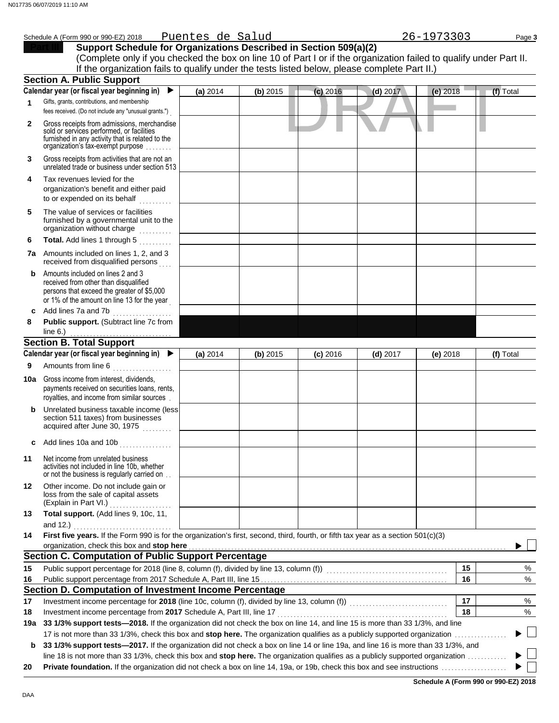|              | Schedule A (Form 990 or 990-EZ) 2018                                                                                                                                                                                                                                                                                                                                       | Puentes de Salud |            |            |            | 26-1973303 | Page 3    |
|--------------|----------------------------------------------------------------------------------------------------------------------------------------------------------------------------------------------------------------------------------------------------------------------------------------------------------------------------------------------------------------------------|------------------|------------|------------|------------|------------|-----------|
|              | Support Schedule for Organizations Described in Section 509(a)(2)                                                                                                                                                                                                                                                                                                          |                  |            |            |            |            |           |
|              | (Complete only if you checked the box on line 10 of Part I or if the organization failed to qualify under Part II.                                                                                                                                                                                                                                                         |                  |            |            |            |            |           |
|              | If the organization fails to qualify under the tests listed below, please complete Part II.)                                                                                                                                                                                                                                                                               |                  |            |            |            |            |           |
|              | <b>Section A. Public Support</b>                                                                                                                                                                                                                                                                                                                                           |                  |            |            |            |            |           |
|              | Calendar year (or fiscal year beginning in)<br>$\blacktriangleright$                                                                                                                                                                                                                                                                                                       | (a) 2014         | $(b)$ 2015 | $(c)$ 2016 | (d) 2017   | $(e)$ 2018 | (f) Total |
| 1            | Gifts, grants, contributions, and membership<br>fees received. (Do not include any "unusual grants.")                                                                                                                                                                                                                                                                      |                  |            |            |            |            |           |
| $\mathbf{2}$ | Gross receipts from admissions, merchandise<br>sold or services performed, or facilities<br>furnished in any activity that is related to the<br>organization's tax-exempt purpose                                                                                                                                                                                          |                  |            |            |            |            |           |
| 3            | Gross receipts from activities that are not an<br>unrelated trade or business under section 513                                                                                                                                                                                                                                                                            |                  |            |            |            |            |           |
| 4            | Tax revenues levied for the<br>organization's benefit and either paid<br>to or expended on its behalf                                                                                                                                                                                                                                                                      |                  |            |            |            |            |           |
| 5            | The value of services or facilities<br>furnished by a governmental unit to the<br>organization without charge                                                                                                                                                                                                                                                              |                  |            |            |            |            |           |
| 6            | Total. Add lines 1 through 5<br>.                                                                                                                                                                                                                                                                                                                                          |                  |            |            |            |            |           |
| 7a l         | Amounts included on lines 1, 2, and 3<br>received from disqualified persons                                                                                                                                                                                                                                                                                                |                  |            |            |            |            |           |
| b            | Amounts included on lines 2 and 3<br>received from other than disqualified<br>persons that exceed the greater of \$5,000<br>or 1% of the amount on line 13 for the year                                                                                                                                                                                                    |                  |            |            |            |            |           |
| c            | Add lines 7a and 7b                                                                                                                                                                                                                                                                                                                                                        |                  |            |            |            |            |           |
| 8            | Public support. (Subtract line 7c from<br>line 6.) $\ldots$                                                                                                                                                                                                                                                                                                                |                  |            |            |            |            |           |
|              | <b>Section B. Total Support</b>                                                                                                                                                                                                                                                                                                                                            |                  |            |            |            |            |           |
|              | Calendar year (or fiscal year beginning in)                                                                                                                                                                                                                                                                                                                                | (a) 2014         | (b) 2015   | $(c)$ 2016 | $(d)$ 2017 | $(e)$ 2018 | (f) Total |
| 9            | Amounts from line 6<br>.                                                                                                                                                                                                                                                                                                                                                   |                  |            |            |            |            |           |
| 10a          | Gross income from interest, dividends,<br>payments received on securities loans, rents,<br>royalties, and income from similar sources.                                                                                                                                                                                                                                     |                  |            |            |            |            |           |
| b            | Unrelated business taxable income (less<br>section 511 taxes) from businesses<br>acquired after June 30, 1975                                                                                                                                                                                                                                                              |                  |            |            |            |            |           |
|              | Add lines 10a and 10b                                                                                                                                                                                                                                                                                                                                                      |                  |            |            |            |            |           |
| 11           | Net income from unrelated business<br>activities not included in line 10b, whether<br>or not the business is regularly carried on                                                                                                                                                                                                                                          |                  |            |            |            |            |           |
| 12           | Other income. Do not include gain or<br>loss from the sale of capital assets<br>(Explain in Part VI.)                                                                                                                                                                                                                                                                      |                  |            |            |            |            |           |
| 13           | Total support. (Add lines 9, 10c, 11,<br>and 12.)<br>.                                                                                                                                                                                                                                                                                                                     |                  |            |            |            |            |           |
| 14           | First five years. If the Form 990 is for the organization's first, second, third, fourth, or fifth tax year as a section 501(c)(3)<br>organization, check this box and stop here <b>constant to the constant of the constant of the constant of the constant of the constant of the constant of the constant of the constant of the constant of the constant of the co</b> |                  |            |            |            |            |           |
|              | <b>Section C. Computation of Public Support Percentage</b>                                                                                                                                                                                                                                                                                                                 |                  |            |            |            |            |           |
| 15           |                                                                                                                                                                                                                                                                                                                                                                            |                  |            |            |            | 15         | %         |
| 16           |                                                                                                                                                                                                                                                                                                                                                                            |                  |            |            |            | 16         | %         |
|              | Section D. Computation of Investment Income Percentage                                                                                                                                                                                                                                                                                                                     |                  |            |            |            |            |           |
| 17           |                                                                                                                                                                                                                                                                                                                                                                            |                  |            |            |            | 17         | %         |
| 18           | Investment income percentage from 2017 Schedule A, Part III, line 17                                                                                                                                                                                                                                                                                                       |                  |            |            |            | 18         | $\%$      |
|              | 19a 33 1/3% support tests-2018. If the organization did not check the box on line 14, and line 15 is more than 33 1/3%, and line                                                                                                                                                                                                                                           |                  |            |            |            |            |           |
|              |                                                                                                                                                                                                                                                                                                                                                                            |                  |            |            |            |            |           |
| b            | 33 1/3% support tests-2017. If the organization did not check a box on line 14 or line 19a, and line 16 is more than 33 1/3%, and<br>line 18 is not more than 33 1/3%, check this box and stop here. The organization qualifies as a publicly supported organization                                                                                                       |                  |            |            |            |            |           |
| 20           |                                                                                                                                                                                                                                                                                                                                                                            |                  |            |            |            |            |           |
|              |                                                                                                                                                                                                                                                                                                                                                                            |                  |            |            |            |            |           |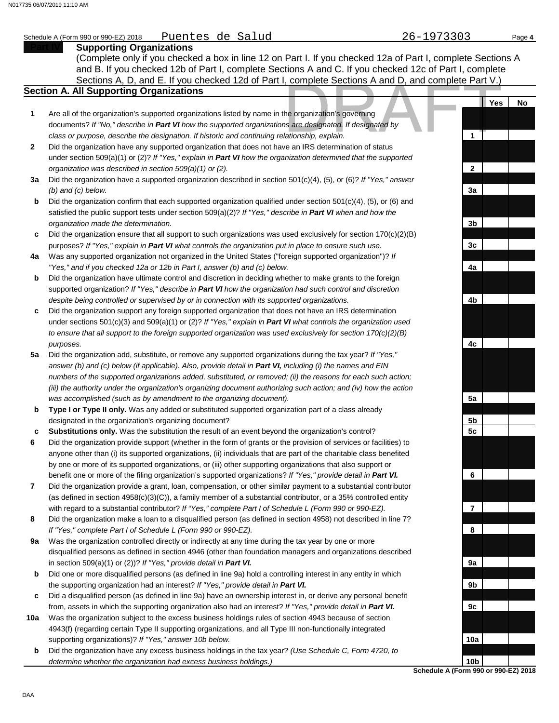#### Schedule A (Form 990 or 990-EZ) 2018 Page **4** Puentes de Salud

#### **Supporting Organizations**

Sections A, D, and E. If you checked 12d of Part I, complete Sections A and D, and complete Part V.) (Complete only if you checked a box in line 12 on Part I. If you checked 12a of Part I, complete Sections A and B. If you checked 12b of Part I, complete Sections A and C. If you checked 12c of Part I, complete

### **Section A. All Supporting Organizations**

- Are all of the organization's supported organizations listed by name in the organization's governing documents? *If "No," describe in Part VI how the supported organizations are designated. If designated by class or purpose, describe the designation. If historic and continuing relationship, explain.* **1**
- Did the organization have any supported organization that does not have an IRS determination of status under section 509(a)(1) or (2)? *If "Yes," explain in Part VI how the organization determined that the supported organization was described in section 509(a)(1) or (2).* **2**
- **3a** Did the organization have a supported organization described in section 501(c)(4), (5), or (6)? *If "Yes," answer (b) and (c) below.*
- **b** Did the organization confirm that each supported organization qualified under section 501(c)(4), (5), or (6) and satisfied the public support tests under section 509(a)(2)? *If "Yes," describe in Part VI when and how the organization made the determination.*
- **c** Did the organization ensure that all support to such organizations was used exclusively for section 170(c)(2)(B) purposes? *If "Yes," explain in Part VI what controls the organization put in place to ensure such use.*
- **4a** Was any supported organization not organized in the United States ("foreign supported organization")? *If "Yes," and if you checked 12a or 12b in Part I, answer (b) and (c) below.*
- **b** Did the organization have ultimate control and discretion in deciding whether to make grants to the foreign supported organization? *If "Yes," describe in Part VI how the organization had such control and discretion despite being controlled or supervised by or in connection with its supported organizations.*
- **c** Did the organization support any foreign supported organization that does not have an IRS determination under sections 501(c)(3) and 509(a)(1) or (2)? *If "Yes," explain in Part VI what controls the organization used to ensure that all support to the foreign supported organization was used exclusively for section 170(c)(2)(B) purposes.*
- **5a** Did the organization add, substitute, or remove any supported organizations during the tax year? *If "Yes," answer (b) and (c) below (if applicable). Also, provide detail in Part VI, including (i) the names and EIN numbers of the supported organizations added, substituted, or removed; (ii) the reasons for each such action; (iii) the authority under the organization's organizing document authorizing such action; and (iv) how the action was accomplished (such as by amendment to the organizing document).*
- **b Type I or Type II only.** Was any added or substituted supported organization part of a class already designated in the organization's organizing document?
- **c Substitutions only.** Was the substitution the result of an event beyond the organization's control?
- **6** Did the organization provide support (whether in the form of grants or the provision of services or facilities) to anyone other than (i) its supported organizations, (ii) individuals that are part of the charitable class benefited by one or more of its supported organizations, or (iii) other supporting organizations that also support or benefit one or more of the filing organization's supported organizations? *If "Yes," provide detail in Part VI.*
- **7** Did the organization provide a grant, loan, compensation, or other similar payment to a substantial contributor (as defined in section 4958(c)(3)(C)), a family member of a substantial contributor, or a 35% controlled entity with regard to a substantial contributor? *If "Yes," complete Part I of Schedule L (Form 990 or 990-EZ).*
- **8** Did the organization make a loan to a disqualified person (as defined in section 4958) not described in line 7? *If "Yes," complete Part I of Schedule L (Form 990 or 990-EZ).*
- **9a** Was the organization controlled directly or indirectly at any time during the tax year by one or more disqualified persons as defined in section 4946 (other than foundation managers and organizations described in section 509(a)(1) or (2))? *If "Yes," provide detail in Part VI.*
- **b** Did one or more disqualified persons (as defined in line 9a) hold a controlling interest in any entity in which the supporting organization had an interest? *If "Yes," provide detail in Part VI.*
- **c** Did a disqualified person (as defined in line 9a) have an ownership interest in, or derive any personal benefit from, assets in which the supporting organization also had an interest? *If "Yes," provide detail in Part VI.*
- **10a** Was the organization subject to the excess business holdings rules of section 4943 because of section 4943(f) (regarding certain Type II supporting organizations, and all Type III non-functionally integrated supporting organizations)? *If "Yes," answer 10b below.*
- **b** Did the organization have any excess business holdings in the tax year? *(Use Schedule C, Form 4720, to determine whether the organization had excess business holdings.)*



Yes | No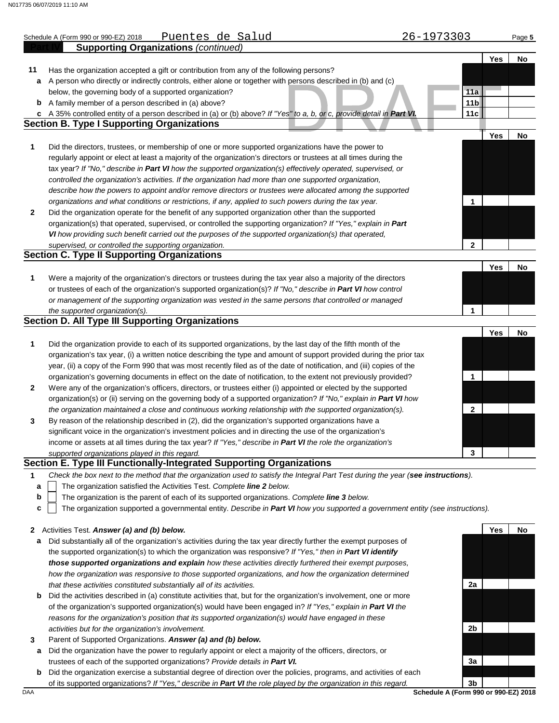|              | Puentes de Salud<br>Schedule A (Form 990 or 990-EZ) 2018                                                               | 26-1973303      |     | Page 5 |
|--------------|------------------------------------------------------------------------------------------------------------------------|-----------------|-----|--------|
|              | <b>Supporting Organizations (continued)</b>                                                                            |                 |     |        |
|              |                                                                                                                        |                 | Yes | No     |
| 11           | Has the organization accepted a gift or contribution from any of the following persons?                                |                 |     |        |
|              | a A person who directly or indirectly controls, either alone or together with persons described in (b) and (c)         |                 |     |        |
|              | below, the governing body of a supported organization?                                                                 | 11a             |     |        |
|              | <b>b</b> A family member of a person described in (a) above?                                                           | 11 <sub>b</sub> |     |        |
| c            | A 35% controlled entity of a person described in (a) or (b) above? If "Yes" to a, b, or c, provide detail in Part VI.  | 11c             |     |        |
|              | <b>Section B. Type I Supporting Organizations</b>                                                                      |                 |     |        |
|              |                                                                                                                        |                 | Yes | No     |
| 1            | Did the directors, trustees, or membership of one or more supported organizations have the power to                    |                 |     |        |
|              | regularly appoint or elect at least a majority of the organization's directors or trustees at all times during the     |                 |     |        |
|              | tax year? If "No," describe in Part VI how the supported organization(s) effectively operated, supervised, or          |                 |     |        |
|              | controlled the organization's activities. If the organization had more than one supported organization,                |                 |     |        |
|              | describe how the powers to appoint and/or remove directors or trustees were allocated among the supported              |                 |     |        |
|              | organizations and what conditions or restrictions, if any, applied to such powers during the tax year.                 | 1               |     |        |
| $\mathbf{2}$ |                                                                                                                        |                 |     |        |
|              | Did the organization operate for the benefit of any supported organization other than the supported                    |                 |     |        |
|              | organization(s) that operated, supervised, or controlled the supporting organization? If "Yes," explain in Part        |                 |     |        |
|              | VI how providing such benefit carried out the purposes of the supported organization(s) that operated,                 |                 |     |        |
|              | supervised, or controlled the supporting organization.                                                                 | $\mathbf 2$     |     |        |
|              | <b>Section C. Type II Supporting Organizations</b>                                                                     |                 |     |        |
|              |                                                                                                                        |                 | Yes | No     |
| 1            | Were a majority of the organization's directors or trustees during the tax year also a majority of the directors       |                 |     |        |
|              | or trustees of each of the organization's supported organization(s)? If "No," describe in Part VI how control          |                 |     |        |
|              | or management of the supporting organization was vested in the same persons that controlled or managed                 |                 |     |        |
|              | the supported organization(s).                                                                                         | 1               |     |        |
|              | <b>Section D. All Type III Supporting Organizations</b>                                                                |                 |     |        |
|              |                                                                                                                        |                 | Yes | No     |
| 1            | Did the organization provide to each of its supported organizations, by the last day of the fifth month of the         |                 |     |        |
|              | organization's tax year, (i) a written notice describing the type and amount of support provided during the prior tax  |                 |     |        |
|              | year, (ii) a copy of the Form 990 that was most recently filed as of the date of notification, and (iii) copies of the |                 |     |        |
|              | organization's governing documents in effect on the date of notification, to the extent not previously provided?       | 1               |     |        |
| $\mathbf{2}$ | Were any of the organization's officers, directors, or trustees either (i) appointed or elected by the supported       |                 |     |        |
|              | organization(s) or (ii) serving on the governing body of a supported organization? If "No," explain in Part VI how     |                 |     |        |
|              | the organization maintained a close and continuous working relationship with the supported organization(s).            | $\overline{2}$  |     |        |
| 3            | By reason of the relationship described in (2), did the organization's supported organizations have a                  |                 |     |        |
|              | significant voice in the organization's investment policies and in directing the use of the organization's             |                 |     |        |
|              | income or assets at all times during the tax year? If "Yes," describe in Part VI the role the organization's           |                 |     |        |
|              | supported organizations played in this regard.                                                                         | 3               |     |        |
|              | Section E. Type III Functionally-Integrated Supporting Organizations                                                   |                 |     |        |

**1** *Check the box next to the method that the organization used to satisfy the Integral Part Test during the year (see instructions).*

- The organization satisfied the Activities Test. *Complete line 2 below.* **a**
- The organization is the parent of each of its supported organizations. *Complete line 3 below.* **b**
- The organization supported a governmental entity. *Describe in Part VI how you supported a government entity (see instructions).* **c**

- **a** Did substantially all of the organization's activities during the tax year directly further the exempt purposes of the supported organization(s) to which the organization was responsive? *If "Yes," then in Part VI identify those supported organizations and explain how these activities directly furthered their exempt purposes, how the organization was responsive to those supported organizations, and how the organization determined that these activities constituted substantially all of its activities.*
- **b** Did the activities described in (a) constitute activities that, but for the organization's involvement, one or more of the organization's supported organization(s) would have been engaged in? *If "Yes," explain in Part VI the reasons for the organization's position that its supported organization(s) would have engaged in these activities but for the organization's involvement.*
- **3** Parent of Supported Organizations. *Answer (a) and (b) below.*
- **a** Did the organization have the power to regularly appoint or elect a majority of the officers, directors, or trustees of each of the supported organizations? *Provide details in Part VI.*
- **b** Did the organization exercise a substantial degree of direction over the policies, programs, and activities of each of its supported organizations? *If "Yes," describe in Part VI the role played by the organization in this regard.*

Yes | No **2a 2b 3a 3b**

**<sup>2</sup>** Activities Test. *Answer (a) and (b) below.*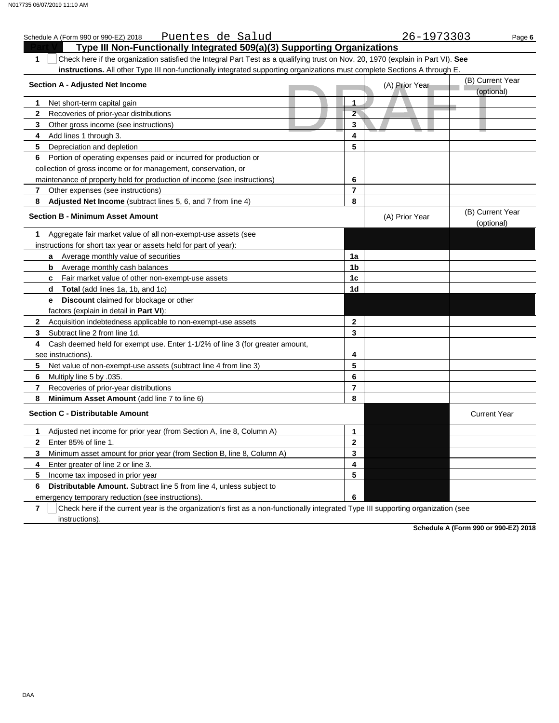|                    | <u>Puentes de Salud</u><br>Schedule A (Form 990 or 990-EZ) 2018                                                                  |  |                         | 26-1973303     |  | Page 6                         |  |  |
|--------------------|----------------------------------------------------------------------------------------------------------------------------------|--|-------------------------|----------------|--|--------------------------------|--|--|
|                    | Type III Non-Functionally Integrated 509(a)(3) Supporting Organizations                                                          |  |                         |                |  |                                |  |  |
| $\mathbf{1}$       | Check here if the organization satisfied the Integral Part Test as a qualifying trust on Nov. 20, 1970 (explain in Part VI). See |  |                         |                |  |                                |  |  |
|                    | instructions. All other Type III non-functionally integrated supporting organizations must complete Sections A through E.        |  |                         |                |  |                                |  |  |
|                    | <b>Section A - Adjusted Net Income</b>                                                                                           |  |                         | (A) Prior Year |  | (B) Current Year<br>(optional) |  |  |
| 1                  | Net short-term capital gain                                                                                                      |  | 1                       |                |  |                                |  |  |
| $\mathbf{2}$       | Recoveries of prior-year distributions                                                                                           |  | $\overline{2}$          |                |  |                                |  |  |
| 3                  | Other gross income (see instructions)                                                                                            |  | 3                       |                |  |                                |  |  |
| 4                  | Add lines 1 through 3.                                                                                                           |  | 4                       |                |  |                                |  |  |
| 5                  | Depreciation and depletion                                                                                                       |  | 5                       |                |  |                                |  |  |
| 6                  | Portion of operating expenses paid or incurred for production or                                                                 |  |                         |                |  |                                |  |  |
|                    | collection of gross income or for management, conservation, or                                                                   |  |                         |                |  |                                |  |  |
|                    | maintenance of property held for production of income (see instructions)                                                         |  | 6                       |                |  |                                |  |  |
| 7                  | Other expenses (see instructions)                                                                                                |  | $\overline{\mathbf{r}}$ |                |  |                                |  |  |
| 8                  | Adjusted Net Income (subtract lines 5, 6, and 7 from line 4)                                                                     |  | 8                       |                |  |                                |  |  |
|                    | <b>Section B - Minimum Asset Amount</b>                                                                                          |  |                         | (A) Prior Year |  | (B) Current Year<br>(optional) |  |  |
| 1                  | Aggregate fair market value of all non-exempt-use assets (see                                                                    |  |                         |                |  |                                |  |  |
|                    | instructions for short tax year or assets held for part of year):                                                                |  |                         |                |  |                                |  |  |
|                    | a Average monthly value of securities                                                                                            |  | 1a                      |                |  |                                |  |  |
|                    | <b>b</b> Average monthly cash balances                                                                                           |  | 1b                      |                |  |                                |  |  |
| C.                 | Fair market value of other non-exempt-use assets                                                                                 |  | 1c                      |                |  |                                |  |  |
| d                  | <b>Total</b> (add lines 1a, 1b, and 1c)                                                                                          |  | 1d                      |                |  |                                |  |  |
| е                  | Discount claimed for blockage or other                                                                                           |  |                         |                |  |                                |  |  |
|                    | factors (explain in detail in <b>Part VI)</b> :                                                                                  |  |                         |                |  |                                |  |  |
| $\mathbf{2}$       | Acquisition indebtedness applicable to non-exempt-use assets                                                                     |  | 2                       |                |  |                                |  |  |
| 3                  | Subtract line 2 from line 1d.                                                                                                    |  | 3                       |                |  |                                |  |  |
| 4                  | Cash deemed held for exempt use. Enter 1-1/2% of line 3 (for greater amount,                                                     |  |                         |                |  |                                |  |  |
| see instructions). |                                                                                                                                  |  | 4                       |                |  |                                |  |  |
| 5                  | Net value of non-exempt-use assets (subtract line 4 from line 3)                                                                 |  | 5                       |                |  |                                |  |  |
| 6                  | Multiply line 5 by .035.                                                                                                         |  | 6                       |                |  |                                |  |  |
| 7                  | Recoveries of prior-year distributions                                                                                           |  | $\overline{7}$          |                |  |                                |  |  |
| 8                  | Minimum Asset Amount (add line 7 to line 6)                                                                                      |  | 8                       |                |  |                                |  |  |
|                    | <b>Section C - Distributable Amount</b>                                                                                          |  |                         |                |  | <b>Current Year</b>            |  |  |
| 1                  | Adjusted net income for prior year (from Section A, line 8, Column A)                                                            |  | 1                       |                |  |                                |  |  |
| $\mathbf{2}$       | Enter 85% of line 1.                                                                                                             |  | $\overline{2}$          |                |  |                                |  |  |
| 3                  | Minimum asset amount for prior year (from Section B, line 8, Column A)                                                           |  | 3                       |                |  |                                |  |  |
| 4                  | Enter greater of line 2 or line 3.                                                                                               |  | 4                       |                |  |                                |  |  |
| 5                  | Income tax imposed in prior year                                                                                                 |  | 5                       |                |  |                                |  |  |
| 6                  | <b>Distributable Amount.</b> Subtract line 5 from line 4, unless subject to                                                      |  |                         |                |  |                                |  |  |
|                    | emergency temporary reduction (see instructions).                                                                                |  | 6                       |                |  |                                |  |  |

**7**  $\vert$  Check here if the current year is the organization's first as a non-functionally integrated Type III supporting organization (see instructions).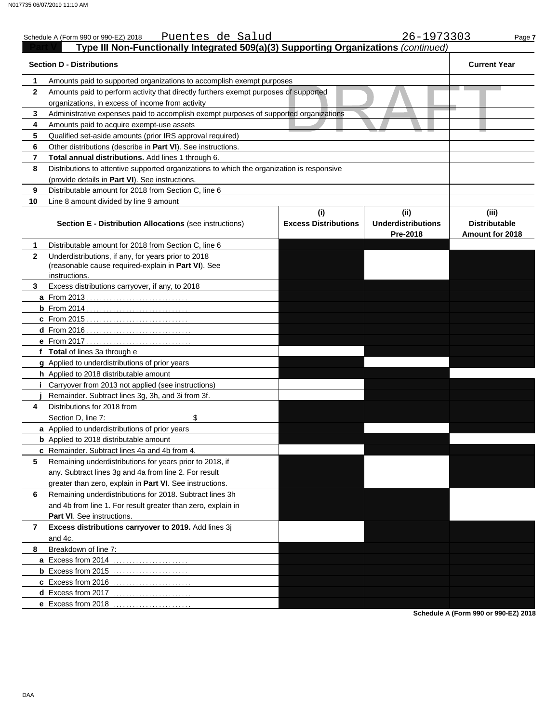|                | Puentes de Salud<br>Schedule A (Form 990 or 990-EZ) 2018                                   |                             | 26-1973303                            | Page 7                                  |
|----------------|--------------------------------------------------------------------------------------------|-----------------------------|---------------------------------------|-----------------------------------------|
|                | Type III Non-Functionally Integrated 509(a)(3) Supporting Organizations (continued)        |                             |                                       |                                         |
|                | <b>Section D - Distributions</b>                                                           |                             |                                       | <b>Current Year</b>                     |
| 1              | Amounts paid to supported organizations to accomplish exempt purposes                      |                             |                                       |                                         |
| $\mathbf{2}$   | Amounts paid to perform activity that directly furthers exempt purposes of supported       |                             |                                       |                                         |
|                | organizations, in excess of income from activity                                           |                             |                                       |                                         |
| 3              | Administrative expenses paid to accomplish exempt purposes of supported organizations      |                             |                                       |                                         |
| 4              | Amounts paid to acquire exempt-use assets                                                  |                             |                                       |                                         |
| 5              | Qualified set-aside amounts (prior IRS approval required)                                  |                             |                                       |                                         |
| 6              | Other distributions (describe in Part VI). See instructions.                               |                             |                                       |                                         |
| 7              | Total annual distributions. Add lines 1 through 6.                                         |                             |                                       |                                         |
| 8              | Distributions to attentive supported organizations to which the organization is responsive |                             |                                       |                                         |
|                | (provide details in Part VI). See instructions.                                            |                             |                                       |                                         |
| 9              | Distributable amount for 2018 from Section C, line 6                                       |                             |                                       |                                         |
| 10             | Line 8 amount divided by line 9 amount                                                     |                             |                                       |                                         |
|                |                                                                                            | (i)                         | (ii)                                  | (iii)                                   |
|                | <b>Section E - Distribution Allocations (see instructions)</b>                             | <b>Excess Distributions</b> | <b>Underdistributions</b><br>Pre-2018 | <b>Distributable</b><br>Amount for 2018 |
| 1              | Distributable amount for 2018 from Section C, line 6                                       |                             |                                       |                                         |
| $\mathbf{2}$   | Underdistributions, if any, for years prior to 2018                                        |                             |                                       |                                         |
|                | (reasonable cause required-explain in Part VI). See                                        |                             |                                       |                                         |
|                | instructions.                                                                              |                             |                                       |                                         |
| 3              | Excess distributions carryover, if any, to 2018                                            |                             |                                       |                                         |
|                |                                                                                            |                             |                                       |                                         |
|                |                                                                                            |                             |                                       |                                         |
|                | c From 2015                                                                                |                             |                                       |                                         |
|                |                                                                                            |                             |                                       |                                         |
|                |                                                                                            |                             |                                       |                                         |
|                | f Total of lines 3a through e                                                              |                             |                                       |                                         |
|                | g Applied to underdistributions of prior years                                             |                             |                                       |                                         |
|                | h Applied to 2018 distributable amount                                                     |                             |                                       |                                         |
|                | Carryover from 2013 not applied (see instructions)                                         |                             |                                       |                                         |
|                | Remainder. Subtract lines 3g, 3h, and 3i from 3f.                                          |                             |                                       |                                         |
| 4              | Distributions for 2018 from                                                                |                             |                                       |                                         |
|                | \$<br>Section D, line 7:                                                                   |                             |                                       |                                         |
|                | a Applied to underdistributions of prior years                                             |                             |                                       |                                         |
|                | <b>b</b> Applied to 2018 distributable amount                                              |                             |                                       |                                         |
|                | c Remainder. Subtract lines 4a and 4b from 4.                                              |                             |                                       |                                         |
| 5              | Remaining underdistributions for years prior to 2018, if                                   |                             |                                       |                                         |
|                | any. Subtract lines 3g and 4a from line 2. For result                                      |                             |                                       |                                         |
|                | greater than zero, explain in Part VI. See instructions.                                   |                             |                                       |                                         |
| 6              | Remaining underdistributions for 2018. Subtract lines 3h                                   |                             |                                       |                                         |
|                | and 4b from line 1. For result greater than zero, explain in                               |                             |                                       |                                         |
|                | Part VI. See instructions.                                                                 |                             |                                       |                                         |
| $\overline{7}$ | Excess distributions carryover to 2019. Add lines 3j                                       |                             |                                       |                                         |
|                | and 4c.                                                                                    |                             |                                       |                                         |
| 8              | Breakdown of line 7:                                                                       |                             |                                       |                                         |
|                | a Excess from 2014                                                                         |                             |                                       |                                         |
|                |                                                                                            |                             |                                       |                                         |
|                | c Excess from 2016                                                                         |                             |                                       |                                         |
|                | d Excess from 2017.                                                                        |                             |                                       |                                         |
|                | e Excess from 2018                                                                         |                             |                                       |                                         |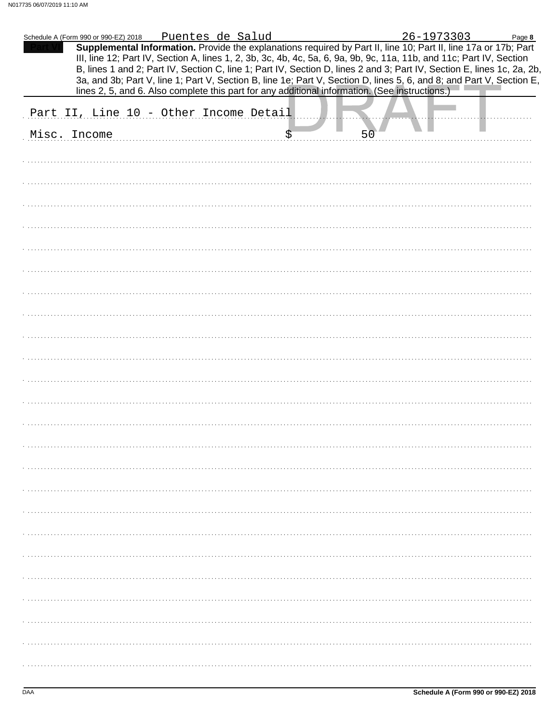|              | Schedule A (Form 990 or 990-EZ) 2018   | Puentes de Salud |                                                                                                | 26-1973303                                                                                                                                                                                                                              | Page 8 |
|--------------|----------------------------------------|------------------|------------------------------------------------------------------------------------------------|-----------------------------------------------------------------------------------------------------------------------------------------------------------------------------------------------------------------------------------------|--------|
|              |                                        |                  |                                                                                                | Supplemental Information. Provide the explanations required by Part II, line 10; Part II, line 17a or 17b; Part<br>III, line 12; Part IV, Section A, lines 1, 2, 3b, 3c, 4b, 4c, 5a, 6, 9a, 9b, 9c, 11a, 11b, and 11c; Part IV, Section |        |
|              |                                        |                  |                                                                                                | B, lines 1 and 2; Part IV, Section C, line 1; Part IV, Section D, lines 2 and 3; Part IV, Section E, lines 1c, 2a, 2b,                                                                                                                  |        |
|              |                                        |                  | lines 2, 5, and 6. Also complete this part for any additional information. (See instructions.) | 3a, and 3b; Part V, line 1; Part V, Section B, line 1e; Part V, Section D, lines 5, 6, and 8; and Part V, Section E,                                                                                                                    |        |
|              |                                        |                  |                                                                                                |                                                                                                                                                                                                                                         |        |
|              | Part II, Line 10 - Other Income Detail |                  |                                                                                                |                                                                                                                                                                                                                                         |        |
| Misc. Income |                                        |                  | 50                                                                                             |                                                                                                                                                                                                                                         |        |
|              |                                        |                  |                                                                                                |                                                                                                                                                                                                                                         |        |
|              |                                        |                  |                                                                                                |                                                                                                                                                                                                                                         |        |
|              |                                        |                  |                                                                                                |                                                                                                                                                                                                                                         |        |
|              |                                        |                  |                                                                                                |                                                                                                                                                                                                                                         |        |
|              |                                        |                  |                                                                                                |                                                                                                                                                                                                                                         |        |
|              |                                        |                  |                                                                                                |                                                                                                                                                                                                                                         |        |
|              |                                        |                  |                                                                                                |                                                                                                                                                                                                                                         |        |
|              |                                        |                  |                                                                                                |                                                                                                                                                                                                                                         |        |
|              |                                        |                  |                                                                                                |                                                                                                                                                                                                                                         |        |
|              |                                        |                  |                                                                                                |                                                                                                                                                                                                                                         |        |
|              |                                        |                  |                                                                                                |                                                                                                                                                                                                                                         |        |
|              |                                        |                  |                                                                                                |                                                                                                                                                                                                                                         |        |
|              |                                        |                  |                                                                                                |                                                                                                                                                                                                                                         |        |
|              |                                        |                  |                                                                                                |                                                                                                                                                                                                                                         |        |
|              |                                        |                  |                                                                                                |                                                                                                                                                                                                                                         |        |
|              |                                        |                  |                                                                                                |                                                                                                                                                                                                                                         |        |
|              |                                        |                  |                                                                                                |                                                                                                                                                                                                                                         |        |
|              |                                        |                  |                                                                                                |                                                                                                                                                                                                                                         |        |
|              |                                        |                  |                                                                                                |                                                                                                                                                                                                                                         |        |
|              |                                        |                  |                                                                                                |                                                                                                                                                                                                                                         |        |
|              |                                        |                  |                                                                                                |                                                                                                                                                                                                                                         |        |
|              |                                        |                  |                                                                                                |                                                                                                                                                                                                                                         |        |
|              |                                        |                  |                                                                                                |                                                                                                                                                                                                                                         |        |
|              |                                        |                  |                                                                                                |                                                                                                                                                                                                                                         |        |
|              |                                        |                  |                                                                                                |                                                                                                                                                                                                                                         |        |
|              |                                        |                  |                                                                                                |                                                                                                                                                                                                                                         |        |
|              |                                        |                  |                                                                                                |                                                                                                                                                                                                                                         |        |
|              |                                        |                  |                                                                                                |                                                                                                                                                                                                                                         |        |
|              |                                        |                  |                                                                                                |                                                                                                                                                                                                                                         |        |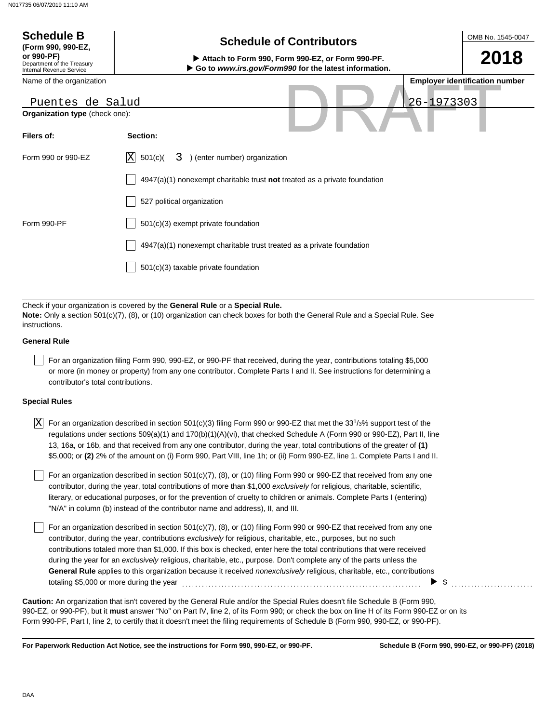| <b>Schedule B</b><br>(Form 990, 990-EZ,<br>or 990-PF)<br>Department of the Treasury<br>Internal Revenue Service | <b>Schedule of Contributors</b><br>Attach to Form 990, Form 990-EZ, or Form 990-PF.<br>Go to www.irs.gov/Form990 for the latest information. | OMB No. 1545-0047<br>2018             |
|-----------------------------------------------------------------------------------------------------------------|----------------------------------------------------------------------------------------------------------------------------------------------|---------------------------------------|
| Name of the organization                                                                                        |                                                                                                                                              | <b>Employer identification number</b> |
| Puentes de Salud<br>Organization type (check one):                                                              | 26-1973303                                                                                                                                   |                                       |
| Filers of:                                                                                                      | Section:                                                                                                                                     |                                       |
| Form 990 or 990-EZ                                                                                              | $ {\rm X} $<br>3 ) (enter number) organization<br>501(c)                                                                                     |                                       |
|                                                                                                                 | $4947(a)(1)$ nonexempt charitable trust not treated as a private foundation                                                                  |                                       |
|                                                                                                                 | 527 political organization                                                                                                                   |                                       |
| Form 990-PF                                                                                                     | $501(c)(3)$ exempt private foundation                                                                                                        |                                       |
|                                                                                                                 | $4947(a)(1)$ nonexempt charitable trust treated as a private foundation                                                                      |                                       |
|                                                                                                                 | $501(c)(3)$ taxable private foundation                                                                                                       |                                       |
|                                                                                                                 |                                                                                                                                              |                                       |

Check if your organization is covered by the **General Rule** or a **Special Rule. Note:** Only a section 501(c)(7), (8), or (10) organization can check boxes for both the General Rule and a Special Rule. See instructions.

### **General Rule**

For an organization filing Form 990, 990-EZ, or 990-PF that received, during the year, contributions totaling \$5,000 or more (in money or property) from any one contributor. Complete Parts I and II. See instructions for determining a contributor's total contributions.

#### **Special Rules**

| $X$ For an organization described in section 501(c)(3) filing Form 990 or 990-EZ that met the 33 <sup>1</sup> /3% support test of the |
|---------------------------------------------------------------------------------------------------------------------------------------|
| regulations under sections 509(a)(1) and 170(b)(1)(A)(vi), that checked Schedule A (Form 990 or 990-EZ), Part II, line                |
| 13, 16a, or 16b, and that received from any one contributor, during the year, total contributions of the greater of (1)               |
| \$5,000; or (2) 2% of the amount on (i) Form 990, Part VIII, line 1h; or (ii) Form 990-EZ, line 1. Complete Parts I and II.           |

literary, or educational purposes, or for the prevention of cruelty to children or animals. Complete Parts I (entering) For an organization described in section 501(c)(7), (8), or (10) filing Form 990 or 990-EZ that received from any one contributor, during the year, total contributions of more than \$1,000 *exclusively* for religious, charitable, scientific, "N/A" in column (b) instead of the contributor name and address), II, and III.

For an organization described in section  $501(c)(7)$ ,  $(8)$ , or  $(10)$  filing Form 990 or 990-EZ that received from any one contributor, during the year, contributions *exclusively* for religious, charitable, etc., purposes, but no such contributions totaled more than \$1,000. If this box is checked, enter here the total contributions that were received during the year for an *exclusively* religious, charitable, etc., purpose. Don't complete any of the parts unless the **General Rule** applies to this organization because it received *nonexclusively* religious, charitable, etc., contributions totaling \$5,000 or more during the year . . . . . . . . . . . . . . . . . . . . . . . . . . . . . . . . . . . . . . . . . . . . . . . . . . . . . . . . . . . . . . . . . . . . . . . . .  $\triangleright$  \$

990-EZ, or 990-PF), but it **must** answer "No" on Part IV, line 2, of its Form 990; or check the box on line H of its Form 990-EZ or on its Form 990-PF, Part I, line 2, to certify that it doesn't meet the filing requirements of Schedule B (Form 990, 990-EZ, or 990-PF). **Caution:** An organization that isn't covered by the General Rule and/or the Special Rules doesn't file Schedule B (Form 990,

**For Paperwork Reduction Act Notice, see the instructions for Form 990, 990-EZ, or 990-PF.**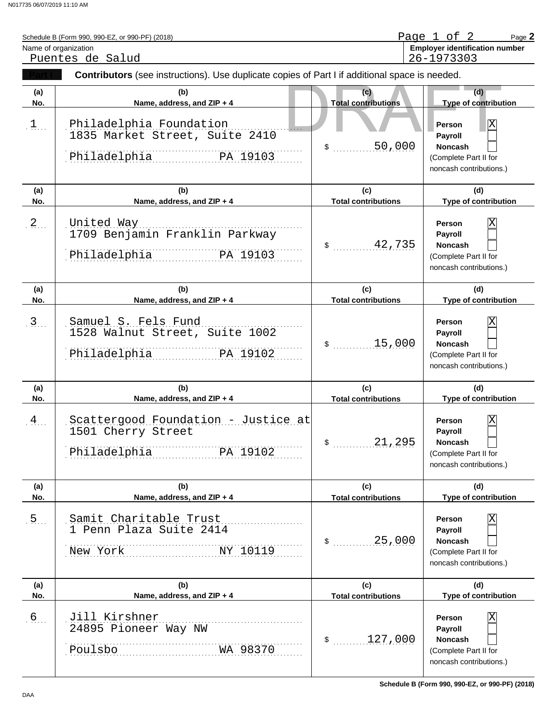|               | Schedule B (Form 990, 990-EZ, or 990-PF) (2018)                                                |                                   | Page 1 of 2<br>Page 2                                                                                            |
|---------------|------------------------------------------------------------------------------------------------|-----------------------------------|------------------------------------------------------------------------------------------------------------------|
|               | Name of organization                                                                           |                                   | <b>Employer identification number</b>                                                                            |
|               | Puentes de Salud                                                                               |                                   | 26-1973303                                                                                                       |
|               | Contributors (see instructions). Use duplicate copies of Part I if additional space is needed. |                                   |                                                                                                                  |
| (a)<br>No.    | (b)<br>Name, address, and ZIP + 4                                                              | (c)<br><b>Total contributions</b> | (d)<br>Type of contribution                                                                                      |
| $1$           | Philadelphia Foundation<br>1835 Market Street, Suite 2410<br>Philadelphia<br>PA 19103          | 50,000<br>\$                      | $\overline{\text{X}}$<br>Person<br>Payroll<br>Noncash<br>(Complete Part II for<br>noncash contributions.)        |
| (a)<br>No.    | (b)<br>Name, address, and ZIP + 4                                                              | (c)<br><b>Total contributions</b> | (d)<br>Type of contribution                                                                                      |
| 2             | United Way<br>1709 Benjamin Franklin Parkway<br>PA 19103<br>Philadelphia                       | 42,735<br>\$                      | X<br>Person<br>Payroll<br>Noncash<br>(Complete Part II for<br>noncash contributions.)                            |
| (a)<br>No.    | (b)<br>Name, address, and ZIP + 4                                                              | (c)<br><b>Total contributions</b> | (d)<br>Type of contribution                                                                                      |
| $3$           | Samuel S. Fels Fund<br>1528 Walnut Street, Suite 1002<br>Philadelphia<br>PA 19102              | 15,000<br>$\sim$                  | ΙX<br>Person<br>Payroll<br>Noncash<br>(Complete Part II for<br>noncash contributions.)                           |
| (a)           | (b)                                                                                            | (c)                               | (d)                                                                                                              |
| No.           | Name, address, and ZIP + 4                                                                     | <b>Total contributions</b>        | Type of contribution                                                                                             |
| $\frac{4}{1}$ | Scattergood Foundation - Justice at<br>1501 Cherry Street<br>Philadelphia<br>PA 19102          | 21,295                            | ΙX<br>Person<br>Payroll<br>Noncash<br>(Complete Part II for<br>noncash contributions.)                           |
| (a)<br>No.    | (b)<br>Name, address, and ZIP + 4                                                              | (c)<br><b>Total contributions</b> | (d)<br>Type of contribution                                                                                      |
| .5            | Samit Charitable Trust<br>1 Penn Plaza Suite 2414<br>NY 10119<br>New York                      | 25,000<br>\$                      | ΙX<br>Person<br>Payroll<br><b>Noncash</b><br>(Complete Part II for<br>noncash contributions.)                    |
| (a)<br>No.    | (b)<br>Name, address, and ZIP + 4                                                              | (c)<br><b>Total contributions</b> | (d)<br>Type of contribution                                                                                      |
| .6            | Jill Kirshner<br>24895 Pioneer Way NW<br>Poulsbo<br>WA 98370                                   | 127,000<br>\$                     | $\overline{\text{X}}$<br>Person<br>Payroll<br><b>Noncash</b><br>(Complete Part II for<br>noncash contributions.) |

**Schedule B (Form 990, 990-EZ, or 990-PF) (2018)**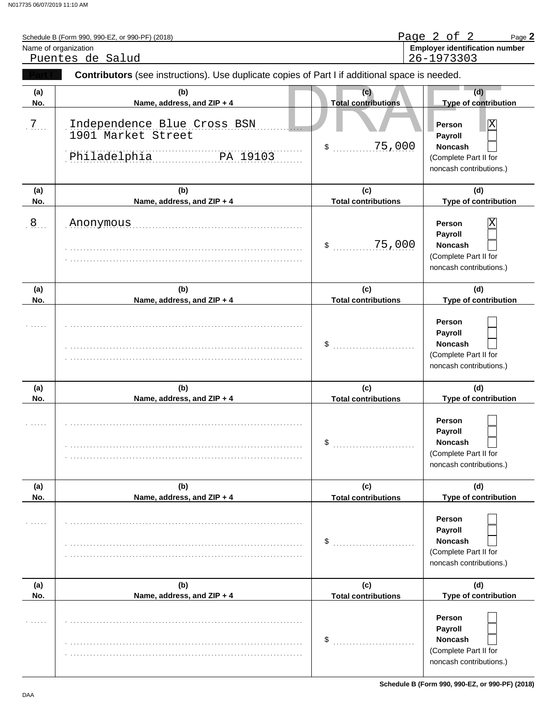|            | Schedule B (Form 990, 990-EZ, or 990-PF) (2018)                                                |                                   | Page 2 of 2<br>Page 2                                                                                     |
|------------|------------------------------------------------------------------------------------------------|-----------------------------------|-----------------------------------------------------------------------------------------------------------|
|            | Name of organization<br>Puentes de Salud                                                       |                                   | <b>Employer identification number</b><br>26-1973303                                                       |
|            | Contributors (see instructions). Use duplicate copies of Part I if additional space is needed. |                                   |                                                                                                           |
| (a)<br>No. | (b)<br>Name, address, and ZIP + 4                                                              | (c)<br><b>Total contributions</b> | (d)<br>Type of contribution                                                                               |
| $7$        | Independence Blue Cross BSN<br>1901 Market Street<br>Philadelphia PA 19103                     | 75,000<br>\$                      | $\overline{\text{X}}$<br>Person<br>Payroll<br>Noncash<br>(Complete Part II for<br>noncash contributions.) |
| (a)<br>No. | (b)<br>Name, address, and ZIP + 4                                                              | (c)<br><b>Total contributions</b> | (d)<br>Type of contribution                                                                               |
| .8.        | Anonymous                                                                                      | 75,000<br>\$                      | Χ<br>Person<br>Payroll<br>Noncash<br>(Complete Part II for<br>noncash contributions.)                     |
| (a)<br>No. | (b)<br>Name, address, and ZIP + 4                                                              | (c)<br><b>Total contributions</b> | (d)<br>Type of contribution                                                                               |
|            |                                                                                                | \$                                | Person<br>Payroll<br>Noncash<br>(Complete Part II for<br>noncash contributions.)                          |
| (a)<br>No. | (b)<br>Name, address, and ZIP + 4                                                              | (c)<br><b>Total contributions</b> | (d)<br>Type of contribution                                                                               |
|            |                                                                                                | \$                                | Person<br>Payroll<br>Noncash<br>(Complete Part II for<br>noncash contributions.)                          |
| (a)<br>No. | (b)<br>Name, address, and ZIP + 4                                                              | (c)<br><b>Total contributions</b> | (d)<br>Type of contribution                                                                               |
|            |                                                                                                | \$                                | <b>Person</b><br>Payroll<br><b>Noncash</b><br>(Complete Part II for<br>noncash contributions.)            |
| (a)<br>No. | (b)<br>Name, address, and ZIP + 4                                                              | (c)<br><b>Total contributions</b> | (d)<br>Type of contribution                                                                               |
| .          |                                                                                                | \$                                | <b>Person</b><br>Payroll<br><b>Noncash</b><br>(Complete Part II for<br>noncash contributions.)            |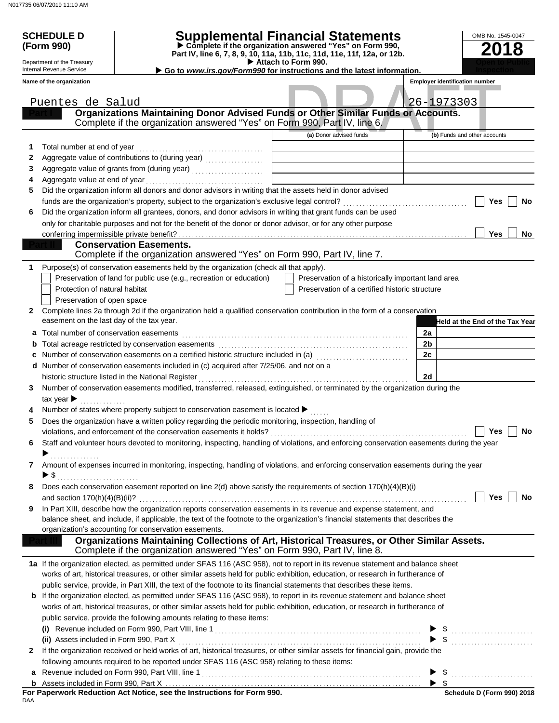**(Form 990)**

Department of the Treasury Internal Revenue Service

### **SCHEDULE D Supplemental Financial Statements**

 **Attach to Form 990. Part IV, line 6, 7, 8, 9, 10, 11a, 11b, 11c, 11d, 11e, 11f, 12a, or 12b. Complete if the organization answered "Yes" on Form 990,**

| ► Go to www.irs.gov/Form990 for instructions and the latest information. |  |
|--------------------------------------------------------------------------|--|
|                                                                          |  |



|              | Name of the organization                                                                                                                              |                                                    | <b>Employer identification number</b> |
|--------------|-------------------------------------------------------------------------------------------------------------------------------------------------------|----------------------------------------------------|---------------------------------------|
|              |                                                                                                                                                       |                                                    |                                       |
|              | Puentes de Salud                                                                                                                                      |                                                    | 26-1973303                            |
|              | Organizations Maintaining Donor Advised Funds or Other Similar Funds or Accounts.                                                                     |                                                    |                                       |
|              | Complete if the organization answered "Yes" on Form 990, Part IV, line 6.                                                                             |                                                    |                                       |
|              |                                                                                                                                                       | (a) Donor advised funds                            | (b) Funds and other accounts          |
| 1            | Total number at end of year                                                                                                                           |                                                    |                                       |
| 2<br>3       |                                                                                                                                                       |                                                    |                                       |
| 4            | Aggregate value of grants from (during year)<br>Aggregate value at end of year                                                                        |                                                    |                                       |
| 5            | Did the organization inform all donors and donor advisors in writing that the assets held in donor advised                                            |                                                    |                                       |
|              |                                                                                                                                                       |                                                    | Yes<br>No                             |
| 6            | Did the organization inform all grantees, donors, and donor advisors in writing that grant funds can be used                                          |                                                    |                                       |
|              | only for charitable purposes and not for the benefit of the donor or donor advisor, or for any other purpose                                          |                                                    |                                       |
|              | conferring impermissible private benefit?                                                                                                             |                                                    | Yes<br>No.                            |
|              | <b>Conservation Easements.</b>                                                                                                                        |                                                    |                                       |
|              | Complete if the organization answered "Yes" on Form 990, Part IV, line 7.                                                                             |                                                    |                                       |
|              | Purpose(s) of conservation easements held by the organization (check all that apply).                                                                 |                                                    |                                       |
|              | Preservation of land for public use (e.g., recreation or education)                                                                                   | Preservation of a historically important land area |                                       |
|              | Protection of natural habitat                                                                                                                         | Preservation of a certified historic structure     |                                       |
|              | Preservation of open space                                                                                                                            |                                                    |                                       |
| $\mathbf{2}$ | Complete lines 2a through 2d if the organization held a qualified conservation contribution in the form of a conservation                             |                                                    |                                       |
|              | easement on the last day of the tax year.                                                                                                             |                                                    | Held at the End of the Tax Year       |
| a            | Total number of conservation easements                                                                                                                |                                                    | 2a                                    |
|              |                                                                                                                                                       |                                                    | 2 <sub>b</sub>                        |
|              | Number of conservation easements on a certified historic structure included in (a) [[[[[[[[[[[[[[[[[[[[[[[[[]]]]]]]                                   |                                                    | 2c                                    |
|              | Number of conservation easements included in (c) acquired after 7/25/06, and not on a<br>historic structure listed in the National Register           |                                                    | 2d                                    |
| 3.           | Number of conservation easements modified, transferred, released, extinguished, or terminated by the organization during the                          |                                                    |                                       |
|              | tax year $\blacktriangleright$                                                                                                                        |                                                    |                                       |
|              | Number of states where property subject to conservation easement is located ▶                                                                         |                                                    |                                       |
| 5            | Does the organization have a written policy regarding the periodic monitoring, inspection, handling of                                                |                                                    |                                       |
|              |                                                                                                                                                       |                                                    | Yes<br>No                             |
| 6            | Staff and volunteer hours devoted to monitoring, inspecting, handling of violations, and enforcing conservation easements during the year             |                                                    |                                       |
|              |                                                                                                                                                       |                                                    |                                       |
| $\mathbf{7}$ | Amount of expenses incurred in monitoring, inspecting, handling of violations, and enforcing conservation easements during the year                   |                                                    |                                       |
|              | $\blacktriangleright$ \$                                                                                                                              |                                                    |                                       |
|              | Does each conservation easement reported on line 2(d) above satisfy the requirements of section 170(h)(4)(B)(i)                                       |                                                    |                                       |
|              | and section $170(h)(4)(B)(ii)?$                                                                                                                       |                                                    | Yes<br>No                             |
| 9            | In Part XIII, describe how the organization reports conservation easements in its revenue and expense statement, and                                  |                                                    |                                       |
|              | balance sheet, and include, if applicable, the text of the footnote to the organization's financial statements that describes the                     |                                                    |                                       |
|              | organization's accounting for conservation easements.<br>Organizations Maintaining Collections of Art, Historical Treasures, or Other Similar Assets. |                                                    |                                       |
|              | Complete if the organization answered "Yes" on Form 990, Part IV, line 8.                                                                             |                                                    |                                       |
|              | 1a If the organization elected, as permitted under SFAS 116 (ASC 958), not to report in its revenue statement and balance sheet                       |                                                    |                                       |
|              | works of art, historical treasures, or other similar assets held for public exhibition, education, or research in furtherance of                      |                                                    |                                       |
|              | public service, provide, in Part XIII, the text of the footnote to its financial statements that describes these items.                               |                                                    |                                       |
|              | <b>b</b> If the organization elected, as permitted under SFAS 116 (ASC 958), to report in its revenue statement and balance sheet                     |                                                    |                                       |
|              | works of art, historical treasures, or other similar assets held for public exhibition, education, or research in furtherance of                      |                                                    |                                       |
|              | public service, provide the following amounts relating to these items:                                                                                |                                                    |                                       |
|              |                                                                                                                                                       |                                                    |                                       |
|              | (ii) Assets included in Form 990, Part X                                                                                                              |                                                    | $\frac{1}{2}$                         |
| $\mathbf{2}$ | If the organization received or held works of art, historical treasures, or other similar assets for financial gain, provide the                      |                                                    |                                       |
|              | following amounts required to be reported under SFAS 116 (ASC 958) relating to these items:                                                           |                                                    |                                       |
| a            |                                                                                                                                                       |                                                    |                                       |
|              |                                                                                                                                                       |                                                    |                                       |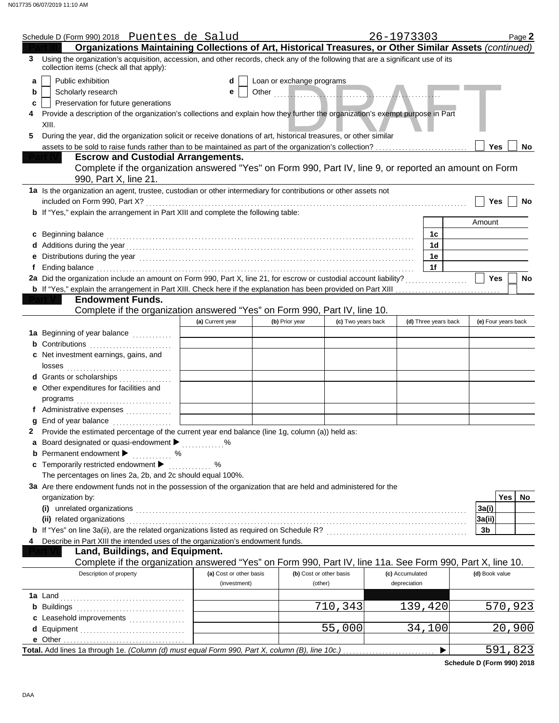|   | Schedule D (Form 990) 2018 Puentes de Salud                                                                                                                                                                                                     |                         |                           |                         | 26-1973303      |                      | Page 2              |  |  |
|---|-------------------------------------------------------------------------------------------------------------------------------------------------------------------------------------------------------------------------------------------------|-------------------------|---------------------------|-------------------------|-----------------|----------------------|---------------------|--|--|
|   | Organizations Maintaining Collections of Art, Historical Treasures, or Other Similar Assets (continued)                                                                                                                                         |                         |                           |                         |                 |                      |                     |  |  |
| 3 | Using the organization's acquisition, accession, and other records, check any of the following that are a significant use of its<br>collection items (check all that apply):                                                                    |                         |                           |                         |                 |                      |                     |  |  |
| a | Public exhibition                                                                                                                                                                                                                               | d                       | Loan or exchange programs |                         |                 |                      |                     |  |  |
| b | Scholarly research                                                                                                                                                                                                                              | е                       |                           |                         |                 |                      |                     |  |  |
| c | Preservation for future generations                                                                                                                                                                                                             |                         |                           |                         |                 |                      |                     |  |  |
|   | Provide a description of the organization's collections and explain how they further the organization's exempt purpose in Part                                                                                                                  |                         |                           |                         |                 |                      |                     |  |  |
|   | XIII.                                                                                                                                                                                                                                           |                         |                           |                         |                 |                      |                     |  |  |
| 5 | During the year, did the organization solicit or receive donations of art, historical treasures, or other similar                                                                                                                               |                         |                           |                         |                 |                      |                     |  |  |
|   | assets to be sold to raise funds rather than to be maintained as part of the organization's collection?<br><b>Yes</b><br><b>No</b>                                                                                                              |                         |                           |                         |                 |                      |                     |  |  |
|   | <b>Escrow and Custodial Arrangements.</b>                                                                                                                                                                                                       |                         |                           |                         |                 |                      |                     |  |  |
|   | Complete if the organization answered "Yes" on Form 990, Part IV, line 9, or reported an amount on Form<br>990, Part X, line 21.                                                                                                                |                         |                           |                         |                 |                      |                     |  |  |
|   | 1a Is the organization an agent, trustee, custodian or other intermediary for contributions or other assets not<br>included on Form 990, Part X?<br>Yes<br>No                                                                                   |                         |                           |                         |                 |                      |                     |  |  |
|   | <b>b</b> If "Yes," explain the arrangement in Part XIII and complete the following table:                                                                                                                                                       |                         |                           |                         |                 |                      |                     |  |  |
|   |                                                                                                                                                                                                                                                 |                         |                           |                         |                 |                      | Amount              |  |  |
|   | c Beginning balance                                                                                                                                                                                                                             |                         |                           |                         |                 | 1c                   |                     |  |  |
|   |                                                                                                                                                                                                                                                 |                         |                           |                         |                 | 1d                   |                     |  |  |
|   |                                                                                                                                                                                                                                                 |                         |                           |                         |                 | 1e                   |                     |  |  |
|   | Distributions during the year material contact the year material contact the year material contact the year material contact the year material contact the year material contact the year of the year and year of the year of<br>Ending balance |                         |                           |                         |                 | 1f                   |                     |  |  |
|   | 2a Did the organization include an amount on Form 990, Part X, line 21, for escrow or custodial account liability?                                                                                                                              |                         |                           |                         |                 |                      | Yes<br>No           |  |  |
|   | <b>b</b> If "Yes," explain the arrangement in Part XIII. Check here if the explanation has been provided on Part XIII                                                                                                                           |                         |                           |                         |                 |                      |                     |  |  |
|   | <b>Endowment Funds.</b>                                                                                                                                                                                                                         |                         |                           |                         |                 |                      |                     |  |  |
|   | Complete if the organization answered "Yes" on Form 990, Part IV, line 10.                                                                                                                                                                      |                         |                           |                         |                 |                      |                     |  |  |
|   |                                                                                                                                                                                                                                                 | (a) Current year        | (b) Prior year            | (c) Two years back      |                 | (d) Three years back | (e) Four years back |  |  |
|   |                                                                                                                                                                                                                                                 |                         |                           |                         |                 |                      |                     |  |  |
|   | 1a Beginning of year balance [11] [11] Beginning of year balance                                                                                                                                                                                |                         |                           |                         |                 |                      |                     |  |  |
|   | c Net investment earnings, gains, and                                                                                                                                                                                                           |                         |                           |                         |                 |                      |                     |  |  |
|   |                                                                                                                                                                                                                                                 |                         |                           |                         |                 |                      |                     |  |  |
|   | losses<br>Grants or scholarships                                                                                                                                                                                                                |                         |                           |                         |                 |                      |                     |  |  |
|   | .                                                                                                                                                                                                                                               |                         |                           |                         |                 |                      |                     |  |  |
|   | e Other expenditures for facilities and                                                                                                                                                                                                         |                         |                           |                         |                 |                      |                     |  |  |
|   | programs                                                                                                                                                                                                                                        |                         |                           |                         |                 |                      |                     |  |  |
|   |                                                                                                                                                                                                                                                 |                         |                           |                         |                 |                      |                     |  |  |
|   | End of year balance<br>Provide the estimated percentage of the current year end balance (line 1g, column (a)) held as:                                                                                                                          |                         |                           |                         |                 |                      |                     |  |  |
|   | Board designated or quasi-endowment                                                                                                                                                                                                             | $\sim$ $\%$             |                           |                         |                 |                      |                     |  |  |
|   |                                                                                                                                                                                                                                                 |                         |                           |                         |                 |                      |                     |  |  |
|   | <b>b</b> Permanent endowment $\blacktriangleright$<br>$\%$<br>c Temporarily restricted endowment >                                                                                                                                              |                         |                           |                         |                 |                      |                     |  |  |
|   |                                                                                                                                                                                                                                                 |                         |                           |                         |                 |                      |                     |  |  |
|   | The percentages on lines 2a, 2b, and 2c should equal 100%.                                                                                                                                                                                      |                         |                           |                         |                 |                      |                     |  |  |
|   | 3a Are there endowment funds not in the possession of the organization that are held and administered for the                                                                                                                                   |                         |                           |                         |                 |                      |                     |  |  |
|   | Yes<br>No<br>organization by:                                                                                                                                                                                                                   |                         |                           |                         |                 |                      | 3a(i)               |  |  |
|   | (i) unrelated organizations                                                                                                                                                                                                                     |                         |                           |                         |                 |                      |                     |  |  |
|   | (ii) related organizations                                                                                                                                                                                                                      |                         |                           |                         |                 |                      | 3a(ii)<br>3b        |  |  |
|   |                                                                                                                                                                                                                                                 |                         |                           |                         |                 |                      |                     |  |  |
|   | Describe in Part XIII the intended uses of the organization's endowment funds.<br>Land, Buildings, and Equipment.                                                                                                                               |                         |                           |                         |                 |                      |                     |  |  |
|   | Complete if the organization answered "Yes" on Form 990, Part IV, line 11a. See Form 990, Part X, line 10.                                                                                                                                      |                         |                           |                         |                 |                      |                     |  |  |
|   | Description of property                                                                                                                                                                                                                         | (a) Cost or other basis |                           | (b) Cost or other basis | (c) Accumulated |                      | (d) Book value      |  |  |
|   |                                                                                                                                                                                                                                                 | (investment)            | (other)                   |                         | depreciation    |                      |                     |  |  |
|   |                                                                                                                                                                                                                                                 |                         |                           |                         |                 |                      |                     |  |  |
|   | 1a Land                                                                                                                                                                                                                                         |                         |                           | 710,343                 |                 | 139,420              | 570,923             |  |  |
|   | <b>b</b> Buildings                                                                                                                                                                                                                              |                         |                           |                         |                 |                      |                     |  |  |
|   | c Leasehold improvements                                                                                                                                                                                                                        |                         |                           | 55,000                  |                 | 34,100               | 20,900              |  |  |
|   |                                                                                                                                                                                                                                                 |                         |                           |                         |                 |                      |                     |  |  |
|   | Total. Add lines 1a through 1e. (Column (d) must equal Form 990, Part X, column (B), line 10c.)                                                                                                                                                 |                         |                           |                         |                 | ▶                    | 591,823             |  |  |
|   |                                                                                                                                                                                                                                                 |                         |                           |                         |                 |                      |                     |  |  |

**Schedule D (Form 990) 2018**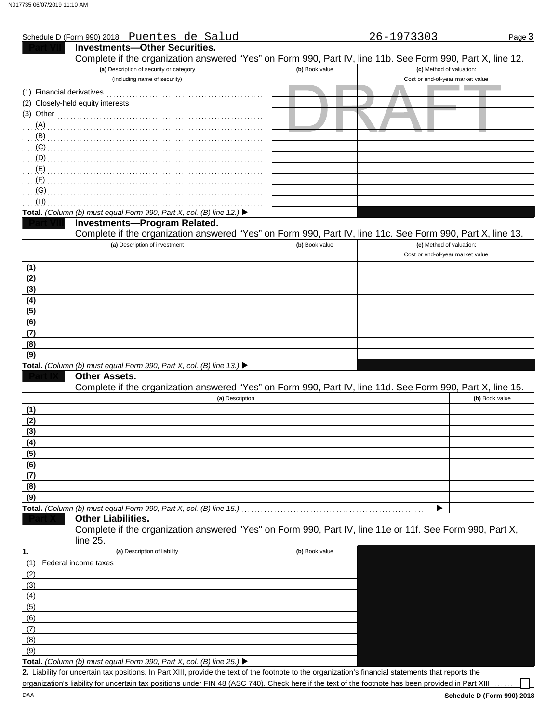| Schedule D (Form 990) 2018 Puentes de Salud                                                                |                | 26-1973303                       | Page 3         |
|------------------------------------------------------------------------------------------------------------|----------------|----------------------------------|----------------|
| <b>Investments-Other Securities.</b>                                                                       |                |                                  |                |
| Complete if the organization answered "Yes" on Form 990, Part IV, line 11b. See Form 990, Part X, line 12. |                |                                  |                |
| (a) Description of security or category                                                                    | (b) Book value | (c) Method of valuation:         |                |
| (including name of security)                                                                               |                | Cost or end-of-year market value |                |
| (1) Financial derivatives                                                                                  |                |                                  |                |
|                                                                                                            |                |                                  |                |
| (3) Other $\ldots$ and $\ldots$ and $\ldots$ and $\ldots$                                                  |                |                                  |                |
| (A)                                                                                                        |                |                                  |                |
| (B)                                                                                                        |                |                                  |                |
| (C)                                                                                                        |                |                                  |                |
| (0, 0)                                                                                                     |                |                                  |                |
| (E)                                                                                                        |                |                                  |                |
|                                                                                                            |                |                                  |                |
| (F)                                                                                                        |                |                                  |                |
| (G)                                                                                                        |                |                                  |                |
| (H)                                                                                                        |                |                                  |                |
| Total. (Column (b) must equal Form 990, Part X, col. (B) line 12.) ▶                                       |                |                                  |                |
| <b>Investments-Program Related.</b>                                                                        |                |                                  |                |
| Complete if the organization answered "Yes" on Form 990, Part IV, line 11c. See Form 990, Part X, line 13. |                |                                  |                |
| (a) Description of investment                                                                              | (b) Book value | (c) Method of valuation:         |                |
|                                                                                                            |                | Cost or end-of-year market value |                |
| (1)                                                                                                        |                |                                  |                |
| (2)                                                                                                        |                |                                  |                |
| (3)                                                                                                        |                |                                  |                |
| (4)                                                                                                        |                |                                  |                |
| (5)                                                                                                        |                |                                  |                |
| (6)                                                                                                        |                |                                  |                |
| (7)                                                                                                        |                |                                  |                |
| (8)                                                                                                        |                |                                  |                |
| (9)                                                                                                        |                |                                  |                |
| Total. (Column (b) must equal Form 990, Part X, col. (B) line 13.) ▶                                       |                |                                  |                |
| <b>Other Assets.</b>                                                                                       |                |                                  |                |
| Complete if the organization answered "Yes" on Form 990, Part IV, line 11d. See Form 990, Part X, line 15. |                |                                  |                |
| (a) Description                                                                                            |                |                                  | (b) Book value |
| (1)                                                                                                        |                |                                  |                |
| (2)                                                                                                        |                |                                  |                |
| (3)                                                                                                        |                |                                  |                |
| (4)                                                                                                        |                |                                  |                |
| (5)                                                                                                        |                |                                  |                |
| (6)                                                                                                        |                |                                  |                |
|                                                                                                            |                |                                  |                |
| (7)                                                                                                        |                |                                  |                |
| (8)                                                                                                        |                |                                  |                |
| (9)                                                                                                        |                |                                  |                |
| Total. (Column (b) must equal Form 990, Part X, col. (B) line 15.)                                         |                |                                  |                |
| <b>Other Liabilities.</b>                                                                                  |                |                                  |                |
| Complete if the organization answered "Yes" on Form 990, Part IV, line 11e or 11f. See Form 990, Part X,   |                |                                  |                |
| line 25.                                                                                                   |                |                                  |                |
| (a) Description of liability<br>1.                                                                         | (b) Book value |                                  |                |
| (1)<br>Federal income taxes                                                                                |                |                                  |                |
| (2)                                                                                                        |                |                                  |                |
| (3)                                                                                                        |                |                                  |                |
| (4)                                                                                                        |                |                                  |                |
| (5)                                                                                                        |                |                                  |                |
| (6)                                                                                                        |                |                                  |                |
| (7)                                                                                                        |                |                                  |                |
| (8)                                                                                                        |                |                                  |                |
|                                                                                                            |                |                                  |                |
| (9)                                                                                                        |                |                                  |                |

**Total.** *(Column (b) must equal Form 990, Part X, col. (B) line 25.)*

Liability for uncertain tax positions. In Part XIII, provide the text of the footnote to the organization's financial statements that reports the **2.** organization's liability for uncertain tax positions under FIN 48 (ASC 740). Check here if the text of the footnote has been provided in Part XIII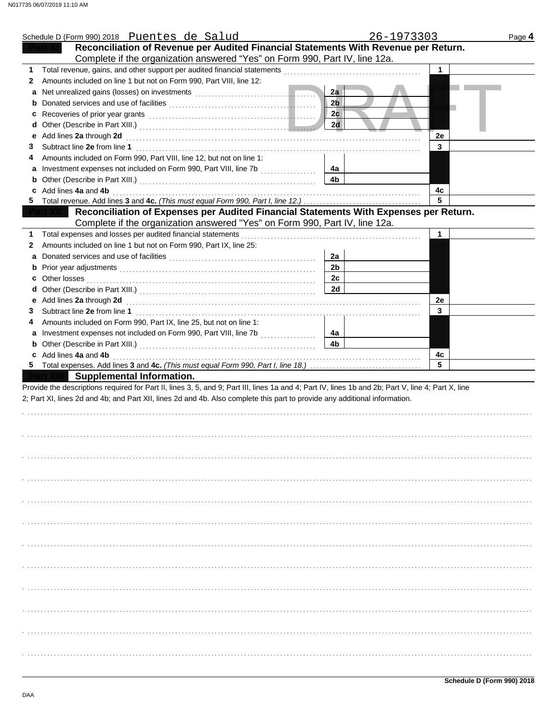|   | Schedule D (Form 990) 2018 Puentes de Salud                                                                                                                                                                                   |                | 26-1973303           | Page 4 |
|---|-------------------------------------------------------------------------------------------------------------------------------------------------------------------------------------------------------------------------------|----------------|----------------------|--------|
|   | Reconciliation of Revenue per Audited Financial Statements With Revenue per Return.                                                                                                                                           |                |                      |        |
|   | Complete if the organization answered "Yes" on Form 990, Part IV, line 12a.                                                                                                                                                   |                |                      |        |
| 1 | Total revenue, gains, and other support per audited financial statements                                                                                                                                                      |                | 1                    |        |
| 2 | Amounts included on line 1 but not on Form 990, Part VIII, line 12:                                                                                                                                                           |                |                      |        |
|   |                                                                                                                                                                                                                               | 2a             |                      |        |
|   |                                                                                                                                                                                                                               | 2 <sub>b</sub> |                      |        |
|   |                                                                                                                                                                                                                               | 2c             |                      |        |
|   |                                                                                                                                                                                                                               | 2d             |                      |        |
|   | Add lines 2a through 2d                                                                                                                                                                                                       |                | 2е                   |        |
| 3 |                                                                                                                                                                                                                               |                | 3                    |        |
|   | Amounts included on Form 990, Part VIII, line 12, but not on line 1:                                                                                                                                                          |                |                      |        |
|   |                                                                                                                                                                                                                               | 4a             |                      |        |
|   |                                                                                                                                                                                                                               | 4 <sub>b</sub> |                      |        |
|   | c Add lines 4a and 4b                                                                                                                                                                                                         |                | 4c                   |        |
|   |                                                                                                                                                                                                                               |                | 5                    |        |
|   | Reconciliation of Expenses per Audited Financial Statements With Expenses per Return.                                                                                                                                         |                |                      |        |
|   | Complete if the organization answered "Yes" on Form 990, Part IV, line 12a.                                                                                                                                                   |                |                      |        |
|   | Total expenses and losses per audited financial statements                                                                                                                                                                    |                | $\blacktriangleleft$ |        |
| 2 | Amounts included on line 1 but not on Form 990, Part IX, line 25:                                                                                                                                                             |                |                      |        |
|   |                                                                                                                                                                                                                               | 2a             |                      |        |
|   |                                                                                                                                                                                                                               | 2 <sub>b</sub> |                      |        |
|   |                                                                                                                                                                                                                               | 2c             |                      |        |
|   |                                                                                                                                                                                                                               | 2d             |                      |        |
|   | Add lines 2a through 2d [11, 12] [12] Add lines 2a through 2d [11, 12] Add lines 2a through 2d [11, 12] Add lines 29 through 2d [12] Add and the set of the set of the set of the set of the set of the set of the set of the |                | 2e                   |        |
| 3 |                                                                                                                                                                                                                               |                | 3                    |        |
|   | Amounts included on Form 990, Part IX, line 25, but not on line 1:                                                                                                                                                            |                |                      |        |
|   |                                                                                                                                                                                                                               | 4a             |                      |        |
|   |                                                                                                                                                                                                                               | 4b             |                      |        |
|   | c Add lines 4a and 4b                                                                                                                                                                                                         |                | 4c                   |        |
|   |                                                                                                                                                                                                                               |                | 5                    |        |
|   | <b>Supplemental Information.</b>                                                                                                                                                                                              |                |                      |        |
|   | Provide the descriptions required for Part II, lines 3, 5, and 9; Part III, lines 1a and 4; Part IV, lines 1b and 2b; Part V, line 4; Part X, line                                                                            |                |                      |        |
|   | 2; Part XI, lines 2d and 4b; and Part XII, lines 2d and 4b. Also complete this part to provide any additional information.                                                                                                    |                |                      |        |
|   |                                                                                                                                                                                                                               |                |                      |        |
|   |                                                                                                                                                                                                                               |                |                      |        |
|   |                                                                                                                                                                                                                               |                |                      |        |
|   |                                                                                                                                                                                                                               |                |                      |        |
|   |                                                                                                                                                                                                                               |                |                      |        |
|   |                                                                                                                                                                                                                               |                |                      |        |
|   |                                                                                                                                                                                                                               |                |                      |        |
|   |                                                                                                                                                                                                                               |                |                      |        |
|   |                                                                                                                                                                                                                               |                |                      |        |
|   |                                                                                                                                                                                                                               |                |                      |        |
|   |                                                                                                                                                                                                                               |                |                      |        |
|   |                                                                                                                                                                                                                               |                |                      |        |
|   |                                                                                                                                                                                                                               |                |                      |        |
|   |                                                                                                                                                                                                                               |                |                      |        |
|   |                                                                                                                                                                                                                               |                |                      |        |
|   |                                                                                                                                                                                                                               |                |                      |        |
|   |                                                                                                                                                                                                                               |                |                      |        |
|   |                                                                                                                                                                                                                               |                |                      |        |
|   |                                                                                                                                                                                                                               |                |                      |        |
|   |                                                                                                                                                                                                                               |                |                      |        |
|   |                                                                                                                                                                                                                               |                |                      |        |
|   |                                                                                                                                                                                                                               |                |                      |        |
|   |                                                                                                                                                                                                                               |                |                      |        |
|   |                                                                                                                                                                                                                               |                |                      |        |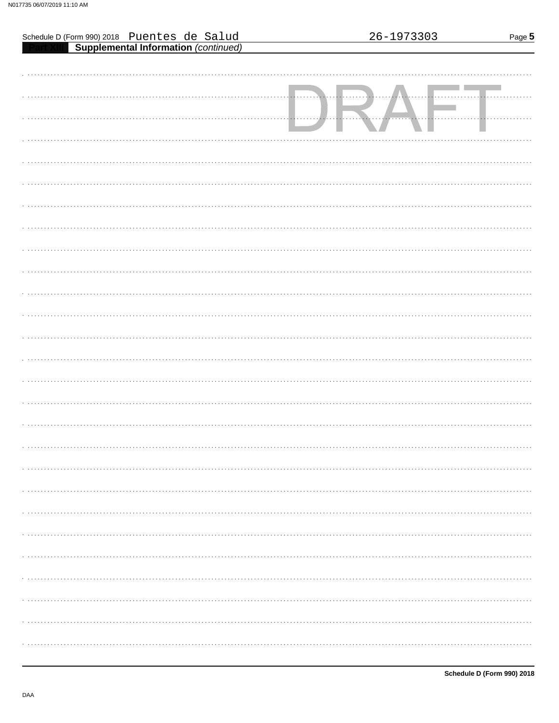|                                                                                     | 26-1973303 | Page 5     |
|-------------------------------------------------------------------------------------|------------|------------|
| Schedule D (Form 990) 2018 Puentes de Salud<br>Supplemental Information (continued) |            |            |
|                                                                                     |            |            |
|                                                                                     |            |            |
|                                                                                     |            |            |
|                                                                                     |            | . <b>.</b> |
|                                                                                     |            |            |
|                                                                                     |            |            |
|                                                                                     |            |            |
|                                                                                     |            |            |
|                                                                                     |            |            |
|                                                                                     |            |            |
|                                                                                     |            |            |
|                                                                                     |            |            |
|                                                                                     |            |            |
|                                                                                     |            |            |
|                                                                                     |            |            |
|                                                                                     |            |            |
|                                                                                     |            |            |
|                                                                                     |            |            |
|                                                                                     |            |            |
|                                                                                     |            |            |
|                                                                                     |            |            |
|                                                                                     |            |            |
|                                                                                     |            |            |
|                                                                                     |            |            |
|                                                                                     |            |            |
|                                                                                     |            |            |
|                                                                                     |            |            |
|                                                                                     |            |            |
|                                                                                     |            |            |
|                                                                                     |            |            |
|                                                                                     |            |            |
|                                                                                     |            |            |
|                                                                                     |            |            |
|                                                                                     |            |            |
|                                                                                     |            |            |
|                                                                                     |            |            |
|                                                                                     |            |            |
|                                                                                     |            |            |
|                                                                                     |            |            |
|                                                                                     |            |            |
|                                                                                     |            |            |
|                                                                                     |            |            |
|                                                                                     |            |            |
|                                                                                     |            |            |
|                                                                                     |            |            |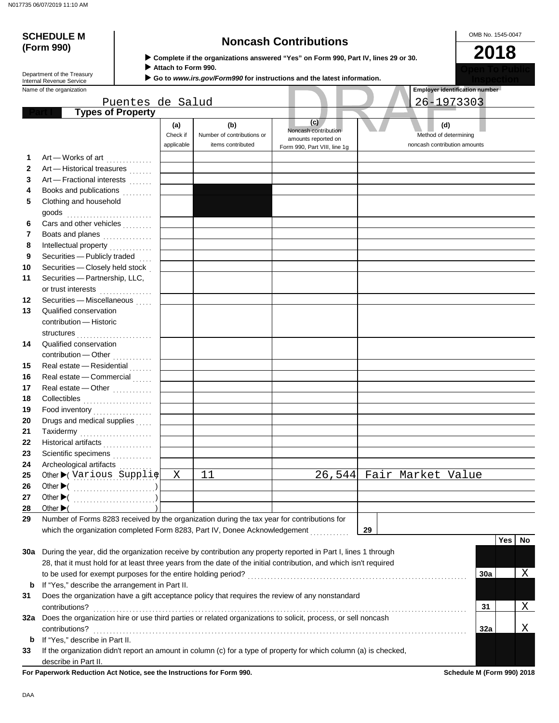## **(Form 990)**

Department of the Treasury<br>Internal Revenue Service

## **SCHEDULE M Noncash Contributions**

**Complete if the organizations answered "Yes" on Form 990, Part IV, lines 29 or 30.**

**Attach to Form 990.**

**Go to** *www.irs.gov/Form990* **for instructions and the latest information.**

|     | Name of the organization                                                                                                   |                               |                                                        |                                                    | Employer identification number                               |                    |
|-----|----------------------------------------------------------------------------------------------------------------------------|-------------------------------|--------------------------------------------------------|----------------------------------------------------|--------------------------------------------------------------|--------------------|
|     | <u>Puentes de Salud</u>                                                                                                    |                               |                                                        |                                                    | 26-1973303                                                   |                    |
|     | <b>Types of Property</b>                                                                                                   |                               |                                                        |                                                    |                                                              |                    |
|     |                                                                                                                            | (a)<br>Check if<br>applicable | (b)<br>Number of contributions or<br>items contributed | (c)<br>Noncash contribution<br>amounts reported on | (d)<br>Method of determining<br>noncash contribution amounts |                    |
|     |                                                                                                                            |                               |                                                        | Form 990, Part VIII, line 1g                       |                                                              |                    |
| 1.  | Art - Works of art                                                                                                         |                               |                                                        |                                                    |                                                              |                    |
| 2   | Art - Historical treasures                                                                                                 |                               |                                                        |                                                    |                                                              |                    |
| 3   | Art - Fractional interests                                                                                                 |                               |                                                        |                                                    |                                                              |                    |
| 4   | Books and publications                                                                                                     |                               |                                                        |                                                    |                                                              |                    |
| 5   | Clothing and household                                                                                                     |                               |                                                        |                                                    |                                                              |                    |
|     | goods                                                                                                                      |                               |                                                        |                                                    |                                                              |                    |
| 6   | Cars and other vehicles                                                                                                    |                               |                                                        |                                                    |                                                              |                    |
| 7   | Boats and planes                                                                                                           |                               |                                                        |                                                    |                                                              |                    |
| 8   | Intellectual property [11] [11] Intellectual property                                                                      |                               |                                                        |                                                    |                                                              |                    |
| 9   | Securities - Publicly traded                                                                                               |                               |                                                        |                                                    |                                                              |                    |
| 10  | Securities - Closely held stock                                                                                            |                               |                                                        |                                                    |                                                              |                    |
| 11  | Securities - Partnership, LLC,                                                                                             |                               |                                                        |                                                    |                                                              |                    |
|     | or trust interests                                                                                                         |                               |                                                        |                                                    |                                                              |                    |
| 12  | Securities - Miscellaneous                                                                                                 |                               |                                                        |                                                    |                                                              |                    |
| 13  | Qualified conservation                                                                                                     |                               |                                                        |                                                    |                                                              |                    |
|     | contribution - Historic                                                                                                    |                               |                                                        |                                                    |                                                              |                    |
|     | structures                                                                                                                 |                               |                                                        |                                                    |                                                              |                    |
| 14  | Qualified conservation                                                                                                     |                               |                                                        |                                                    |                                                              |                    |
|     | contribution - Other                                                                                                       |                               |                                                        |                                                    |                                                              |                    |
| 15  | Real estate - Residential                                                                                                  |                               |                                                        |                                                    |                                                              |                    |
| 16  | Real estate - Commercial                                                                                                   |                               |                                                        |                                                    |                                                              |                    |
| 17  | Real estate - Other                                                                                                        |                               |                                                        |                                                    |                                                              |                    |
| 18  |                                                                                                                            |                               |                                                        |                                                    |                                                              |                    |
| 19  | Food inventory<br>                                                                                                         |                               |                                                        |                                                    |                                                              |                    |
| 20  | Drugs and medical supplies                                                                                                 |                               |                                                        |                                                    |                                                              |                    |
| 21  | Taxidermy                                                                                                                  |                               |                                                        |                                                    |                                                              |                    |
| 22  | Historical artifacts                                                                                                       |                               |                                                        |                                                    |                                                              |                    |
| 23  | Scientific specimens                                                                                                       |                               |                                                        |                                                    |                                                              |                    |
| 24  | Archeological artifacts                                                                                                    |                               |                                                        |                                                    |                                                              |                    |
| 25  | Other > Various Supplie                                                                                                    | X                             | 11                                                     |                                                    | 26,544 Fair Market Value                                     |                    |
| 26  |                                                                                                                            |                               |                                                        |                                                    |                                                              |                    |
| 27  | Other $\blacktriangleright$ (                                                                                              |                               |                                                        |                                                    |                                                              |                    |
| 28  | Other $\blacktriangleright$<br>Number of Forms 8283 received by the organization during the tax year for contributions for |                               |                                                        |                                                    |                                                              |                    |
| 29  | which the organization completed Form 8283, Part IV, Donee Acknowledgement                                                 |                               |                                                        |                                                    | 29                                                           |                    |
|     |                                                                                                                            |                               |                                                        |                                                    |                                                              | Yes  <br><b>No</b> |
| 30a | During the year, did the organization receive by contribution any property reported in Part I, lines 1 through             |                               |                                                        |                                                    |                                                              |                    |
|     | 28, that it must hold for at least three years from the date of the initial contribution, and which isn't required         |                               |                                                        |                                                    |                                                              |                    |
|     |                                                                                                                            |                               |                                                        |                                                    |                                                              | Χ<br>30a           |
| b   | If "Yes," describe the arrangement in Part II.                                                                             |                               |                                                        |                                                    |                                                              |                    |
| 31  | Does the organization have a gift acceptance policy that requires the review of any nonstandard                            |                               |                                                        |                                                    |                                                              |                    |
|     | contributions?                                                                                                             |                               |                                                        |                                                    |                                                              | Χ<br>31            |
|     | 32a Does the organization hire or use third parties or related organizations to solicit, process, or sell noncash          |                               |                                                        |                                                    |                                                              |                    |
|     | contributions?                                                                                                             |                               |                                                        |                                                    |                                                              | Χ<br>32a           |
| b   | If "Yes," describe in Part II.                                                                                             |                               |                                                        |                                                    |                                                              |                    |
| 33  | If the organization didn't report an amount in column (c) for a type of property for which column (a) is checked,          |                               |                                                        |                                                    |                                                              |                    |
|     | describe in Part II.                                                                                                       |                               |                                                        |                                                    |                                                              |                    |

**For Paperwork Reduction Act Notice, see the Instructions for Form 990. Schedule M (Form 990) 2018**

OMB No. 1545-0047

**2018**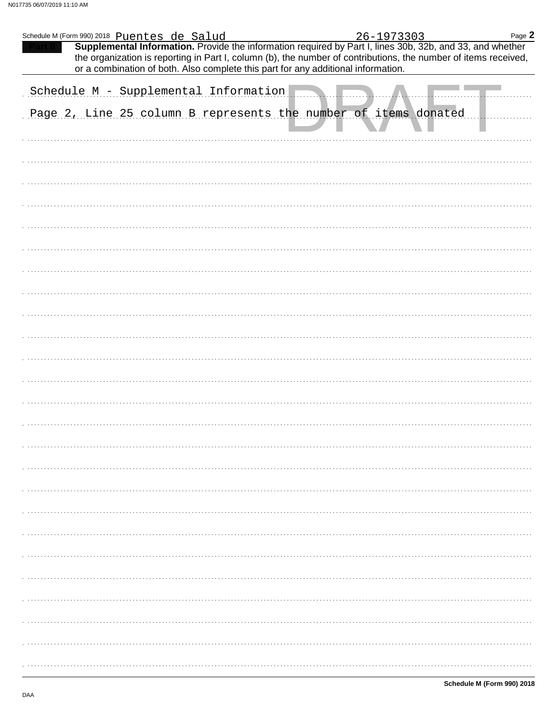| Schedule M (Form 990) 2018 Puentes de Salud<br>Supplemental Information. Provide the information required by Part I, lines 30b, 32b, and 33, and whether<br>the organization is reporting in Part I, column (b), the number of contributions, the number of items received,<br>or a combination of both. Also complete this part for any additional information. | 26-1973303 | Page 2 |
|------------------------------------------------------------------------------------------------------------------------------------------------------------------------------------------------------------------------------------------------------------------------------------------------------------------------------------------------------------------|------------|--------|
| Schedule M - Supplemental Information                                                                                                                                                                                                                                                                                                                            |            |        |
| Page 2, Line 25 column B represents the number of items donated                                                                                                                                                                                                                                                                                                  |            |        |
|                                                                                                                                                                                                                                                                                                                                                                  |            |        |
|                                                                                                                                                                                                                                                                                                                                                                  |            |        |
|                                                                                                                                                                                                                                                                                                                                                                  |            |        |
|                                                                                                                                                                                                                                                                                                                                                                  |            |        |
|                                                                                                                                                                                                                                                                                                                                                                  |            |        |
|                                                                                                                                                                                                                                                                                                                                                                  |            |        |
|                                                                                                                                                                                                                                                                                                                                                                  |            |        |
|                                                                                                                                                                                                                                                                                                                                                                  |            |        |
|                                                                                                                                                                                                                                                                                                                                                                  |            |        |
|                                                                                                                                                                                                                                                                                                                                                                  |            |        |
|                                                                                                                                                                                                                                                                                                                                                                  |            |        |
|                                                                                                                                                                                                                                                                                                                                                                  |            |        |
|                                                                                                                                                                                                                                                                                                                                                                  |            |        |
|                                                                                                                                                                                                                                                                                                                                                                  |            |        |
|                                                                                                                                                                                                                                                                                                                                                                  |            |        |
|                                                                                                                                                                                                                                                                                                                                                                  |            |        |
|                                                                                                                                                                                                                                                                                                                                                                  |            |        |
|                                                                                                                                                                                                                                                                                                                                                                  |            |        |
|                                                                                                                                                                                                                                                                                                                                                                  |            |        |
|                                                                                                                                                                                                                                                                                                                                                                  |            |        |
|                                                                                                                                                                                                                                                                                                                                                                  |            |        |
|                                                                                                                                                                                                                                                                                                                                                                  |            |        |
|                                                                                                                                                                                                                                                                                                                                                                  |            |        |
|                                                                                                                                                                                                                                                                                                                                                                  |            |        |
|                                                                                                                                                                                                                                                                                                                                                                  |            |        |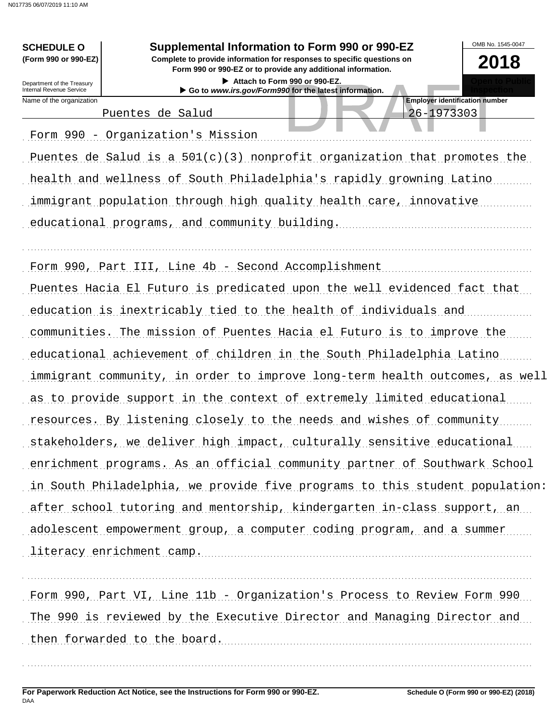**SCHEDULE O** (Form 990 or 990-EZ)

Department of the Treasury<br>Internal Revenue Service

Name of the organization

| Supplemental Information to Form 990 or 990-EZ |  |  |  |  |  |
|------------------------------------------------|--|--|--|--|--|
|------------------------------------------------|--|--|--|--|--|

Complete to provide information for responses to specific questions on Form 990 or 990-EZ or to provide any additional information.

> Attach to Form 990 or 990-EZ. Go to www.irs.gov/Form990 for the latest information.

**Employer identification number** 26-1973303

OMB No. 1545-0047

2018

de Salud Puentes

| - Form 990 - Organization's Mission                                      |
|--------------------------------------------------------------------------|
| Puentes de Salud is a 501(c)(3) nonprofit organization that promotes the |
| health and wellness of South Philadelphia's rapidly growning Latino      |
| immigrant population through high quality health care, innovative        |
| educational programs, and community building.                            |
|                                                                          |
|                                                                          |

Form 990, Part III, Line 4b - Second Accomplishment Puentes Hacia El Futuro is predicated upon the well evidenced fact that education is inextricably tied to the health of individuals and communities. The mission of Puentes Hacia el Futuro is to improve the educational achievement of children in the South Philadelphia Latino immigrant community, in order to improve long-term health outcomes, as well as to provide support in the context of extremely limited educational resources. By listening closely to the needs and wishes of community stakeholders, we deliver high impact, culturally sensitive educational enrichment programs. As an official community partner of Southwark School in South Philadelphia, we provide five programs to this student population: after school tutoring and mentorship, kindergarten in-class support, an adolescent empowerment group, a computer coding program, and a summer literacy enrichment camp.

Form 990, Part VI, Line 11b - Organization's Process to Review Form 990 The 990 is reviewed by the Executive Director and Managing Director and then forwarded to the board.